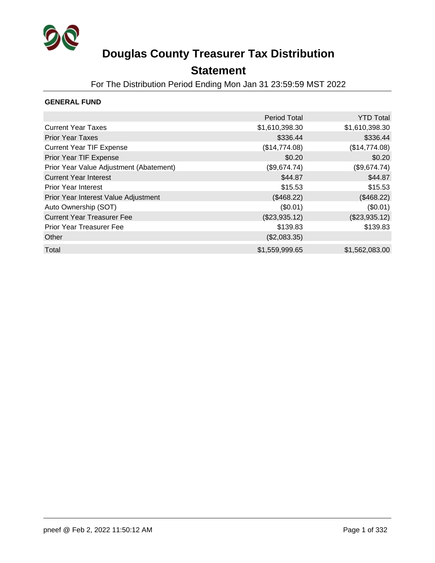

### **Statement**

For The Distribution Period Ending Mon Jan 31 23:59:59 MST 2022

### **GENERAL FUND**

|                                         | <b>Period Total</b> | <b>YTD Total</b> |
|-----------------------------------------|---------------------|------------------|
| <b>Current Year Taxes</b>               | \$1,610,398.30      | \$1,610,398.30   |
| <b>Prior Year Taxes</b>                 | \$336.44            | \$336.44         |
| <b>Current Year TIF Expense</b>         | (\$14,774.08)       | (\$14,774.08)    |
| Prior Year TIF Expense                  | \$0.20              | \$0.20           |
| Prior Year Value Adjustment (Abatement) | (\$9,674.74)        | (\$9,674.74)     |
| <b>Current Year Interest</b>            | \$44.87             | \$44.87          |
| <b>Prior Year Interest</b>              | \$15.53             | \$15.53          |
| Prior Year Interest Value Adjustment    | (\$468.22)          | (\$468.22)       |
| Auto Ownership (SOT)                    | (\$0.01)            | (\$0.01)         |
| <b>Current Year Treasurer Fee</b>       | (\$23,935.12)       | (\$23,935.12)    |
| Prior Year Treasurer Fee                | \$139.83            | \$139.83         |
| Other                                   | (\$2,083.35)        |                  |
| Total                                   | \$1,559,999.65      | \$1,562,083.00   |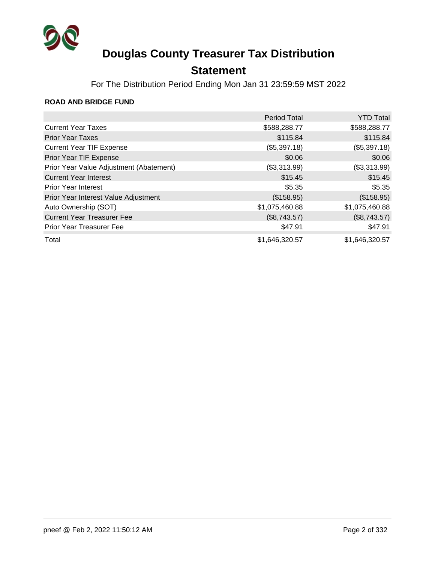

## **Statement**

For The Distribution Period Ending Mon Jan 31 23:59:59 MST 2022

### **ROAD AND BRIDGE FUND**

|                                         | <b>Period Total</b> | <b>YTD Total</b> |
|-----------------------------------------|---------------------|------------------|
| <b>Current Year Taxes</b>               | \$588,288.77        | \$588,288.77     |
| <b>Prior Year Taxes</b>                 | \$115.84            | \$115.84         |
| <b>Current Year TIF Expense</b>         | (\$5,397.18)        | (\$5,397.18)     |
| Prior Year TIF Expense                  | \$0.06              | \$0.06           |
| Prior Year Value Adjustment (Abatement) | (\$3,313.99)        | (\$3,313.99)     |
| <b>Current Year Interest</b>            | \$15.45             | \$15.45          |
| <b>Prior Year Interest</b>              | \$5.35              | \$5.35           |
| Prior Year Interest Value Adjustment    | (\$158.95)          | (\$158.95)       |
| Auto Ownership (SOT)                    | \$1,075,460.88      | \$1,075,460.88   |
| <b>Current Year Treasurer Fee</b>       | (\$8,743.57)        | (\$8,743.57)     |
| Prior Year Treasurer Fee                | \$47.91             | \$47.91          |
| Total                                   | \$1,646,320.57      | \$1,646,320.57   |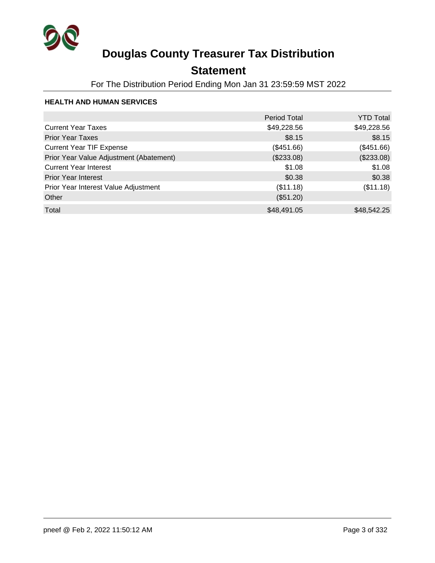

## **Statement**

For The Distribution Period Ending Mon Jan 31 23:59:59 MST 2022

### **HEALTH AND HUMAN SERVICES**

|                                         | <b>Period Total</b> | <b>YTD Total</b> |
|-----------------------------------------|---------------------|------------------|
| <b>Current Year Taxes</b>               | \$49,228.56         | \$49,228.56      |
| <b>Prior Year Taxes</b>                 | \$8.15              | \$8.15           |
| <b>Current Year TIF Expense</b>         | (\$451.66)          | (\$451.66)       |
| Prior Year Value Adjustment (Abatement) | (\$233.08)          | (\$233.08)       |
| <b>Current Year Interest</b>            | \$1.08              | \$1.08           |
| <b>Prior Year Interest</b>              | \$0.38              | \$0.38           |
| Prior Year Interest Value Adjustment    | (\$11.18)           | (\$11.18)        |
| Other                                   | (\$51.20)           |                  |
| Total                                   | \$48,491.05         | \$48,542.25      |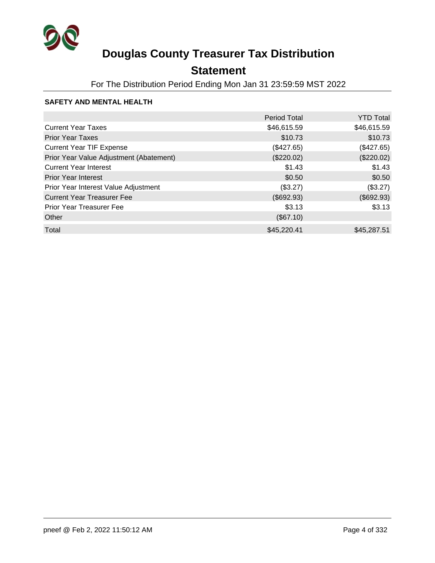

## **Statement**

For The Distribution Period Ending Mon Jan 31 23:59:59 MST 2022

### **SAFETY AND MENTAL HEALTH**

|                                         | <b>Period Total</b> | <b>YTD Total</b> |
|-----------------------------------------|---------------------|------------------|
| <b>Current Year Taxes</b>               | \$46,615.59         | \$46,615.59      |
| <b>Prior Year Taxes</b>                 | \$10.73             | \$10.73          |
| <b>Current Year TIF Expense</b>         | (\$427.65)          | (\$427.65)       |
| Prior Year Value Adjustment (Abatement) | (\$220.02)          | (\$220.02)       |
| <b>Current Year Interest</b>            | \$1.43              | \$1.43           |
| <b>Prior Year Interest</b>              | \$0.50              | \$0.50           |
| Prior Year Interest Value Adjustment    | (\$3.27)            | (\$3.27)         |
| <b>Current Year Treasurer Fee</b>       | (\$692.93)          | (\$692.93)       |
| <b>Prior Year Treasurer Fee</b>         | \$3.13              | \$3.13           |
| Other                                   | (\$67.10)           |                  |
| Total                                   | \$45,220.41         | \$45,287.51      |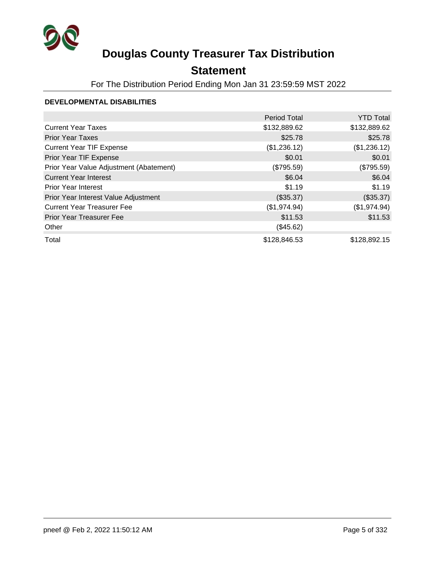

## **Statement**

For The Distribution Period Ending Mon Jan 31 23:59:59 MST 2022

### **DEVELOPMENTAL DISABILITIES**

|                                         | <b>Period Total</b> | <b>YTD Total</b> |
|-----------------------------------------|---------------------|------------------|
| <b>Current Year Taxes</b>               | \$132,889.62        | \$132,889.62     |
| <b>Prior Year Taxes</b>                 | \$25.78             | \$25.78          |
| <b>Current Year TIF Expense</b>         | (\$1,236.12)        | (\$1,236.12)     |
| Prior Year TIF Expense                  | \$0.01              | \$0.01           |
| Prior Year Value Adjustment (Abatement) | (\$795.59)          | (\$795.59)       |
| <b>Current Year Interest</b>            | \$6.04              | \$6.04           |
| <b>Prior Year Interest</b>              | \$1.19              | \$1.19           |
| Prior Year Interest Value Adjustment    | (\$35.37)           | (\$35.37)        |
| <b>Current Year Treasurer Fee</b>       | (\$1,974.94)        | (\$1,974.94)     |
| <b>Prior Year Treasurer Fee</b>         | \$11.53             | \$11.53          |
| Other                                   | (\$45.62)           |                  |
| Total                                   | \$128,846.53        | \$128,892.15     |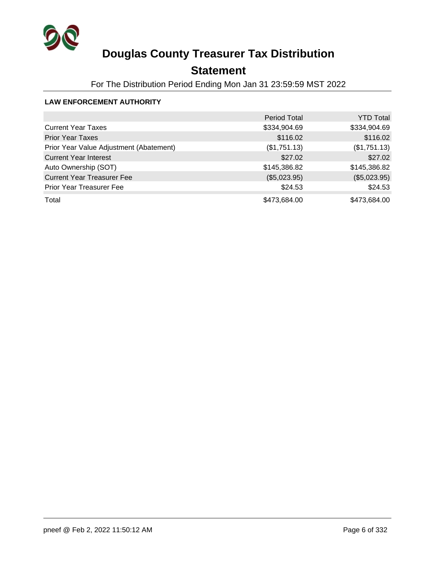

## **Statement**

For The Distribution Period Ending Mon Jan 31 23:59:59 MST 2022

### **LAW ENFORCEMENT AUTHORITY**

|                                         | <b>Period Total</b> | <b>YTD Total</b> |
|-----------------------------------------|---------------------|------------------|
| <b>Current Year Taxes</b>               | \$334,904.69        | \$334,904.69     |
| <b>Prior Year Taxes</b>                 | \$116.02            | \$116.02         |
| Prior Year Value Adjustment (Abatement) | (\$1,751.13)        | (\$1,751.13)     |
| <b>Current Year Interest</b>            | \$27.02             | \$27.02          |
| Auto Ownership (SOT)                    | \$145,386.82        | \$145,386.82     |
| <b>Current Year Treasurer Fee</b>       | (\$5,023.95)        | (\$5,023.95)     |
| <b>Prior Year Treasurer Fee</b>         | \$24.53             | \$24.53          |
| Total                                   | \$473,684.00        | \$473,684.00     |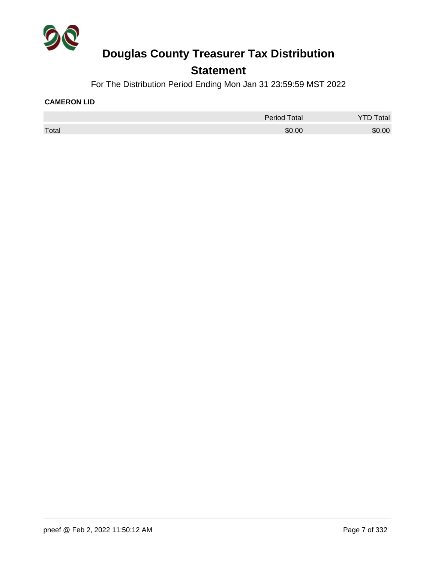

### **Statement**

For The Distribution Period Ending Mon Jan 31 23:59:59 MST 2022

#### **CAMERON LID**

|       | <b>Period Total</b> | otal   |
|-------|---------------------|--------|
| Total | \$0.00              | \$0.00 |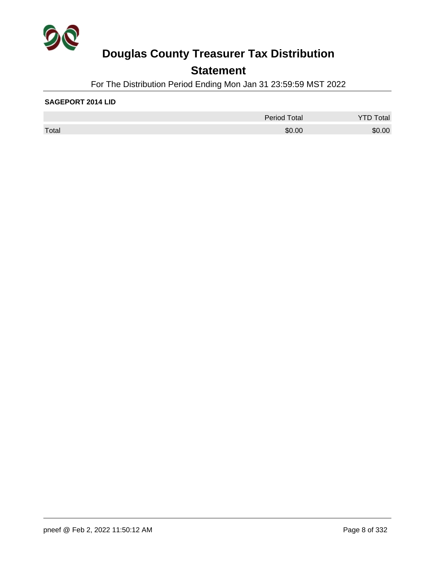

## **Statement**

For The Distribution Period Ending Mon Jan 31 23:59:59 MST 2022

#### **SAGEPORT 2014 LID**

|       | <b>Period Total</b> | otal   |
|-------|---------------------|--------|
| Total | \$0.00              | \$0.00 |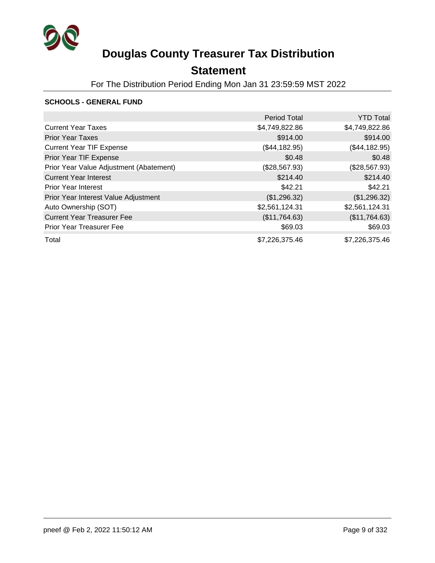

## **Statement**

For The Distribution Period Ending Mon Jan 31 23:59:59 MST 2022

### **SCHOOLS - GENERAL FUND**

|                                         | <b>Period Total</b> | <b>YTD Total</b> |
|-----------------------------------------|---------------------|------------------|
| <b>Current Year Taxes</b>               | \$4,749,822.86      | \$4,749,822.86   |
| <b>Prior Year Taxes</b>                 | \$914.00            | \$914.00         |
| <b>Current Year TIF Expense</b>         | (\$44,182.95)       | (\$44,182.95)    |
| Prior Year TIF Expense                  | \$0.48              | \$0.48           |
| Prior Year Value Adjustment (Abatement) | (\$28,567.93)       | (\$28,567.93)    |
| <b>Current Year Interest</b>            | \$214.40            | \$214.40         |
| <b>Prior Year Interest</b>              | \$42.21             | \$42.21          |
| Prior Year Interest Value Adjustment    | (\$1,296.32)        | (\$1,296.32)     |
| Auto Ownership (SOT)                    | \$2,561,124.31      | \$2,561,124.31   |
| <b>Current Year Treasurer Fee</b>       | (\$11,764.63)       | (\$11,764.63)    |
| <b>Prior Year Treasurer Fee</b>         | \$69.03             | \$69.03          |
| Total                                   | \$7,226,375.46      | \$7,226,375.46   |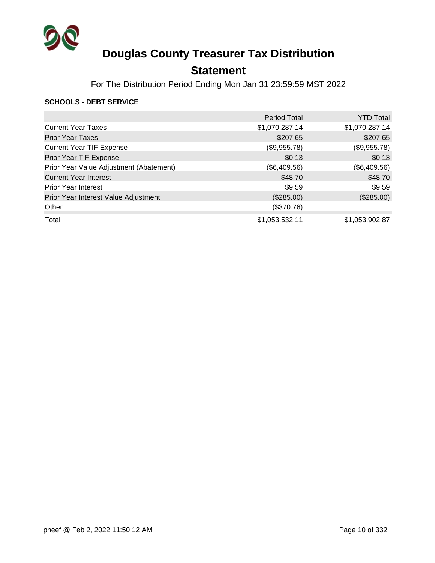

## **Statement**

For The Distribution Period Ending Mon Jan 31 23:59:59 MST 2022

### **SCHOOLS - DEBT SERVICE**

|                                         | <b>Period Total</b> | <b>YTD Total</b> |
|-----------------------------------------|---------------------|------------------|
| <b>Current Year Taxes</b>               | \$1,070,287.14      | \$1,070,287.14   |
| <b>Prior Year Taxes</b>                 | \$207.65            | \$207.65         |
| <b>Current Year TIF Expense</b>         | (\$9,955.78)        | (\$9,955.78)     |
| Prior Year TIF Expense                  | \$0.13              | \$0.13           |
| Prior Year Value Adjustment (Abatement) | (\$6,409.56)        | (\$6,409.56)     |
| <b>Current Year Interest</b>            | \$48.70             | \$48.70          |
| <b>Prior Year Interest</b>              | \$9.59              | \$9.59           |
| Prior Year Interest Value Adjustment    | (\$285.00)          | (\$285.00)       |
| Other                                   | (\$370.76)          |                  |
| Total                                   | \$1,053,532.11      | \$1,053,902.87   |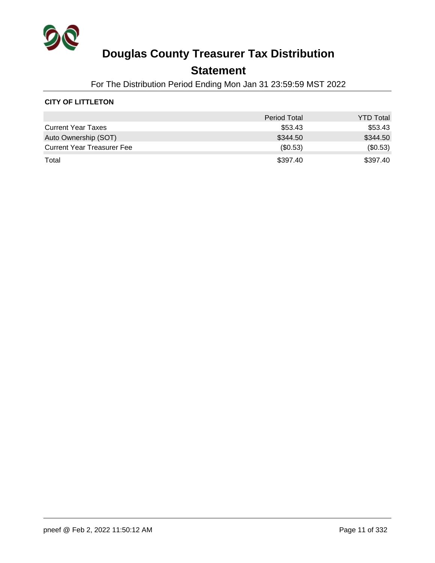

### **Statement**

For The Distribution Period Ending Mon Jan 31 23:59:59 MST 2022

### **CITY OF LITTLETON**

|                                   | <b>Period Total</b> | <b>YTD Total</b> |
|-----------------------------------|---------------------|------------------|
| <b>Current Year Taxes</b>         | \$53.43             | \$53.43          |
| Auto Ownership (SOT)              | \$344.50            | \$344.50         |
| <b>Current Year Treasurer Fee</b> | $($ \$0.53)         | (\$0.53)         |
| Total                             | \$397.40            | \$397.40         |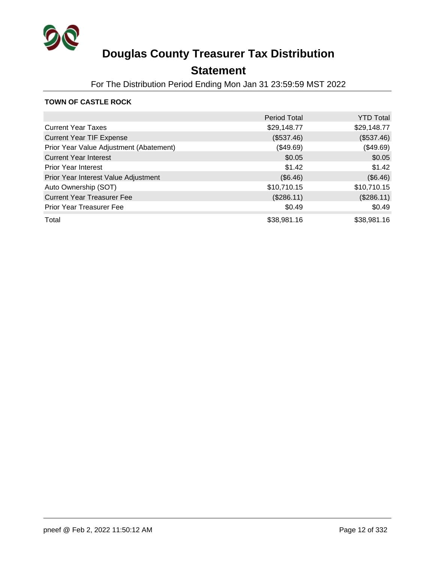

## **Statement**

For The Distribution Period Ending Mon Jan 31 23:59:59 MST 2022

### **TOWN OF CASTLE ROCK**

|                                         | <b>Period Total</b> | <b>YTD Total</b> |
|-----------------------------------------|---------------------|------------------|
| <b>Current Year Taxes</b>               | \$29,148.77         | \$29,148.77      |
| <b>Current Year TIF Expense</b>         | (\$537.46)          | (\$537.46)       |
| Prior Year Value Adjustment (Abatement) | (\$49.69)           | (\$49.69)        |
| <b>Current Year Interest</b>            | \$0.05              | \$0.05           |
| <b>Prior Year Interest</b>              | \$1.42              | \$1.42           |
| Prior Year Interest Value Adjustment    | (\$6.46)            | (\$6.46)         |
| Auto Ownership (SOT)                    | \$10,710.15         | \$10,710.15      |
| <b>Current Year Treasurer Fee</b>       | (\$286.11)          | (\$286.11)       |
| <b>Prior Year Treasurer Fee</b>         | \$0.49              | \$0.49           |
| Total                                   | \$38,981.16         | \$38,981.16      |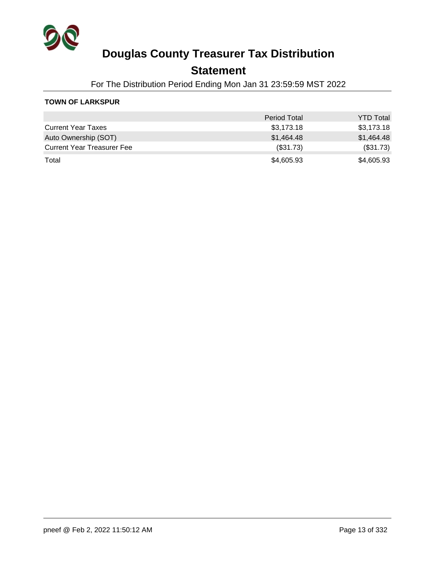

### **Statement**

For The Distribution Period Ending Mon Jan 31 23:59:59 MST 2022

### **TOWN OF LARKSPUR**

|                                   | <b>Period Total</b> | <b>YTD Total</b> |
|-----------------------------------|---------------------|------------------|
| <b>Current Year Taxes</b>         | \$3,173.18          | \$3,173.18       |
| Auto Ownership (SOT)              | \$1,464.48          | \$1.464.48       |
| <b>Current Year Treasurer Fee</b> | (\$31.73)           | (\$31.73)        |
| Total                             | \$4,605.93          | \$4,605.93       |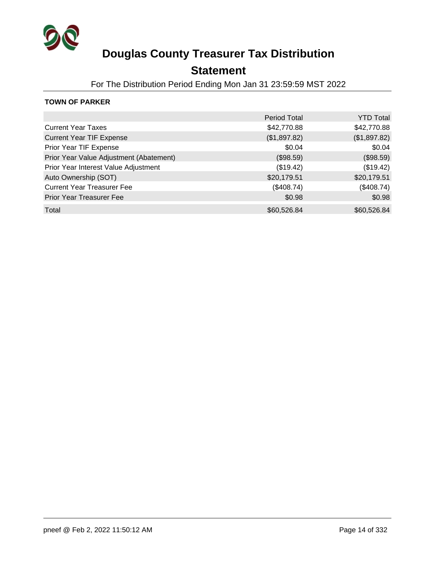

### **Statement**

For The Distribution Period Ending Mon Jan 31 23:59:59 MST 2022

### **TOWN OF PARKER**

|                                         | <b>Period Total</b> | <b>YTD Total</b> |
|-----------------------------------------|---------------------|------------------|
| <b>Current Year Taxes</b>               | \$42,770.88         | \$42,770.88      |
| <b>Current Year TIF Expense</b>         | (\$1,897.82)        | (\$1,897.82)     |
| Prior Year TIF Expense                  | \$0.04              | \$0.04           |
| Prior Year Value Adjustment (Abatement) | (\$98.59)           | (\$98.59)        |
| Prior Year Interest Value Adjustment    | (\$19.42)           | (\$19.42)        |
| Auto Ownership (SOT)                    | \$20,179.51         | \$20,179.51      |
| <b>Current Year Treasurer Fee</b>       | (\$408.74)          | (\$408.74)       |
| <b>Prior Year Treasurer Fee</b>         | \$0.98              | \$0.98           |
| Total                                   | \$60,526.84         | \$60,526.84      |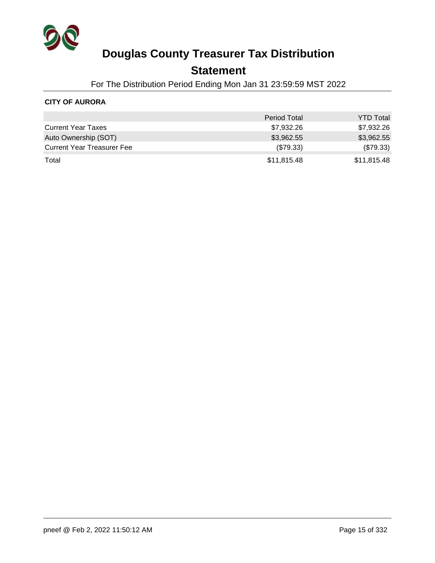

### **Statement**

For The Distribution Period Ending Mon Jan 31 23:59:59 MST 2022

### **CITY OF AURORA**

|                                   | <b>Period Total</b> | <b>YTD Total</b> |
|-----------------------------------|---------------------|------------------|
| <b>Current Year Taxes</b>         | \$7,932.26          | \$7,932.26       |
| Auto Ownership (SOT)              | \$3,962.55          | \$3,962.55       |
| <b>Current Year Treasurer Fee</b> | $(\$79.33)$         | (\$79.33)        |
| Total                             | \$11,815.48         | \$11,815.48      |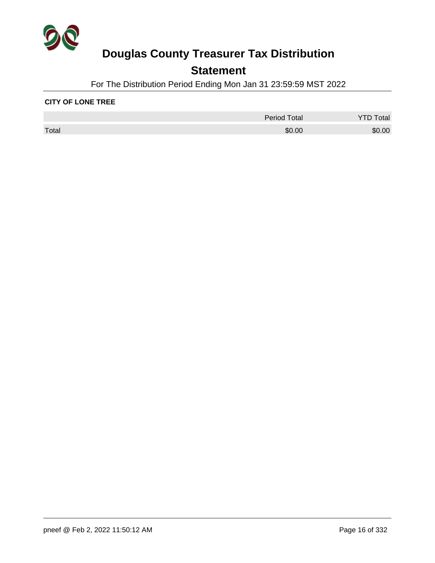

## **Statement**

For The Distribution Period Ending Mon Jan 31 23:59:59 MST 2022

#### **CITY OF LONE TREE**

|       | <b>Period Total</b> | otal   |
|-------|---------------------|--------|
| Total | \$0.00              | \$0.00 |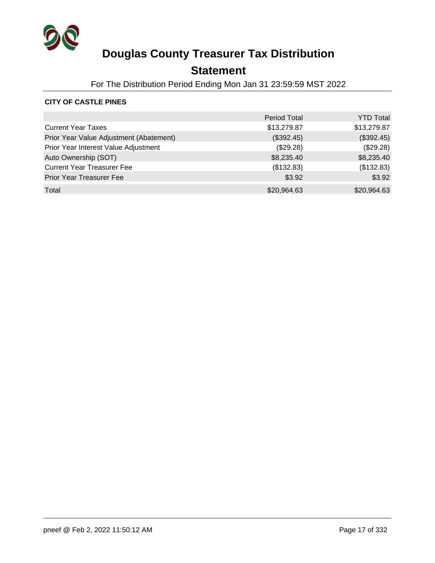

## **Statement**

For The Distribution Period Ending Mon Jan 31 23:59:59 MST 2022

### **CITY OF CASTLE PINES**

|                                         | <b>Period Total</b> | <b>YTD Total</b> |
|-----------------------------------------|---------------------|------------------|
| <b>Current Year Taxes</b>               | \$13,279.87         | \$13,279.87      |
| Prior Year Value Adjustment (Abatement) | (\$392.45)          | (\$392.45)       |
| Prior Year Interest Value Adjustment    | (\$29.28)           | (\$29.28)        |
| Auto Ownership (SOT)                    | \$8,235.40          | \$8,235.40       |
| <b>Current Year Treasurer Fee</b>       | (\$132.83)          | (\$132.83)       |
| <b>Prior Year Treasurer Fee</b>         | \$3.92              | \$3.92           |
| Total                                   | \$20,964.63         | \$20,964.63      |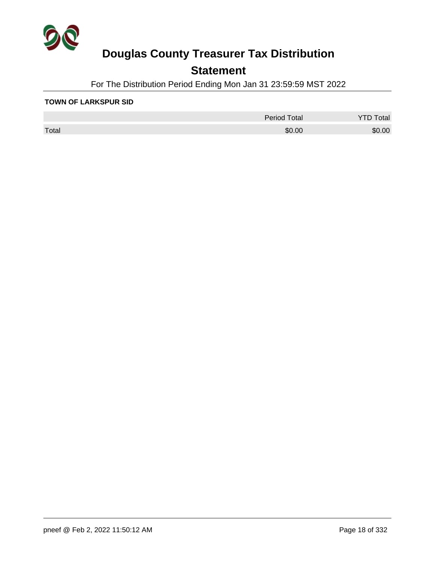

## **Statement**

For The Distribution Period Ending Mon Jan 31 23:59:59 MST 2022

#### **TOWN OF LARKSPUR SID**

|       | <b>Period Total</b> | otal   |
|-------|---------------------|--------|
| Total | \$0.00              | \$0.00 |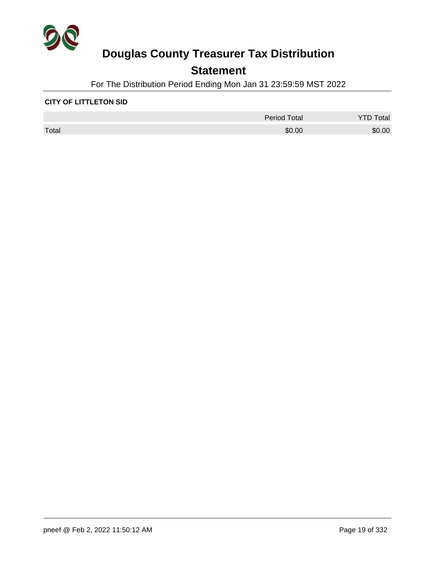

## **Statement**

For The Distribution Period Ending Mon Jan 31 23:59:59 MST 2022

#### **CITY OF LITTLETON SID**

|       | <b>Period Total</b> | otal   |
|-------|---------------------|--------|
| Total | \$0.00              | \$0.00 |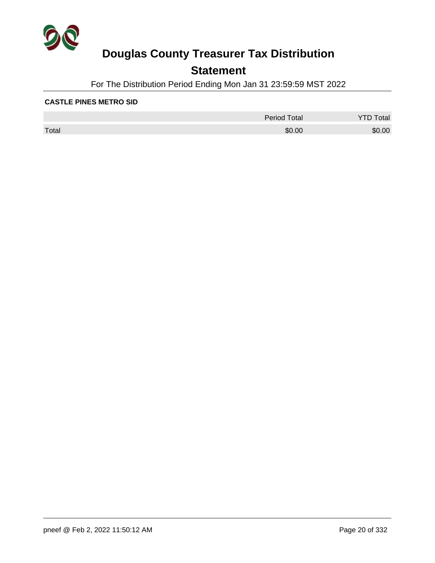

## **Statement**

For The Distribution Period Ending Mon Jan 31 23:59:59 MST 2022

#### **CASTLE PINES METRO SID**

|       | <b>Period Total</b> | otal   |
|-------|---------------------|--------|
| Total | \$0.00              | \$0.00 |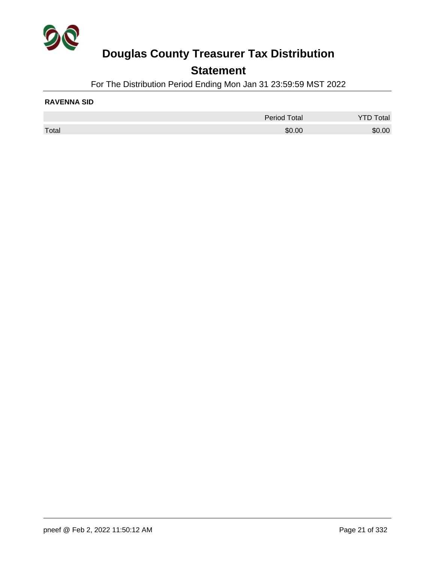

## **Statement**

For The Distribution Period Ending Mon Jan 31 23:59:59 MST 2022

#### **RAVENNA SID**

|       | <b>Period Total</b> | Total  |
|-------|---------------------|--------|
| Total | \$0.00              | \$0.00 |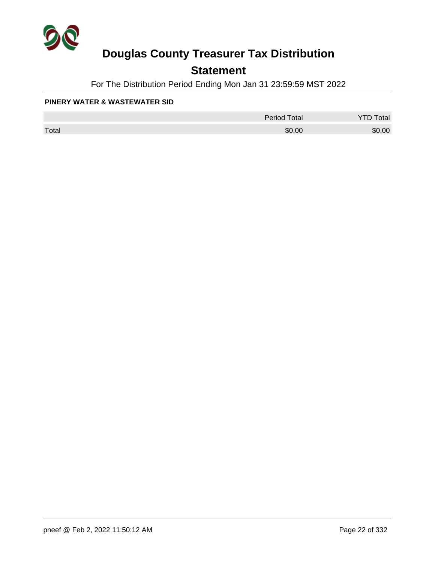

## **Statement**

For The Distribution Period Ending Mon Jan 31 23:59:59 MST 2022

#### **PINERY WATER & WASTEWATER SID**

|       | <b>Period Total</b> | otal<br>້ |
|-------|---------------------|-----------|
| Total | \$0.00              | \$0.00    |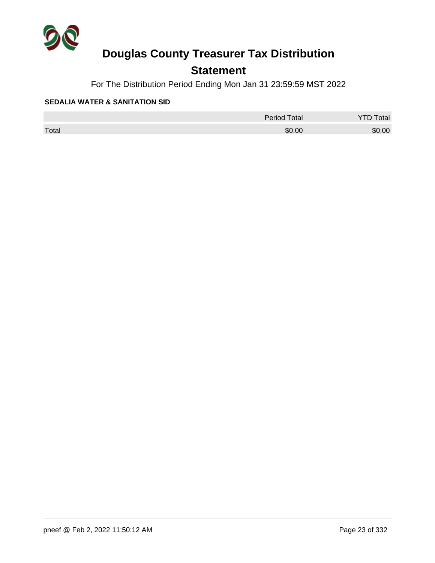

## **Statement**

For The Distribution Period Ending Mon Jan 31 23:59:59 MST 2022

#### **SEDALIA WATER & SANITATION SID**

|       | <b>Period Total</b> | otal<br>້ |
|-------|---------------------|-----------|
| Total | \$0.00              | \$0.00    |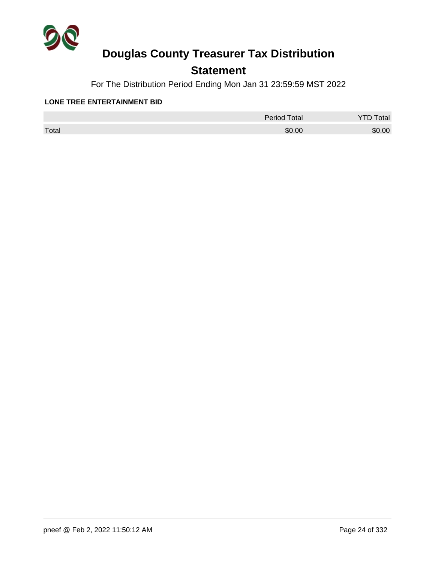

## **Statement**

For The Distribution Period Ending Mon Jan 31 23:59:59 MST 2022

#### **LONE TREE ENTERTAINMENT BID**

|       | <b>Period Total</b> | otal<br>້ |
|-------|---------------------|-----------|
| Total | \$0.00              | \$0.00    |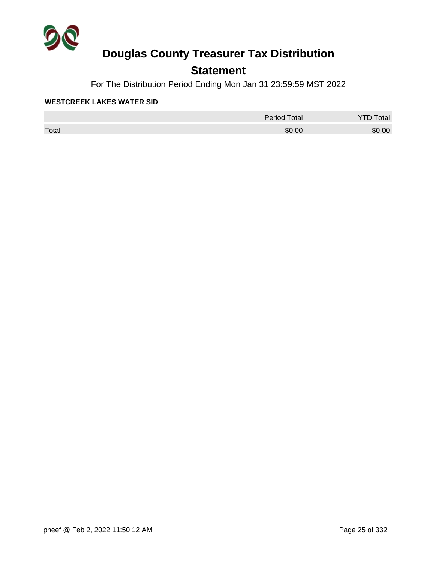

## **Statement**

For The Distribution Period Ending Mon Jan 31 23:59:59 MST 2022

#### **WESTCREEK LAKES WATER SID**

|       | <b>Period Total</b> | otal   |
|-------|---------------------|--------|
| Total | \$0.00              | \$0.00 |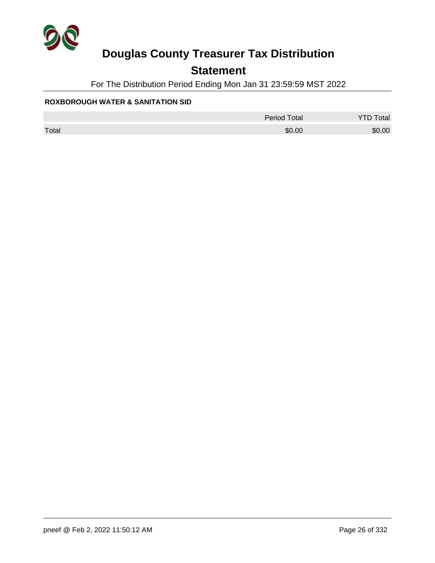

## **Statement**

For The Distribution Period Ending Mon Jan 31 23:59:59 MST 2022

### **ROXBOROUGH WATER & SANITATION SID**

|       | <b>Period Total</b> | otal<br><u>.</u> |
|-------|---------------------|------------------|
| Total | \$0.00              | \$0.00           |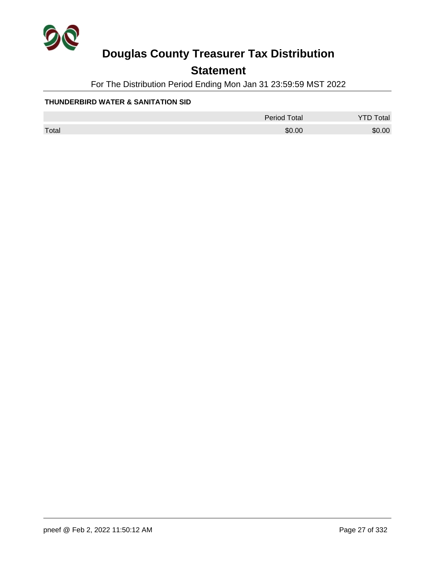

## **Statement**

For The Distribution Period Ending Mon Jan 31 23:59:59 MST 2022

### **THUNDERBIRD WATER & SANITATION SID**

|       | <b>Period Total</b> | <b>YTD Total</b> |
|-------|---------------------|------------------|
| Total | \$0.00              | \$0.00           |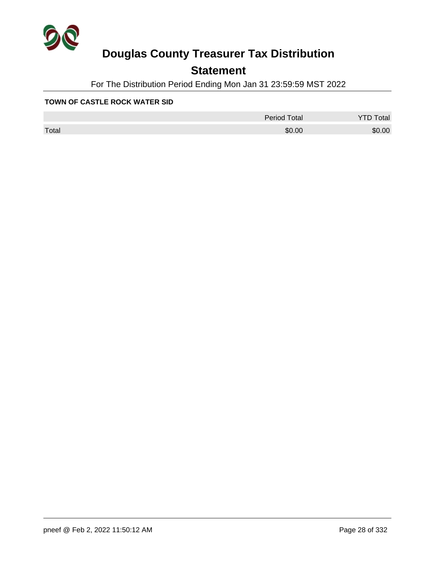

## **Statement**

For The Distribution Period Ending Mon Jan 31 23:59:59 MST 2022

#### **TOWN OF CASTLE ROCK WATER SID**

|       | Period Total | otal<br>◡ |
|-------|--------------|-----------|
| Total | \$0.00       | \$0.00    |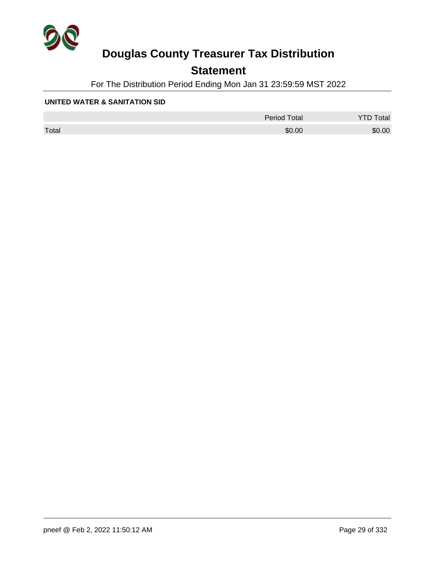

## **Statement**

For The Distribution Period Ending Mon Jan 31 23:59:59 MST 2022

#### **UNITED WATER & SANITATION SID**

|       | <b>Period Total</b> | otal   |
|-------|---------------------|--------|
| Total | \$0.00              | \$0.00 |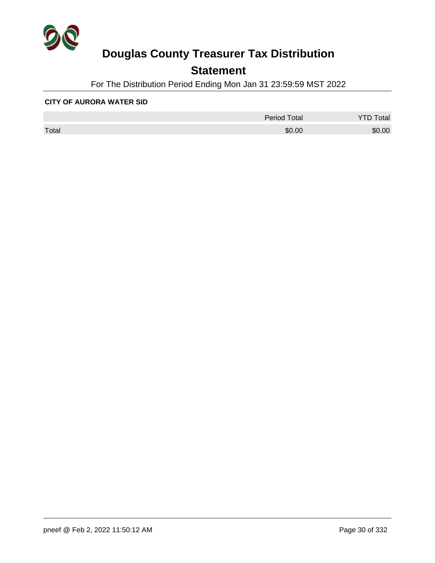

## **Statement**

For The Distribution Period Ending Mon Jan 31 23:59:59 MST 2022

#### **CITY OF AURORA WATER SID**

|       | <b>Period Total</b> | otal   |
|-------|---------------------|--------|
| Total | \$0.00              | \$0.00 |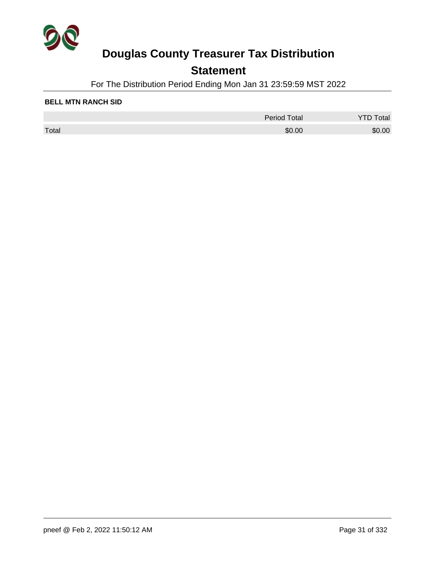

## **Statement**

For The Distribution Period Ending Mon Jan 31 23:59:59 MST 2022

#### **BELL MTN RANCH SID**

|       | <b>Period Total</b> | otal   |
|-------|---------------------|--------|
| Total | \$0.00              | \$0.00 |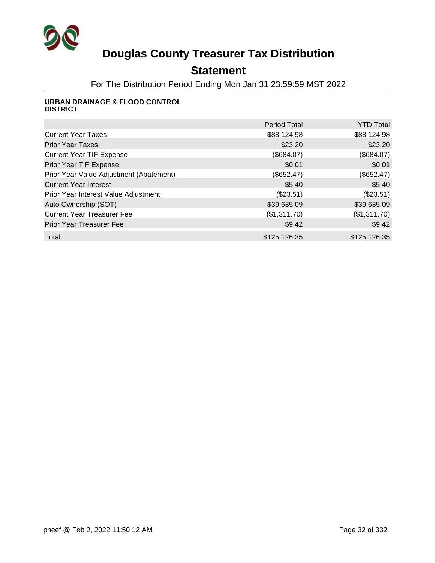

## **Statement**

For The Distribution Period Ending Mon Jan 31 23:59:59 MST 2022

#### **URBAN DRAINAGE & FLOOD CONTROL DISTRICT**

|                                         | <b>Period Total</b> | <b>YTD Total</b> |
|-----------------------------------------|---------------------|------------------|
| <b>Current Year Taxes</b>               | \$88,124.98         | \$88,124.98      |
| <b>Prior Year Taxes</b>                 | \$23.20             | \$23.20          |
| <b>Current Year TIF Expense</b>         | (\$684.07)          | (\$684.07)       |
| Prior Year TIF Expense                  | \$0.01              | \$0.01           |
| Prior Year Value Adjustment (Abatement) | (\$652.47)          | (\$652.47)       |
| <b>Current Year Interest</b>            | \$5.40              | \$5.40           |
| Prior Year Interest Value Adjustment    | (\$23.51)           | (\$23.51)        |
| Auto Ownership (SOT)                    | \$39,635.09         | \$39,635.09      |
| <b>Current Year Treasurer Fee</b>       | (\$1,311.70)        | (\$1,311.70)     |
| <b>Prior Year Treasurer Fee</b>         | \$9.42              | \$9.42           |
| Total                                   | \$125,126.35        | \$125,126.35     |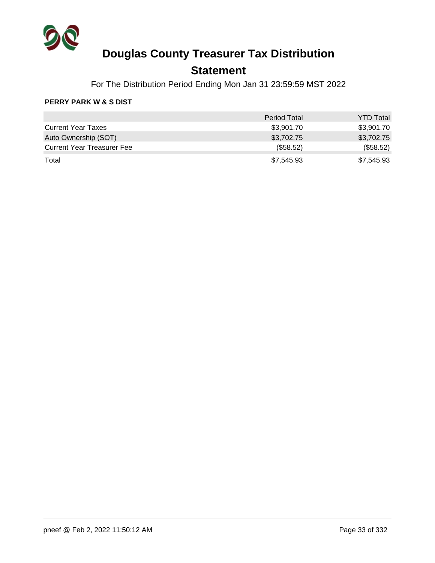

## **Statement**

For The Distribution Period Ending Mon Jan 31 23:59:59 MST 2022

### **PERRY PARK W & S DIST**

|                                   | <b>Period Total</b> | <b>YTD Total</b> |
|-----------------------------------|---------------------|------------------|
| <b>Current Year Taxes</b>         | \$3,901.70          | \$3,901.70       |
| Auto Ownership (SOT)              | \$3,702.75          | \$3,702.75       |
| <b>Current Year Treasurer Fee</b> | (\$58.52)           | (\$58.52)        |
| Total                             | \$7,545.93          | \$7,545.93       |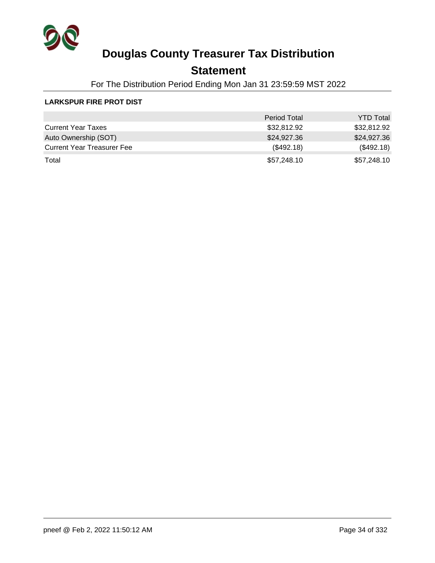

## **Statement**

For The Distribution Period Ending Mon Jan 31 23:59:59 MST 2022

### **LARKSPUR FIRE PROT DIST**

|                                   | <b>Period Total</b> | <b>YTD Total</b> |
|-----------------------------------|---------------------|------------------|
| <b>Current Year Taxes</b>         | \$32,812.92         | \$32,812.92      |
| Auto Ownership (SOT)              | \$24,927.36         | \$24,927.36      |
| <b>Current Year Treasurer Fee</b> | (\$492.18)          | (\$492.18)       |
| Total                             | \$57,248.10         | \$57,248.10      |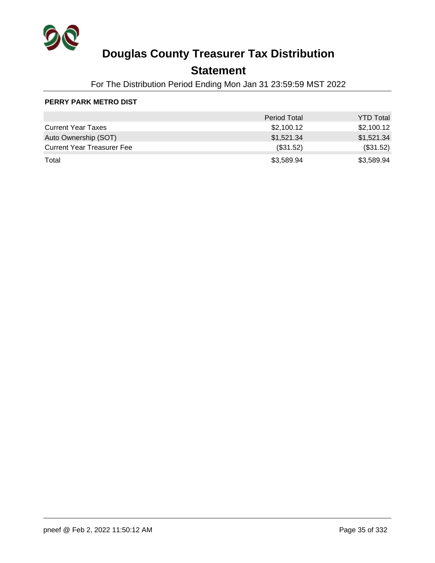

## **Statement**

For The Distribution Period Ending Mon Jan 31 23:59:59 MST 2022

### **PERRY PARK METRO DIST**

|                                   | <b>Period Total</b> | <b>YTD Total</b> |
|-----------------------------------|---------------------|------------------|
| <b>Current Year Taxes</b>         | \$2,100.12          | \$2,100.12       |
| Auto Ownership (SOT)              | \$1,521.34          | \$1,521.34       |
| <b>Current Year Treasurer Fee</b> | $(\$31.52)$         | (\$31.52)        |
| Total                             | \$3,589.94          | \$3,589.94       |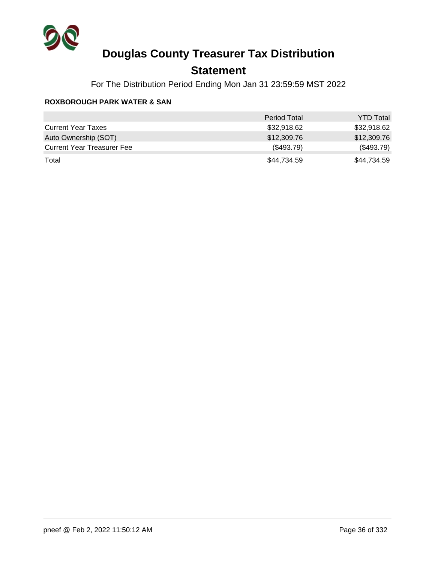

## **Statement**

For The Distribution Period Ending Mon Jan 31 23:59:59 MST 2022

#### **ROXBOROUGH PARK WATER & SAN**

|                                   | <b>Period Total</b> | <b>YTD Total</b> |
|-----------------------------------|---------------------|------------------|
| <b>Current Year Taxes</b>         | \$32,918.62         | \$32,918.62      |
| Auto Ownership (SOT)              | \$12,309.76         | \$12,309.76      |
| <b>Current Year Treasurer Fee</b> | (\$493.79)          | (\$493.79)       |
| Total                             | \$44,734.59         | \$44,734.59      |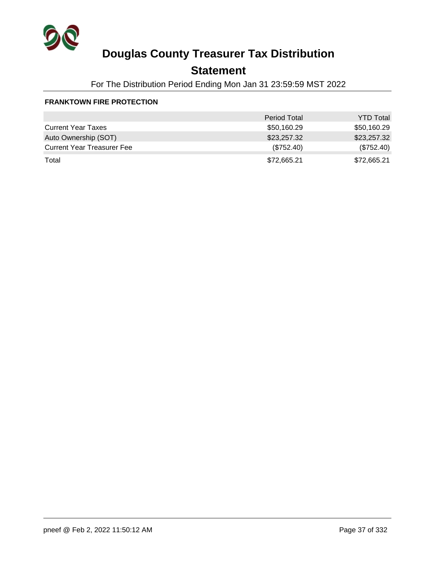

## **Statement**

For The Distribution Period Ending Mon Jan 31 23:59:59 MST 2022

#### **FRANKTOWN FIRE PROTECTION**

|                                   | <b>Period Total</b> | <b>YTD Total</b> |
|-----------------------------------|---------------------|------------------|
| <b>Current Year Taxes</b>         | \$50,160.29         | \$50,160.29      |
| Auto Ownership (SOT)              | \$23,257.32         | \$23,257.32      |
| <b>Current Year Treasurer Fee</b> | $(\$752.40)$        | (\$752.40)       |
| Total                             | \$72,665.21         | \$72,665.21      |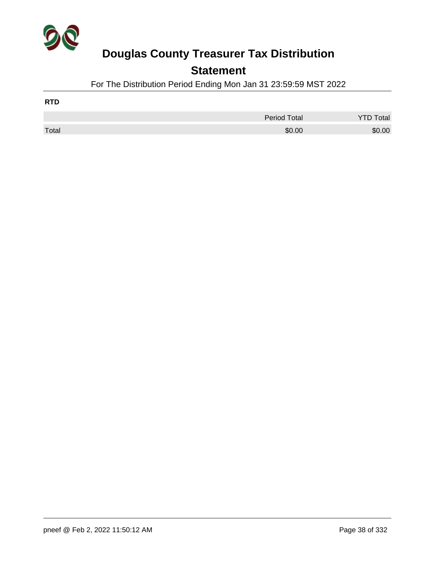

### **Statement**

For The Distribution Period Ending Mon Jan 31 23:59:59 MST 2022

| <b>RTD</b> |                     |                  |
|------------|---------------------|------------------|
|            | <b>Period Total</b> | <b>YTD Total</b> |
| Total      | \$0.00              | \$0.00           |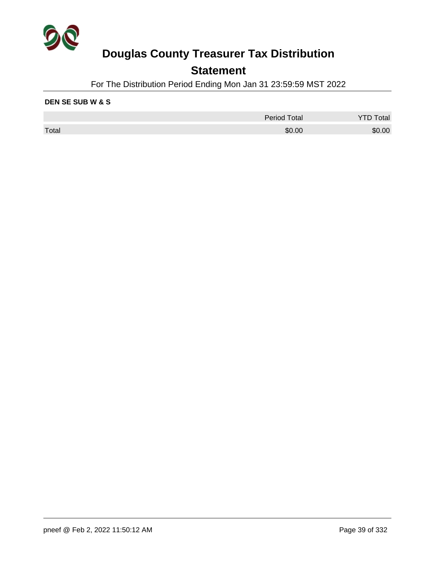

### **Statement**

For The Distribution Period Ending Mon Jan 31 23:59:59 MST 2022

#### **DEN SE SUB W & S**

|       | <b>Period Total</b> | Total  |
|-------|---------------------|--------|
| Total | \$0.00              | \$0.00 |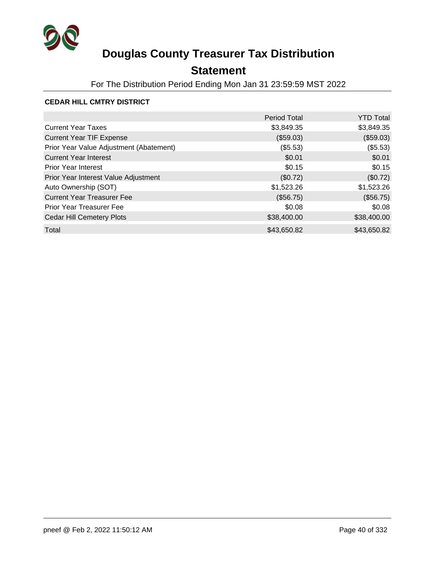

## **Statement**

For The Distribution Period Ending Mon Jan 31 23:59:59 MST 2022

#### **CEDAR HILL CMTRY DISTRICT**

|                                         | <b>Period Total</b> | <b>YTD Total</b> |
|-----------------------------------------|---------------------|------------------|
| <b>Current Year Taxes</b>               | \$3,849.35          | \$3,849.35       |
| <b>Current Year TIF Expense</b>         | (\$59.03)           | (\$59.03)        |
| Prior Year Value Adjustment (Abatement) | (\$5.53)            | (\$5.53)         |
| <b>Current Year Interest</b>            | \$0.01              | \$0.01           |
| <b>Prior Year Interest</b>              | \$0.15              | \$0.15           |
| Prior Year Interest Value Adjustment    | (\$0.72)            | (\$0.72)         |
| Auto Ownership (SOT)                    | \$1,523.26          | \$1,523.26       |
| <b>Current Year Treasurer Fee</b>       | (\$56.75)           | (\$56.75)        |
| <b>Prior Year Treasurer Fee</b>         | \$0.08              | \$0.08           |
| <b>Cedar Hill Cemetery Plots</b>        | \$38,400.00         | \$38,400.00      |
| Total                                   | \$43,650.82         | \$43,650.82      |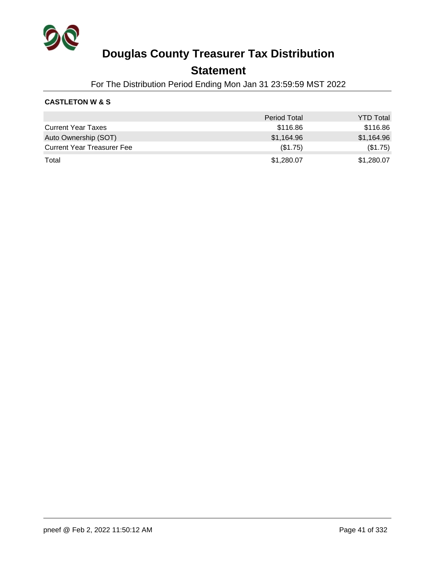

### **Statement**

For The Distribution Period Ending Mon Jan 31 23:59:59 MST 2022

#### **CASTLETON W & S**

|                                   | <b>Period Total</b> | <b>YTD Total</b> |
|-----------------------------------|---------------------|------------------|
| <b>Current Year Taxes</b>         | \$116.86            | \$116.86         |
| Auto Ownership (SOT)              | \$1,164.96          | \$1,164.96       |
| <b>Current Year Treasurer Fee</b> | (\$1.75)            | (\$1.75)         |
| Total                             | \$1,280.07          | \$1,280.07       |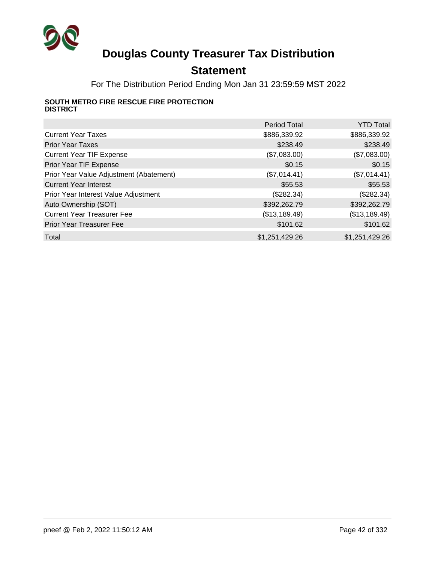

## **Statement**

For The Distribution Period Ending Mon Jan 31 23:59:59 MST 2022

#### **SOUTH METRO FIRE RESCUE FIRE PROTECTION DISTRICT**

|                                         | <b>Period Total</b> | <b>YTD Total</b> |
|-----------------------------------------|---------------------|------------------|
| <b>Current Year Taxes</b>               | \$886,339.92        | \$886,339.92     |
| <b>Prior Year Taxes</b>                 | \$238.49            | \$238.49         |
| <b>Current Year TIF Expense</b>         | (\$7,083.00)        | (\$7,083.00)     |
| Prior Year TIF Expense                  | \$0.15              | \$0.15           |
| Prior Year Value Adjustment (Abatement) | (\$7,014.41)        | (\$7,014.41)     |
| <b>Current Year Interest</b>            | \$55.53             | \$55.53          |
| Prior Year Interest Value Adjustment    | (\$282.34)          | (\$282.34)       |
| Auto Ownership (SOT)                    | \$392,262.79        | \$392,262.79     |
| <b>Current Year Treasurer Fee</b>       | (\$13,189.49)       | (\$13,189.49)    |
| <b>Prior Year Treasurer Fee</b>         | \$101.62            | \$101.62         |
| Total                                   | \$1,251,429.26      | \$1,251,429.26   |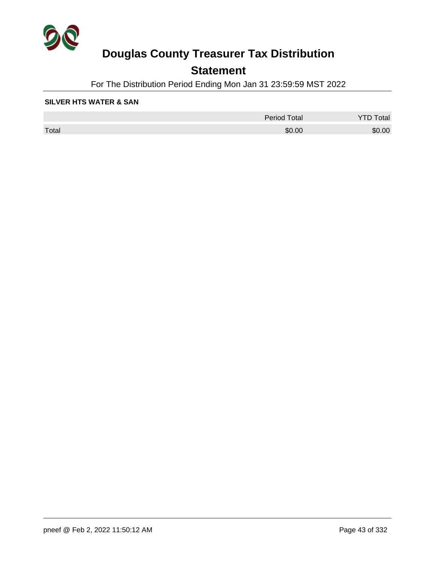

## **Statement**

For The Distribution Period Ending Mon Jan 31 23:59:59 MST 2022

#### **SILVER HTS WATER & SAN**

|       | <b>Period Total</b> | otal<br>້ |
|-------|---------------------|-----------|
| Total | \$0.00              | \$0.00    |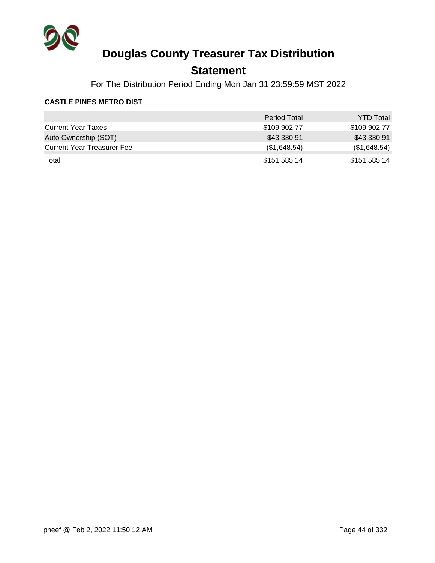

### **Statement**

For The Distribution Period Ending Mon Jan 31 23:59:59 MST 2022

#### **CASTLE PINES METRO DIST**

|                                   | <b>Period Total</b> | <b>YTD Total</b> |
|-----------------------------------|---------------------|------------------|
| <b>Current Year Taxes</b>         | \$109,902.77        | \$109,902.77     |
| Auto Ownership (SOT)              | \$43,330.91         | \$43,330.91      |
| <b>Current Year Treasurer Fee</b> | (\$1,648.54)        | (\$1,648.54)     |
| Total                             | \$151,585.14        | \$151,585.14     |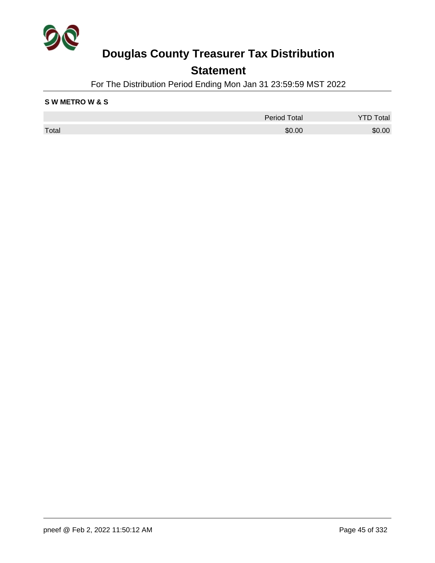

### **Statement**

For The Distribution Period Ending Mon Jan 31 23:59:59 MST 2022

#### **S W METRO W & S**

|       | <b>Period Total</b> | Total  |
|-------|---------------------|--------|
| Total | \$0.00              | \$0.00 |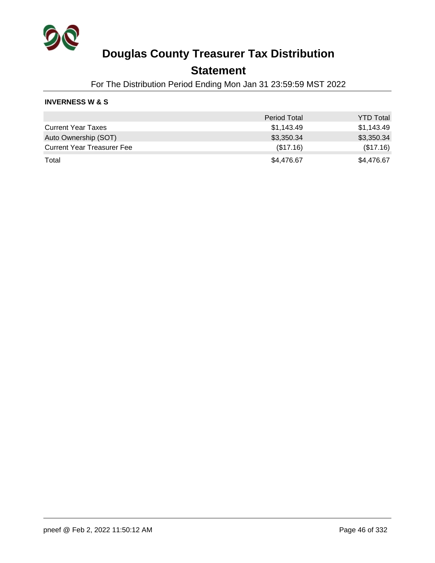

### **Statement**

For The Distribution Period Ending Mon Jan 31 23:59:59 MST 2022

#### **INVERNESS W & S**

|                                   | <b>Period Total</b> | <b>YTD Total</b> |
|-----------------------------------|---------------------|------------------|
| <b>Current Year Taxes</b>         | \$1,143.49          | \$1,143.49       |
| Auto Ownership (SOT)              | \$3,350.34          | \$3,350.34       |
| <b>Current Year Treasurer Fee</b> | (\$17.16)           | (\$17.16)        |
| Total                             | \$4,476.67          | \$4,476.67       |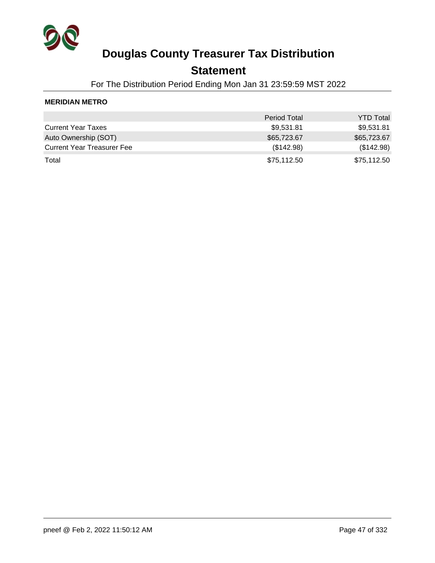

### **Statement**

For The Distribution Period Ending Mon Jan 31 23:59:59 MST 2022

#### **MERIDIAN METRO**

|                                   | <b>Period Total</b> | <b>YTD Total</b> |
|-----------------------------------|---------------------|------------------|
| <b>Current Year Taxes</b>         | \$9,531.81          | \$9,531.81       |
| Auto Ownership (SOT)              | \$65,723.67         | \$65,723.67      |
| <b>Current Year Treasurer Fee</b> | (\$142.98)          | (\$142.98)       |
| Total                             | \$75,112.50         | \$75,112.50      |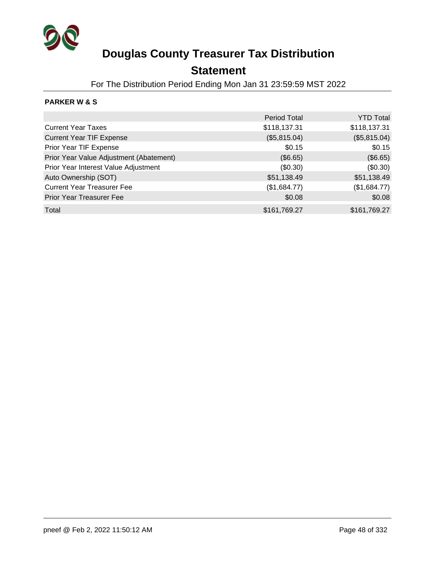

### **Statement**

For The Distribution Period Ending Mon Jan 31 23:59:59 MST 2022

#### **PARKER W & S**

|                                         | <b>Period Total</b> | <b>YTD Total</b> |
|-----------------------------------------|---------------------|------------------|
| <b>Current Year Taxes</b>               | \$118,137.31        | \$118,137.31     |
| <b>Current Year TIF Expense</b>         | (\$5,815.04)        | (\$5,815.04)     |
| Prior Year TIF Expense                  | \$0.15              | \$0.15           |
| Prior Year Value Adjustment (Abatement) | (\$6.65)            | (\$6.65)         |
| Prior Year Interest Value Adjustment    | (\$0.30)            | (\$0.30)         |
| Auto Ownership (SOT)                    | \$51,138.49         | \$51,138.49      |
| <b>Current Year Treasurer Fee</b>       | (\$1,684.77)        | (\$1,684.77)     |
| Prior Year Treasurer Fee                | \$0.08              | \$0.08           |
| Total                                   | \$161,769.27        | \$161,769.27     |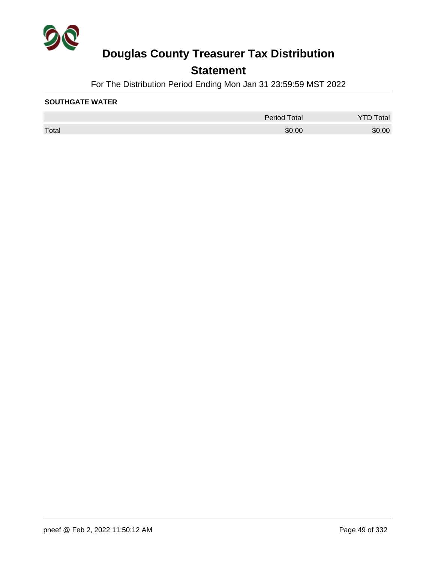

## **Statement**

For The Distribution Period Ending Mon Jan 31 23:59:59 MST 2022

#### **SOUTHGATE WATER**

|       | <b>Period Total</b> | otal   |
|-------|---------------------|--------|
| Total | \$0.00              | \$0.00 |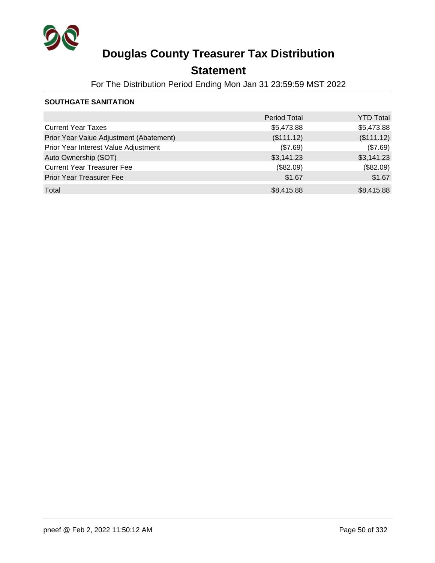

## **Statement**

For The Distribution Period Ending Mon Jan 31 23:59:59 MST 2022

#### **SOUTHGATE SANITATION**

|                                         | <b>Period Total</b> | <b>YTD Total</b> |
|-----------------------------------------|---------------------|------------------|
| <b>Current Year Taxes</b>               | \$5,473.88          | \$5,473.88       |
| Prior Year Value Adjustment (Abatement) | (\$111.12)          | (\$111.12)       |
| Prior Year Interest Value Adjustment    | (\$7.69)            | (\$7.69)         |
| Auto Ownership (SOT)                    | \$3,141.23          | \$3,141.23       |
| <b>Current Year Treasurer Fee</b>       | (\$82.09)           | (\$82.09)        |
| <b>Prior Year Treasurer Fee</b>         | \$1.67              | \$1.67           |
| Total                                   | \$8,415.88          | \$8,415.88       |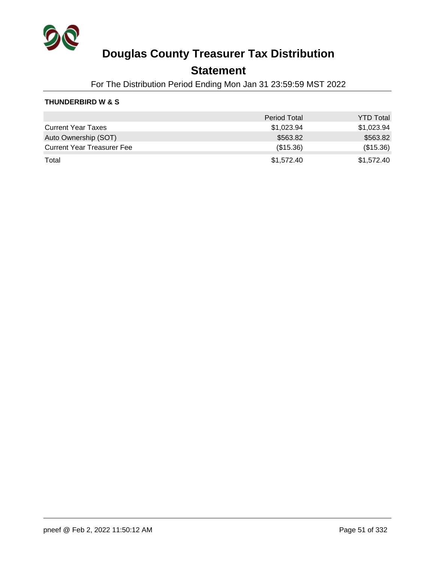

### **Statement**

For The Distribution Period Ending Mon Jan 31 23:59:59 MST 2022

#### **THUNDERBIRD W & S**

|                                   | <b>Period Total</b> | <b>YTD Total</b> |
|-----------------------------------|---------------------|------------------|
| <b>Current Year Taxes</b>         | \$1,023.94          | \$1,023.94       |
| Auto Ownership (SOT)              | \$563.82            | \$563.82         |
| <b>Current Year Treasurer Fee</b> | (\$15.36)           | (\$15.36)        |
| Total                             | \$1,572.40          | \$1.572.40       |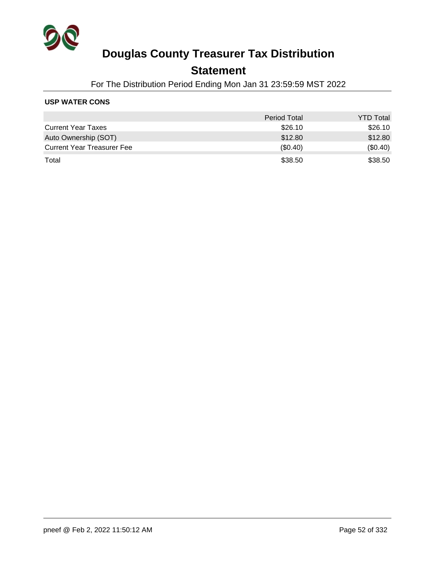

### **Statement**

For The Distribution Period Ending Mon Jan 31 23:59:59 MST 2022

#### **USP WATER CONS**

|                                   | <b>Period Total</b> | <b>YTD Total</b> |
|-----------------------------------|---------------------|------------------|
| <b>Current Year Taxes</b>         | \$26.10             | \$26.10          |
| Auto Ownership (SOT)              | \$12.80             | \$12.80          |
| <b>Current Year Treasurer Fee</b> | (\$0.40)            | (\$0.40)         |
| Total                             | \$38.50             | \$38.50          |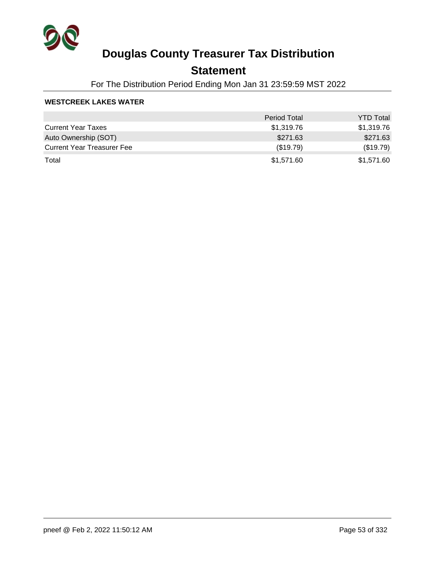

### **Statement**

For The Distribution Period Ending Mon Jan 31 23:59:59 MST 2022

#### **WESTCREEK LAKES WATER**

|                                   | <b>Period Total</b> | <b>YTD Total</b> |
|-----------------------------------|---------------------|------------------|
| <b>Current Year Taxes</b>         | \$1,319.76          | \$1,319.76       |
| Auto Ownership (SOT)              | \$271.63            | \$271.63         |
| <b>Current Year Treasurer Fee</b> | (\$19.79)           | (\$19.79)        |
| Total                             | \$1,571.60          | \$1,571.60       |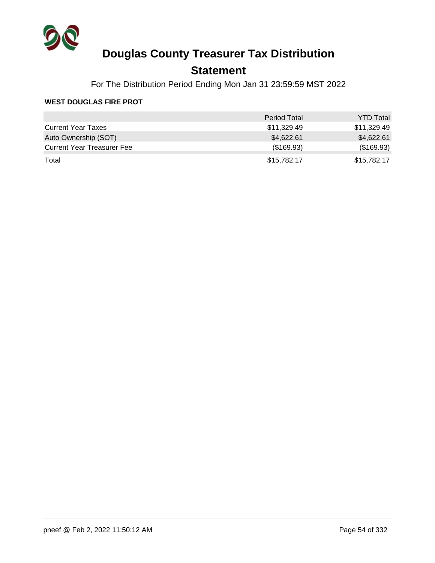

### **Statement**

For The Distribution Period Ending Mon Jan 31 23:59:59 MST 2022

#### **WEST DOUGLAS FIRE PROT**

|                                   | <b>Period Total</b> | <b>YTD Total</b> |
|-----------------------------------|---------------------|------------------|
| <b>Current Year Taxes</b>         | \$11,329.49         | \$11,329.49      |
| Auto Ownership (SOT)              | \$4,622.61          | \$4,622.61       |
| <b>Current Year Treasurer Fee</b> | (\$169.93)          | (\$169.93)       |
| Total                             | \$15,782.17         | \$15,782.17      |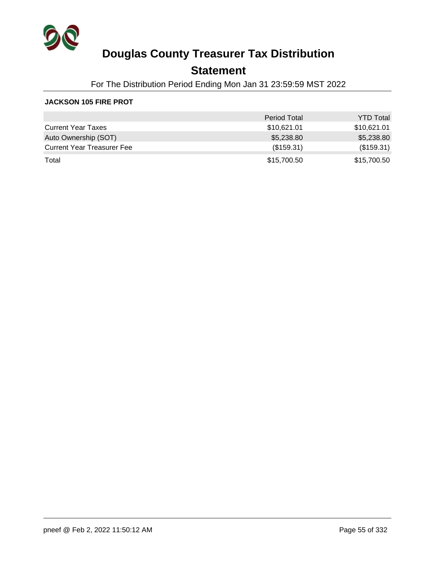

### **Statement**

For The Distribution Period Ending Mon Jan 31 23:59:59 MST 2022

#### **JACKSON 105 FIRE PROT**

|                                   | <b>Period Total</b> | <b>YTD Total</b> |
|-----------------------------------|---------------------|------------------|
| <b>Current Year Taxes</b>         | \$10,621.01         | \$10,621.01      |
| Auto Ownership (SOT)              | \$5,238.80          | \$5,238.80       |
| <b>Current Year Treasurer Fee</b> | (\$159.31)          | (\$159.31)       |
| Total                             | \$15,700.50         | \$15,700.50      |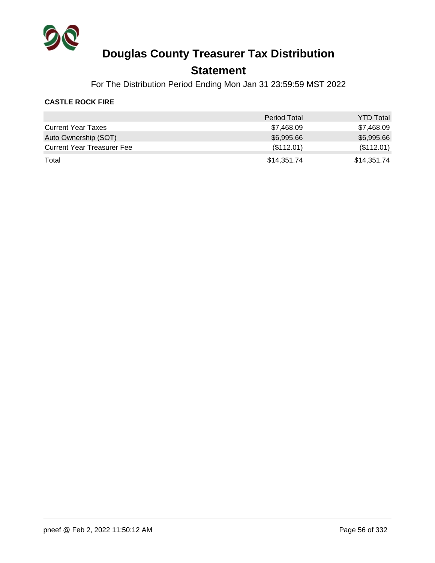

### **Statement**

For The Distribution Period Ending Mon Jan 31 23:59:59 MST 2022

#### **CASTLE ROCK FIRE**

|                                   | <b>Period Total</b> | <b>YTD Total</b> |
|-----------------------------------|---------------------|------------------|
| <b>Current Year Taxes</b>         | \$7,468.09          | \$7,468.09       |
| Auto Ownership (SOT)              | \$6,995.66          | \$6,995.66       |
| <b>Current Year Treasurer Fee</b> | (\$112.01)          | (\$112.01)       |
| Total                             | \$14,351.74         | \$14,351.74      |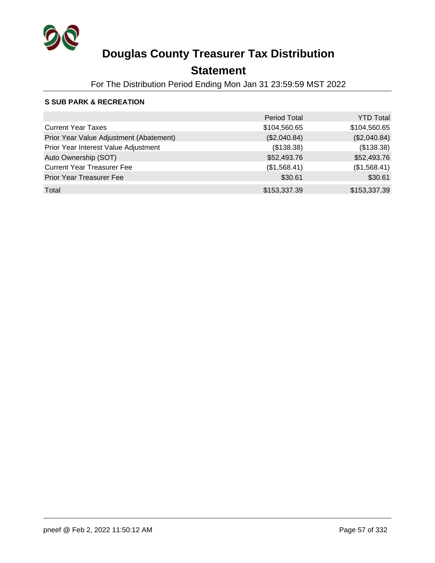

## **Statement**

For The Distribution Period Ending Mon Jan 31 23:59:59 MST 2022

#### **S SUB PARK & RECREATION**

|                                         | Period Total | <b>YTD Total</b> |
|-----------------------------------------|--------------|------------------|
| <b>Current Year Taxes</b>               | \$104,560.65 | \$104,560.65     |
| Prior Year Value Adjustment (Abatement) | (\$2,040.84) | (\$2,040.84)     |
| Prior Year Interest Value Adjustment    | (\$138.38)   | (\$138.38)       |
| Auto Ownership (SOT)                    | \$52,493.76  | \$52,493.76      |
| <b>Current Year Treasurer Fee</b>       | (\$1,568.41) | (\$1,568.41)     |
| <b>Prior Year Treasurer Fee</b>         | \$30.61      | \$30.61          |
| Total                                   | \$153,337.39 | \$153,337.39     |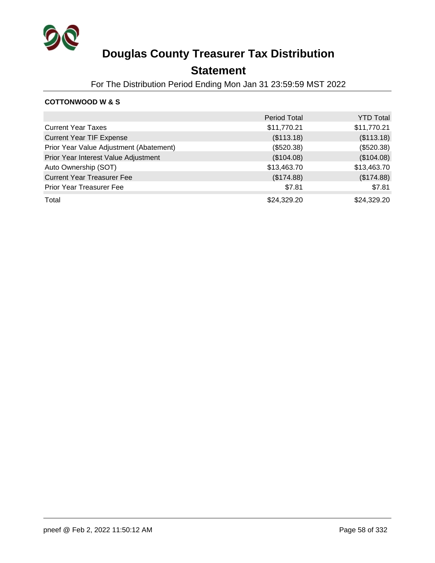

### **Statement**

For The Distribution Period Ending Mon Jan 31 23:59:59 MST 2022

#### **COTTONWOOD W & S**

|                                         | <b>Period Total</b> | <b>YTD Total</b> |
|-----------------------------------------|---------------------|------------------|
| <b>Current Year Taxes</b>               | \$11,770.21         | \$11,770.21      |
| <b>Current Year TIF Expense</b>         | (\$113.18)          | (\$113.18)       |
| Prior Year Value Adjustment (Abatement) | (\$520.38)          | (\$520.38)       |
| Prior Year Interest Value Adjustment    | (\$104.08)          | (\$104.08)       |
| Auto Ownership (SOT)                    | \$13,463.70         | \$13,463.70      |
| <b>Current Year Treasurer Fee</b>       | (\$174.88)          | (\$174.88)       |
| Prior Year Treasurer Fee                | \$7.81              | \$7.81           |
| Total                                   | \$24,329.20         | \$24,329.20      |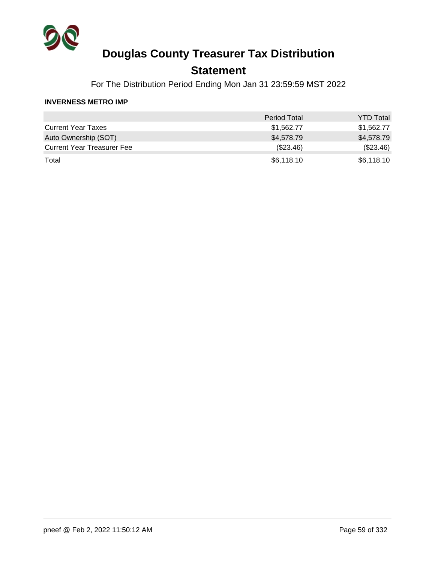

### **Statement**

For The Distribution Period Ending Mon Jan 31 23:59:59 MST 2022

#### **INVERNESS METRO IMP**

|                                   | <b>Period Total</b> | <b>YTD Total</b> |
|-----------------------------------|---------------------|------------------|
| <b>Current Year Taxes</b>         | \$1,562.77          | \$1,562.77       |
| Auto Ownership (SOT)              | \$4,578.79          | \$4,578.79       |
| <b>Current Year Treasurer Fee</b> | $(\$23.46)$         | (\$23.46)        |
| Total                             | \$6,118.10          | \$6,118.10       |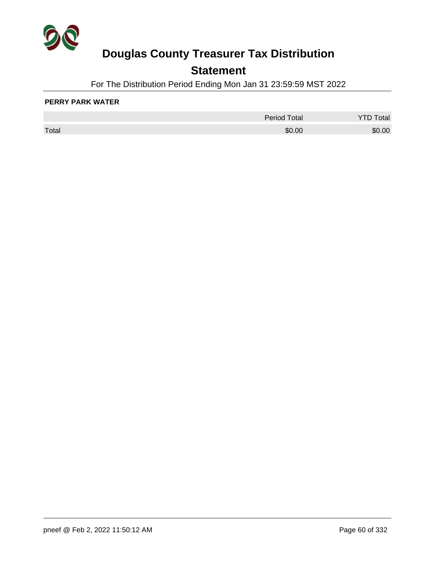

## **Statement**

For The Distribution Period Ending Mon Jan 31 23:59:59 MST 2022

#### **PERRY PARK WATER**

|       | <b>Period Total</b> | otal   |
|-------|---------------------|--------|
| Total | \$0.00              | \$0.00 |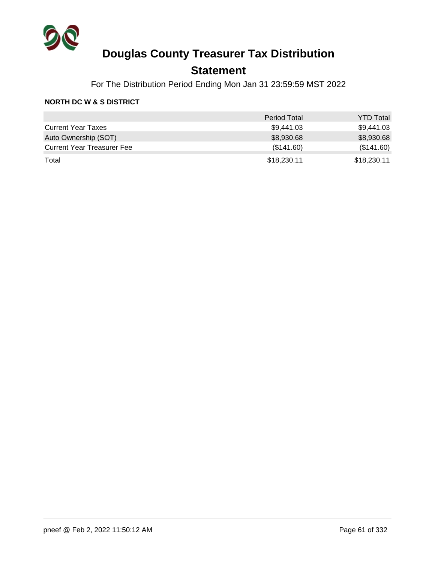

### **Statement**

For The Distribution Period Ending Mon Jan 31 23:59:59 MST 2022

#### **NORTH DC W & S DISTRICT**

|                                   | <b>Period Total</b> | <b>YTD Total</b> |
|-----------------------------------|---------------------|------------------|
| <b>Current Year Taxes</b>         | \$9,441.03          | \$9,441.03       |
| Auto Ownership (SOT)              | \$8,930.68          | \$8,930.68       |
| <b>Current Year Treasurer Fee</b> | (\$141.60)          | (\$141.60)       |
| Total                             | \$18,230.11         | \$18,230.11      |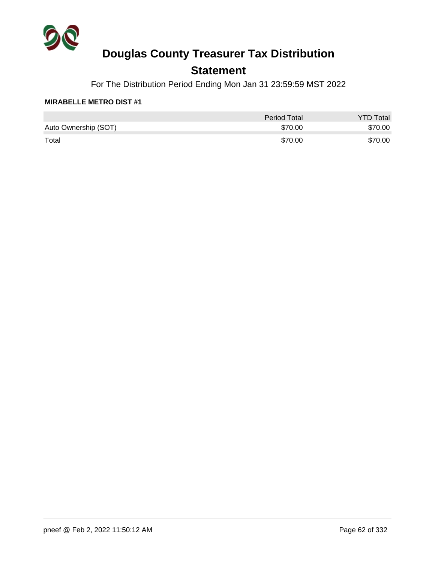

## **Statement**

For The Distribution Period Ending Mon Jan 31 23:59:59 MST 2022

#### **MIRABELLE METRO DIST #1**

|                      | <b>Period Total</b> | <b>YTD Total</b> |
|----------------------|---------------------|------------------|
| Auto Ownership (SOT) | \$70.00             | \$70.00          |
| Total                | \$70.00             | \$70.00          |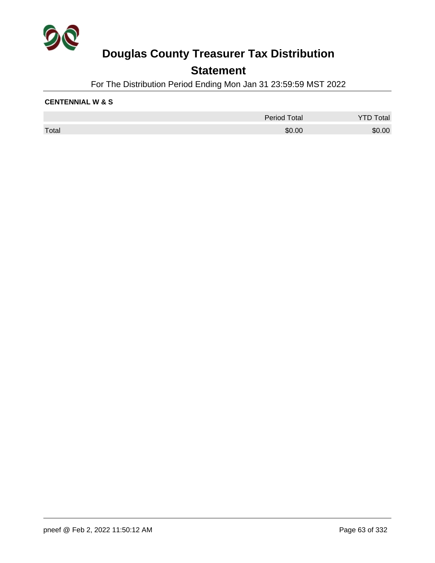

### **Statement**

For The Distribution Period Ending Mon Jan 31 23:59:59 MST 2022

#### **CENTENNIAL W & S**

|       | <b>Period Total</b> | Total  |
|-------|---------------------|--------|
| Total | \$0.00              | \$0.00 |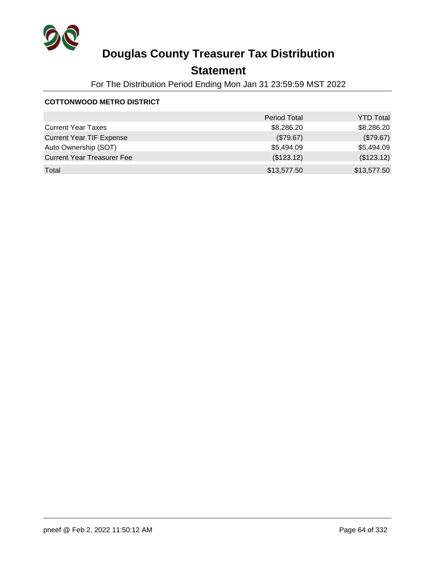

## **Statement**

For The Distribution Period Ending Mon Jan 31 23:59:59 MST 2022

#### **COTTONWOOD METRO DISTRICT**

|                                   | <b>Period Total</b> | <b>YTD Total</b> |
|-----------------------------------|---------------------|------------------|
| <b>Current Year Taxes</b>         | \$8,286.20          | \$8,286.20       |
| <b>Current Year TIF Expense</b>   | (\$79.67)           | (\$79.67)        |
| Auto Ownership (SOT)              | \$5,494.09          | \$5,494.09       |
| <b>Current Year Treasurer Fee</b> | (\$123.12)          | (\$123.12)       |
| Total                             | \$13,577.50         | \$13,577.50      |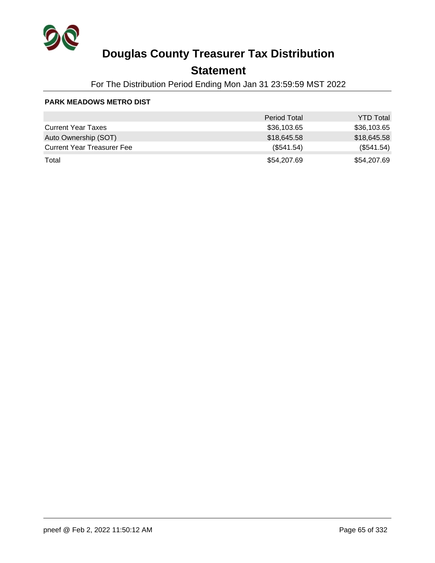

### **Statement**

For The Distribution Period Ending Mon Jan 31 23:59:59 MST 2022

#### **PARK MEADOWS METRO DIST**

|                                   | <b>Period Total</b> | <b>YTD Total</b> |
|-----------------------------------|---------------------|------------------|
| <b>Current Year Taxes</b>         | \$36,103.65         | \$36,103.65      |
| Auto Ownership (SOT)              | \$18,645.58         | \$18,645.58      |
| <b>Current Year Treasurer Fee</b> | (\$541.54)          | (\$541.54)       |
| Total                             | \$54,207.69         | \$54,207.69      |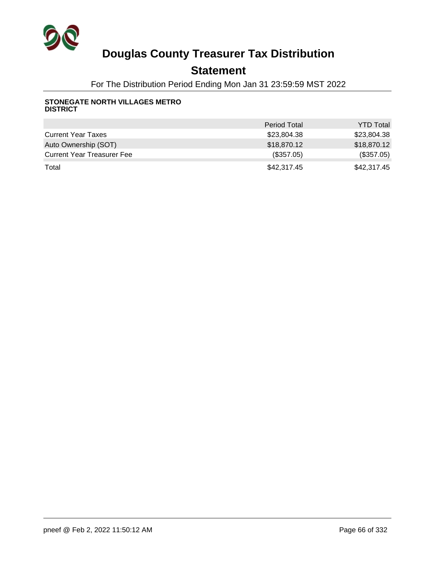

### **Statement**

For The Distribution Period Ending Mon Jan 31 23:59:59 MST 2022

#### **STONEGATE NORTH VILLAGES METRO DISTRICT**

|                                   | <b>Period Total</b> | <b>YTD Total</b> |
|-----------------------------------|---------------------|------------------|
| <b>Current Year Taxes</b>         | \$23.804.38         | \$23,804.38      |
| Auto Ownership (SOT)              | \$18,870.12         | \$18,870.12      |
| <b>Current Year Treasurer Fee</b> | (\$357.05)          | (\$357.05)       |
| Total                             | \$42,317.45         | \$42,317.45      |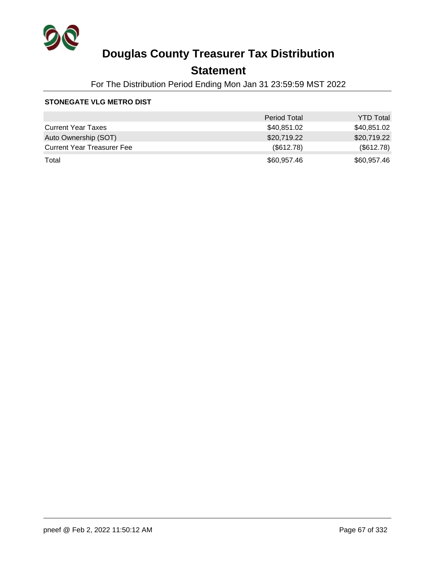

### **Statement**

For The Distribution Period Ending Mon Jan 31 23:59:59 MST 2022

#### **STONEGATE VLG METRO DIST**

|                                   | <b>Period Total</b> | <b>YTD Total</b> |
|-----------------------------------|---------------------|------------------|
| <b>Current Year Taxes</b>         | \$40,851.02         | \$40,851.02      |
| Auto Ownership (SOT)              | \$20,719.22         | \$20,719.22      |
| <b>Current Year Treasurer Fee</b> | (\$612.78)          | (\$612.78)       |
| Total                             | \$60,957.46         | \$60,957.46      |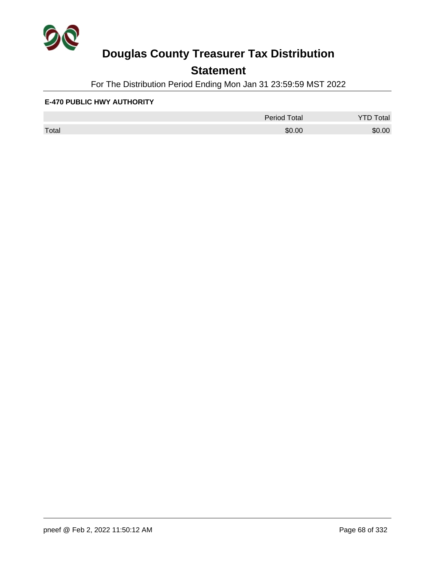

## **Statement**

For The Distribution Period Ending Mon Jan 31 23:59:59 MST 2022

#### **E-470 PUBLIC HWY AUTHORITY**

|       | <b>Period Total</b> | otal<br>້ |
|-------|---------------------|-----------|
| Total | \$0.00              | \$0.00    |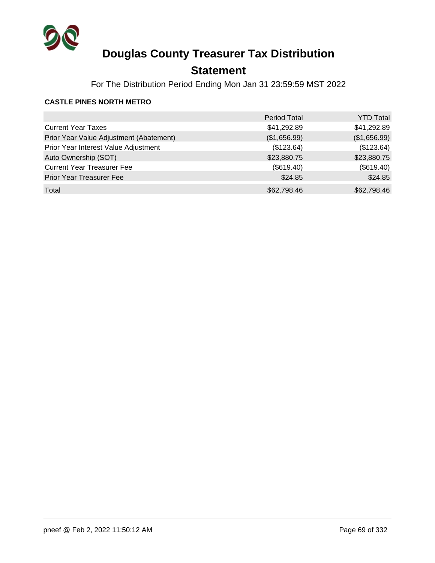

## **Statement**

For The Distribution Period Ending Mon Jan 31 23:59:59 MST 2022

#### **CASTLE PINES NORTH METRO**

|                                         | <b>Period Total</b> | <b>YTD Total</b> |
|-----------------------------------------|---------------------|------------------|
| <b>Current Year Taxes</b>               | \$41,292.89         | \$41,292.89      |
| Prior Year Value Adjustment (Abatement) | (\$1,656.99)        | (\$1,656.99)     |
| Prior Year Interest Value Adjustment    | (\$123.64)          | (\$123.64)       |
| Auto Ownership (SOT)                    | \$23,880.75         | \$23,880.75      |
| <b>Current Year Treasurer Fee</b>       | (\$619.40)          | (\$619.40)       |
| <b>Prior Year Treasurer Fee</b>         | \$24.85             | \$24.85          |
| Total                                   | \$62,798.46         | \$62,798.46      |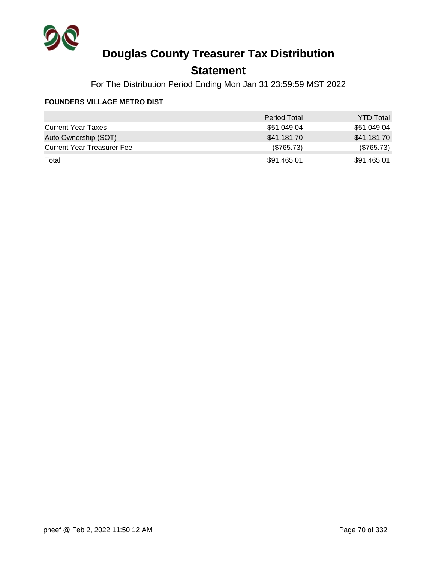

## **Statement**

For The Distribution Period Ending Mon Jan 31 23:59:59 MST 2022

#### **FOUNDERS VILLAGE METRO DIST**

|                                   | <b>Period Total</b> | <b>YTD Total</b> |
|-----------------------------------|---------------------|------------------|
| <b>Current Year Taxes</b>         | \$51,049.04         | \$51,049.04      |
| Auto Ownership (SOT)              | \$41,181.70         | \$41,181.70      |
| <b>Current Year Treasurer Fee</b> | (\$765.73)          | (\$765.73)       |
| Total                             | \$91,465.01         | \$91,465.01      |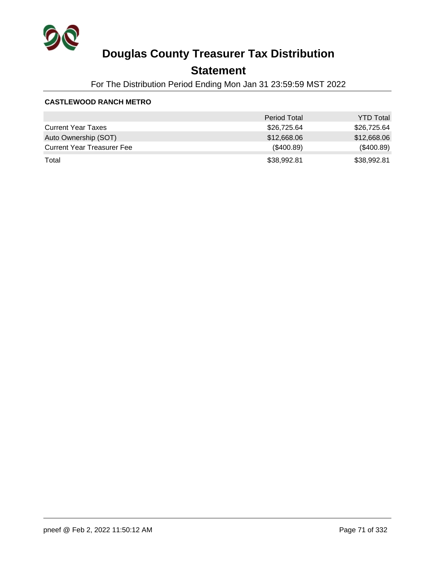

## **Statement**

For The Distribution Period Ending Mon Jan 31 23:59:59 MST 2022

#### **CASTLEWOOD RANCH METRO**

|                                   | <b>Period Total</b> | <b>YTD Total</b> |
|-----------------------------------|---------------------|------------------|
| <b>Current Year Taxes</b>         | \$26,725.64         | \$26,725.64      |
| Auto Ownership (SOT)              | \$12,668.06         | \$12,668.06      |
| <b>Current Year Treasurer Fee</b> | (\$400.89)          | (\$400.89)       |
| Total                             | \$38,992.81         | \$38,992.81      |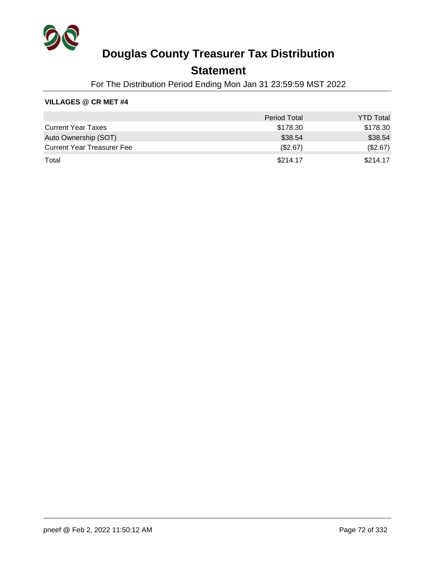

### **Statement**

For The Distribution Period Ending Mon Jan 31 23:59:59 MST 2022

#### **VILLAGES @ CR MET #4**

|                                   | <b>Period Total</b> | <b>YTD Total</b> |
|-----------------------------------|---------------------|------------------|
| <b>Current Year Taxes</b>         | \$178.30            | \$178.30         |
| Auto Ownership (SOT)              | \$38.54             | \$38.54          |
| <b>Current Year Treasurer Fee</b> | (\$2.67)            | (\$2.67)         |
| Total                             | \$214.17            | \$214.17         |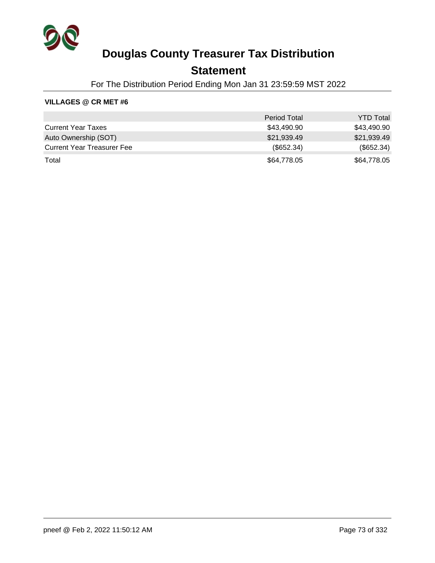

## **Statement**

For The Distribution Period Ending Mon Jan 31 23:59:59 MST 2022

### **VILLAGES @ CR MET #6**

|                                   | <b>Period Total</b> | <b>YTD Total</b> |
|-----------------------------------|---------------------|------------------|
| <b>Current Year Taxes</b>         | \$43,490.90         | \$43,490.90      |
| Auto Ownership (SOT)              | \$21,939.49         | \$21,939.49      |
| <b>Current Year Treasurer Fee</b> | (\$652.34)          | (\$652.34)       |
| Total                             | \$64,778,05         | \$64,778.05      |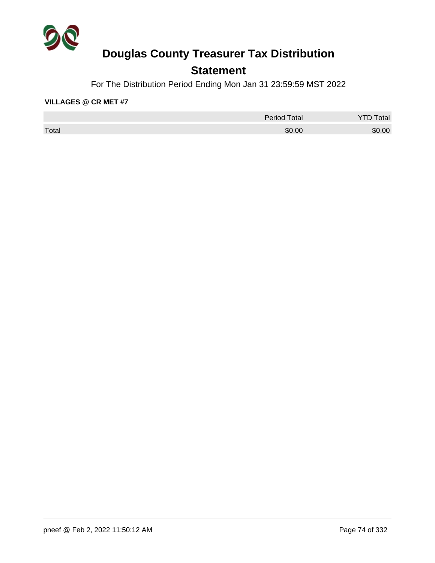

## **Statement**

For The Distribution Period Ending Mon Jan 31 23:59:59 MST 2022

#### **VILLAGES @ CR MET #7**

|       | <b>Period Total</b> | otal   |
|-------|---------------------|--------|
| Total | \$0.00              | \$0.00 |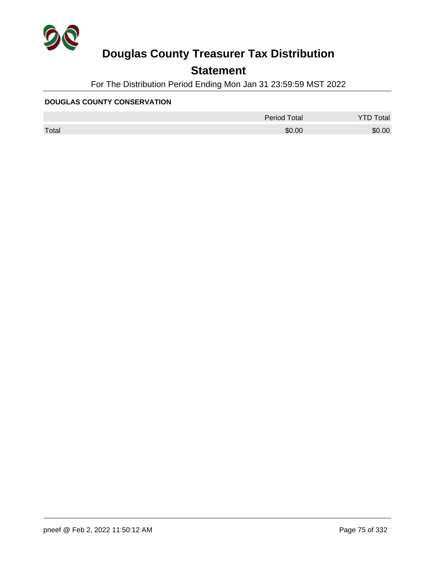

## **Statement**

For The Distribution Period Ending Mon Jan 31 23:59:59 MST 2022

#### **DOUGLAS COUNTY CONSERVATION**

|       | <b>Period Total</b> | otal<br>້ |
|-------|---------------------|-----------|
| Total | \$0.00              | \$0.00    |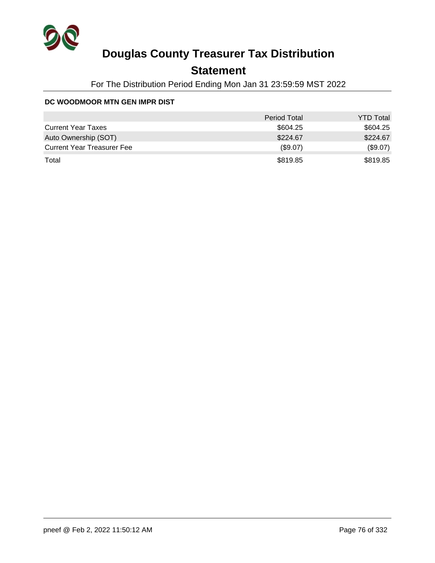

## **Statement**

For The Distribution Period Ending Mon Jan 31 23:59:59 MST 2022

### **DC WOODMOOR MTN GEN IMPR DIST**

|                                   | <b>Period Total</b> | <b>YTD Total</b> |
|-----------------------------------|---------------------|------------------|
| <b>Current Year Taxes</b>         | \$604.25            | \$604.25         |
| Auto Ownership (SOT)              | \$224.67            | \$224.67         |
| <b>Current Year Treasurer Fee</b> | (\$9.07)            | (\$9.07)         |
| Total                             | \$819.85            | \$819.85         |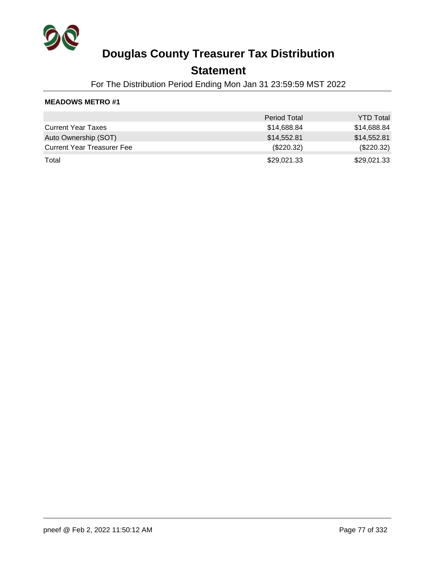

### **Statement**

For The Distribution Period Ending Mon Jan 31 23:59:59 MST 2022

|                                   | <b>Period Total</b> | <b>YTD Total</b> |
|-----------------------------------|---------------------|------------------|
| <b>Current Year Taxes</b>         | \$14,688.84         | \$14,688.84      |
| Auto Ownership (SOT)              | \$14,552.81         | \$14,552.81      |
| <b>Current Year Treasurer Fee</b> | $(\$220.32)$        | $(\$220.32)$     |
| Total                             | \$29,021.33         | \$29,021.33      |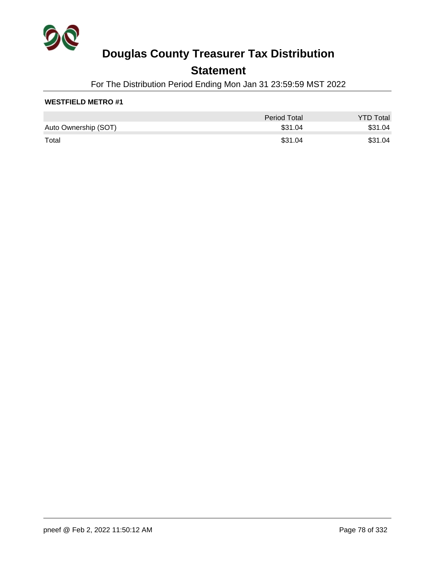

## **Statement**

For The Distribution Period Ending Mon Jan 31 23:59:59 MST 2022

### **WESTFIELD METRO #1**

|                      | Period Total | <b>YTD Total</b> |
|----------------------|--------------|------------------|
| Auto Ownership (SOT) | \$31.04      | \$31.04          |
| Total                | \$31.04      | \$31.04          |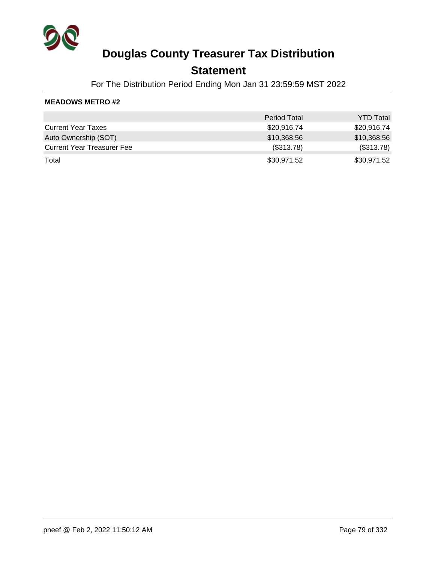

### **Statement**

For The Distribution Period Ending Mon Jan 31 23:59:59 MST 2022

|                                   | <b>Period Total</b> | <b>YTD Total</b> |
|-----------------------------------|---------------------|------------------|
| <b>Current Year Taxes</b>         | \$20,916.74         | \$20,916.74      |
| Auto Ownership (SOT)              | \$10,368.56         | \$10,368.56      |
| <b>Current Year Treasurer Fee</b> | (\$313.78)          | (\$313.78)       |
| Total                             | \$30,971.52         | \$30,971.52      |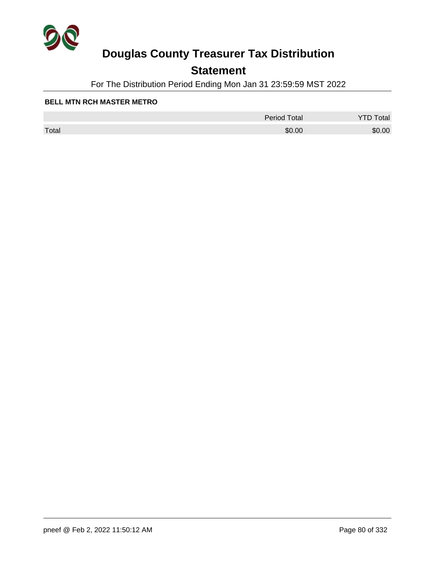

## **Statement**

For The Distribution Period Ending Mon Jan 31 23:59:59 MST 2022

#### **BELL MTN RCH MASTER METRO**

|       | <b>Period Total</b> | otal   |
|-------|---------------------|--------|
| Total | \$0.00              | \$0.00 |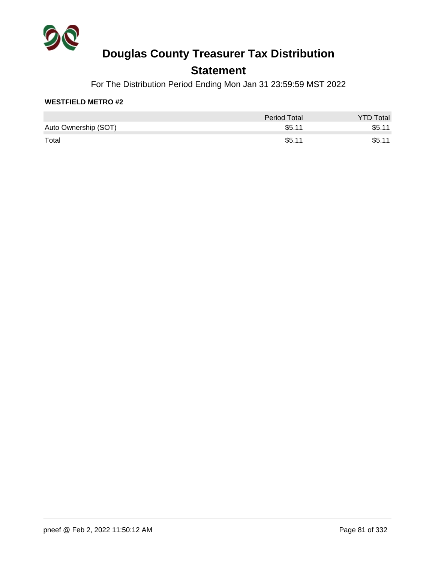

## **Statement**

For The Distribution Period Ending Mon Jan 31 23:59:59 MST 2022

### **WESTFIELD METRO #2**

|                      | <b>Period Total</b> | <b>YTD Total</b> |
|----------------------|---------------------|------------------|
| Auto Ownership (SOT) | \$5.11              | \$5.11           |
| Total                | \$5.11              | \$5.11           |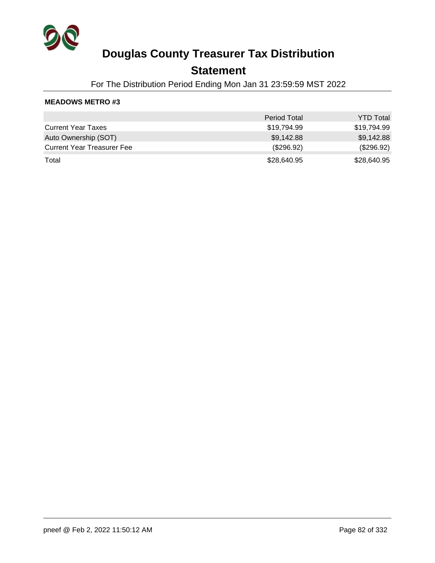

### **Statement**

For The Distribution Period Ending Mon Jan 31 23:59:59 MST 2022

|                                   | <b>Period Total</b> | <b>YTD Total</b> |
|-----------------------------------|---------------------|------------------|
| <b>Current Year Taxes</b>         | \$19.794.99         | \$19,794.99      |
| Auto Ownership (SOT)              | \$9,142.88          | \$9,142.88       |
| <b>Current Year Treasurer Fee</b> | (\$296.92)          | (\$296.92)       |
| Total                             | \$28,640.95         | \$28,640.95      |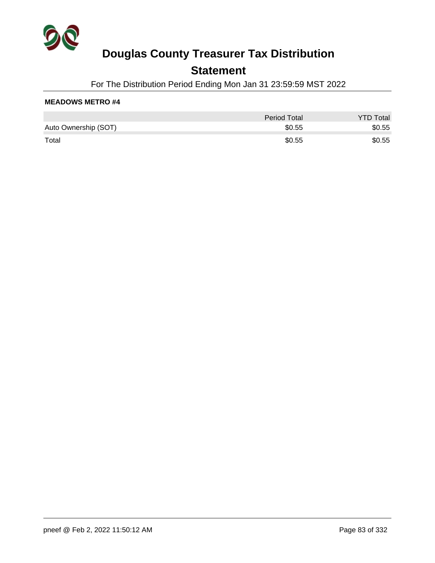

## **Statement**

For The Distribution Period Ending Mon Jan 31 23:59:59 MST 2022

|                      | Period Total | <b>YTD Total</b> |
|----------------------|--------------|------------------|
| Auto Ownership (SOT) | \$0.55       | \$0.55           |
| Total                | \$0.55       | \$0.55           |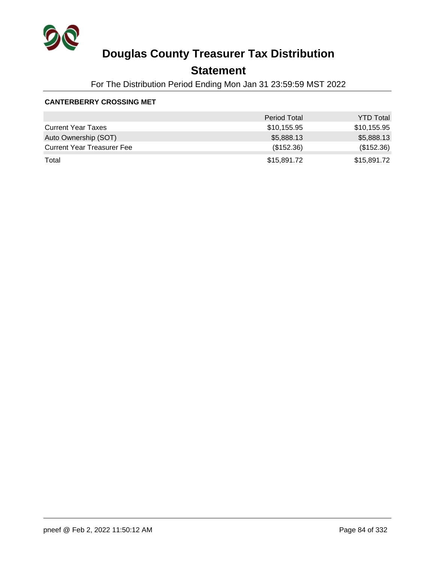

## **Statement**

For The Distribution Period Ending Mon Jan 31 23:59:59 MST 2022

#### **CANTERBERRY CROSSING MET**

|                                   | <b>Period Total</b> | <b>YTD Total</b> |
|-----------------------------------|---------------------|------------------|
| <b>Current Year Taxes</b>         | \$10,155.95         | \$10,155.95      |
| Auto Ownership (SOT)              | \$5,888.13          | \$5,888.13       |
| <b>Current Year Treasurer Fee</b> | (\$152.36)          | (\$152.36)       |
| Total                             | \$15,891.72         | \$15,891.72      |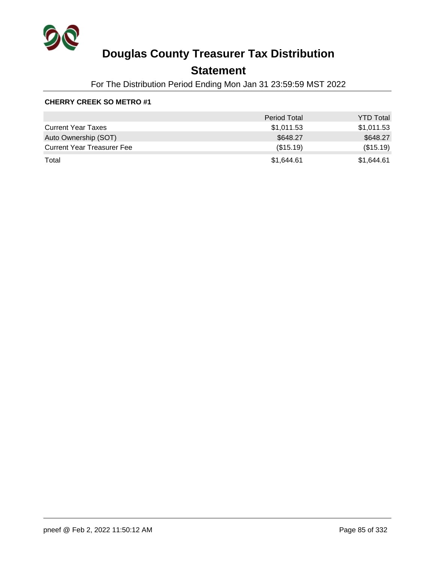

## **Statement**

For The Distribution Period Ending Mon Jan 31 23:59:59 MST 2022

### **CHERRY CREEK SO METRO #1**

|                                   | <b>Period Total</b> | <b>YTD Total</b> |
|-----------------------------------|---------------------|------------------|
| <b>Current Year Taxes</b>         | \$1,011.53          | \$1,011.53       |
| Auto Ownership (SOT)              | \$648.27            | \$648.27         |
| <b>Current Year Treasurer Fee</b> | (\$15.19)           | (\$15.19)        |
| Total                             | \$1,644.61          | \$1,644.61       |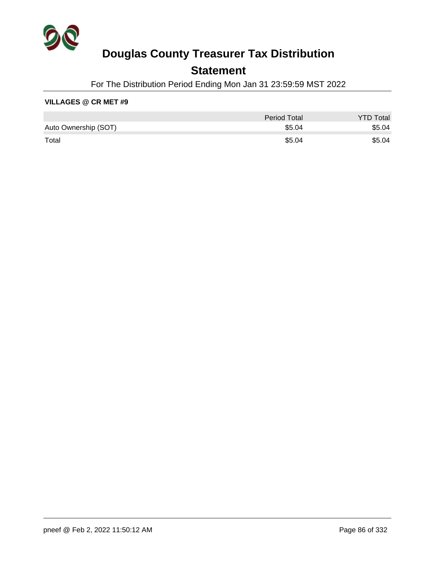

## **Statement**

For The Distribution Period Ending Mon Jan 31 23:59:59 MST 2022

#### **VILLAGES @ CR MET #9**

|                      | <b>Period Total</b> | <b>YTD Total</b> |
|----------------------|---------------------|------------------|
| Auto Ownership (SOT) | \$5.04              | \$5.04           |
| Total                | \$5.04              | \$5.04           |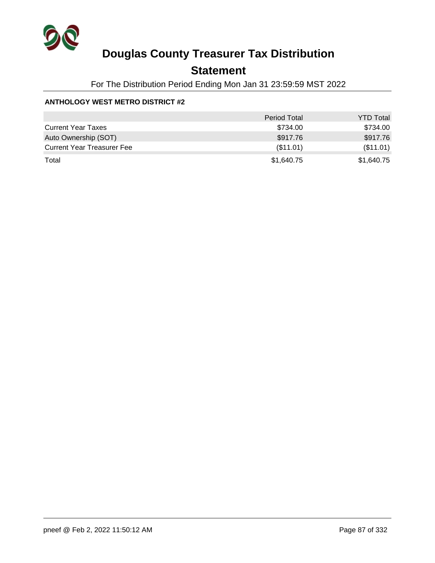

## **Statement**

For The Distribution Period Ending Mon Jan 31 23:59:59 MST 2022

### **ANTHOLOGY WEST METRO DISTRICT #2**

|                                   | <b>Period Total</b> | <b>YTD Total</b> |
|-----------------------------------|---------------------|------------------|
| <b>Current Year Taxes</b>         | \$734.00            | \$734.00         |
| Auto Ownership (SOT)              | \$917.76            | \$917.76         |
| <b>Current Year Treasurer Fee</b> | (\$11.01)           | (\$11.01)        |
| Total                             | \$1,640.75          | \$1,640.75       |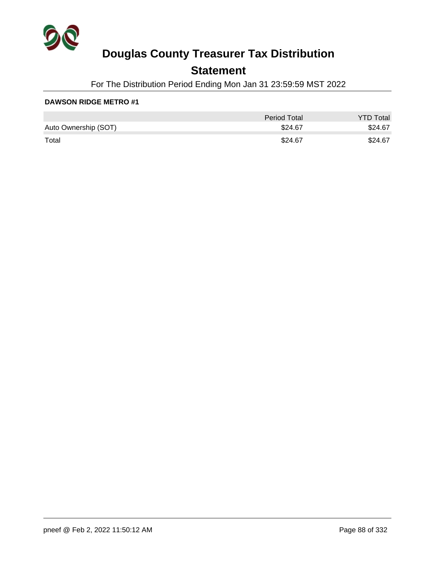

## **Statement**

For The Distribution Period Ending Mon Jan 31 23:59:59 MST 2022

|                      | <b>Period Total</b> | <b>YTD Total</b> |
|----------------------|---------------------|------------------|
| Auto Ownership (SOT) | \$24.67             | \$24.67          |
| Total                | \$24.67             | \$24.67          |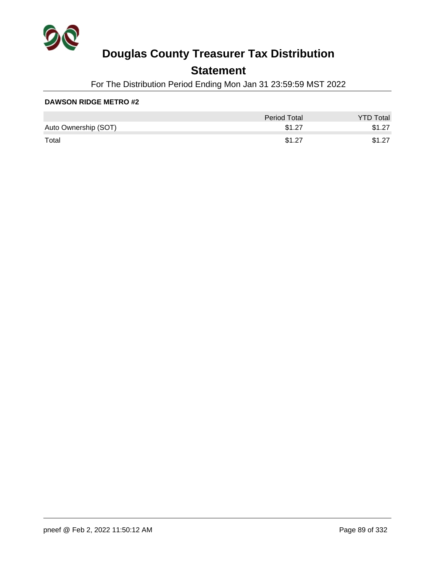

## **Statement**

For The Distribution Period Ending Mon Jan 31 23:59:59 MST 2022

|                      | <b>Period Total</b> | <b>YTD Total</b> |
|----------------------|---------------------|------------------|
| Auto Ownership (SOT) | \$1.27              | \$1.27           |
| Total                | \$1.27              | \$1.27           |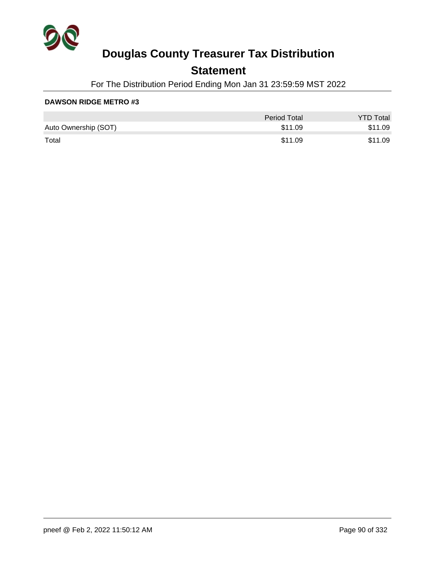

## **Statement**

For The Distribution Period Ending Mon Jan 31 23:59:59 MST 2022

|                      | <b>Period Total</b> | <b>YTD Total</b> |
|----------------------|---------------------|------------------|
| Auto Ownership (SOT) | \$11.09             | \$11.09          |
| Total                | \$11.09             | \$11.09          |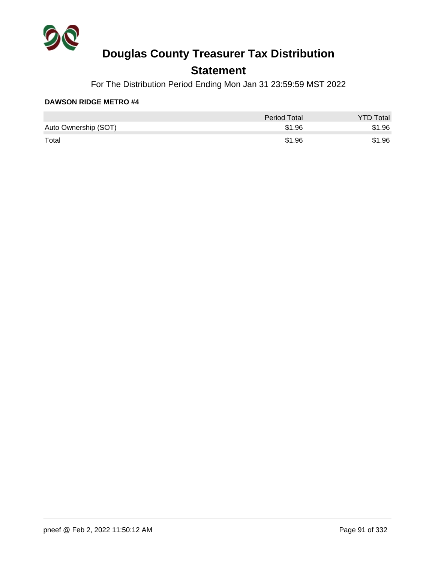

## **Statement**

For The Distribution Period Ending Mon Jan 31 23:59:59 MST 2022

|                      | Period Total | <b>YTD Total</b> |
|----------------------|--------------|------------------|
| Auto Ownership (SOT) | \$1.96       | \$1.96           |
| Total                | \$1.96       | \$1.96           |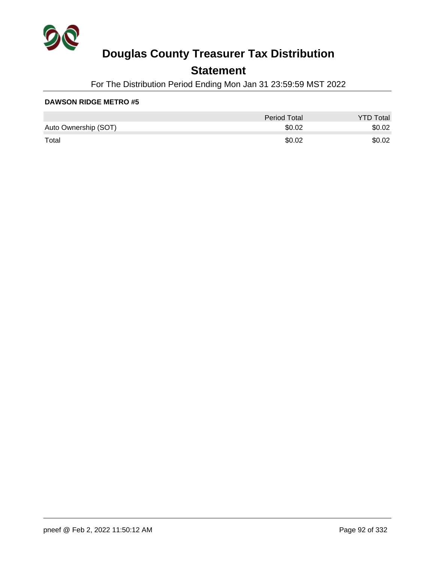

## **Statement**

For The Distribution Period Ending Mon Jan 31 23:59:59 MST 2022

|                      | <b>Period Total</b> | <b>YTD Total</b> |
|----------------------|---------------------|------------------|
| Auto Ownership (SOT) | \$0.02              | \$0.02           |
| Total                | \$0.02              | \$0.02           |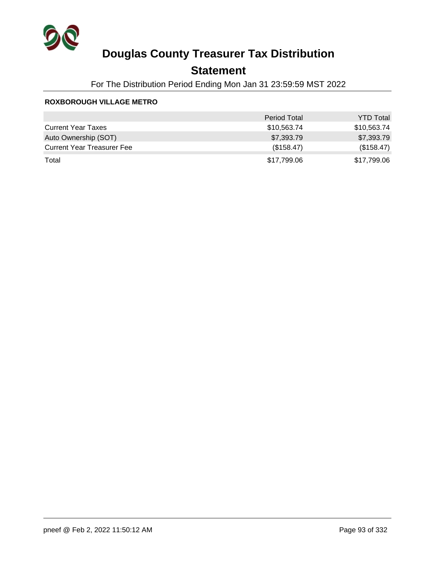

## **Statement**

For The Distribution Period Ending Mon Jan 31 23:59:59 MST 2022

### **ROXBOROUGH VILLAGE METRO**

|                                   | <b>Period Total</b> | <b>YTD Total</b> |
|-----------------------------------|---------------------|------------------|
| <b>Current Year Taxes</b>         | \$10,563.74         | \$10,563.74      |
| Auto Ownership (SOT)              | \$7,393.79          | \$7,393.79       |
| <b>Current Year Treasurer Fee</b> | (\$158.47)          | (\$158.47)       |
| Total                             | \$17,799.06         | \$17,799.06      |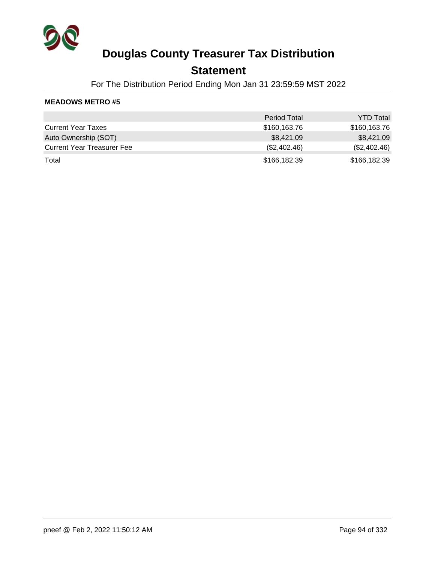

### **Statement**

For The Distribution Period Ending Mon Jan 31 23:59:59 MST 2022

|                                   | <b>Period Total</b> | <b>YTD Total</b> |
|-----------------------------------|---------------------|------------------|
| <b>Current Year Taxes</b>         | \$160,163.76        | \$160,163.76     |
| Auto Ownership (SOT)              | \$8,421.09          | \$8,421.09       |
| <b>Current Year Treasurer Fee</b> | (\$2,402.46)        | (\$2,402.46)     |
| Total                             | \$166,182.39        | \$166,182.39     |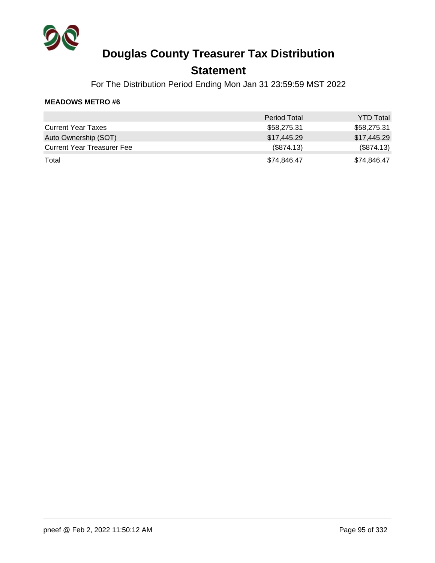

### **Statement**

For The Distribution Period Ending Mon Jan 31 23:59:59 MST 2022

|                                   | <b>Period Total</b> | <b>YTD Total</b> |
|-----------------------------------|---------------------|------------------|
| <b>Current Year Taxes</b>         | \$58,275.31         | \$58,275.31      |
| Auto Ownership (SOT)              | \$17,445.29         | \$17,445.29      |
| <b>Current Year Treasurer Fee</b> | (\$874.13)          | (\$874.13)       |
| Total                             | \$74,846.47         | \$74,846.47      |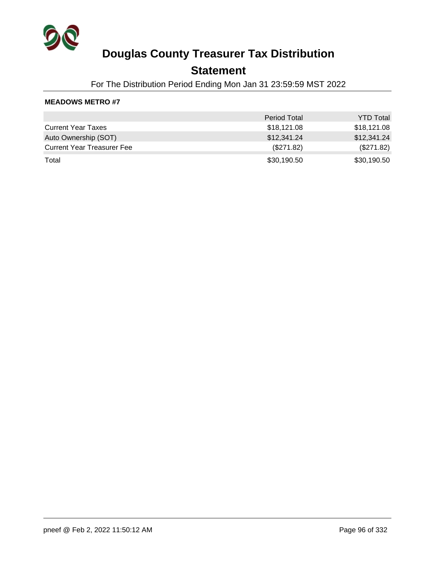

### **Statement**

For The Distribution Period Ending Mon Jan 31 23:59:59 MST 2022

|                                   | <b>Period Total</b> | <b>YTD Total</b> |
|-----------------------------------|---------------------|------------------|
| <b>Current Year Taxes</b>         | \$18,121.08         | \$18,121.08      |
| Auto Ownership (SOT)              | \$12,341.24         | \$12,341.24      |
| <b>Current Year Treasurer Fee</b> | (\$271.82)          | (\$271.82)       |
| Total                             | \$30,190.50         | \$30,190.50      |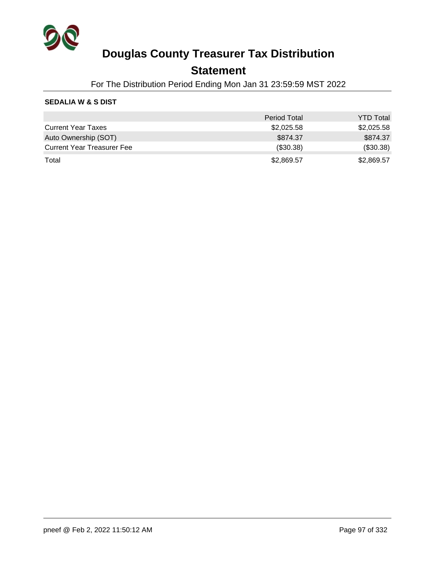

### **Statement**

For The Distribution Period Ending Mon Jan 31 23:59:59 MST 2022

### **SEDALIA W & S DIST**

|                                   | <b>Period Total</b> | <b>YTD Total</b> |
|-----------------------------------|---------------------|------------------|
| <b>Current Year Taxes</b>         | \$2,025.58          | \$2,025.58       |
| Auto Ownership (SOT)              | \$874.37            | \$874.37         |
| <b>Current Year Treasurer Fee</b> | (\$30.38)           | (\$30.38)        |
| Total                             | \$2,869.57          | \$2,869.57       |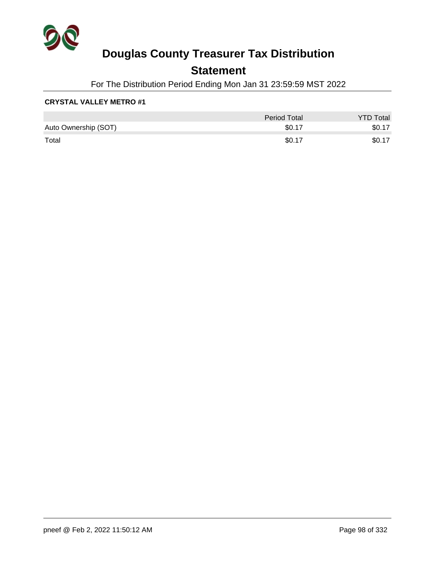

## **Statement**

For The Distribution Period Ending Mon Jan 31 23:59:59 MST 2022

### **CRYSTAL VALLEY METRO #1**

|                      | Period Total | <b>YTD Total</b> |
|----------------------|--------------|------------------|
| Auto Ownership (SOT) | \$0.17       | \$0.17           |
| Total                | \$0.17       | \$0.17           |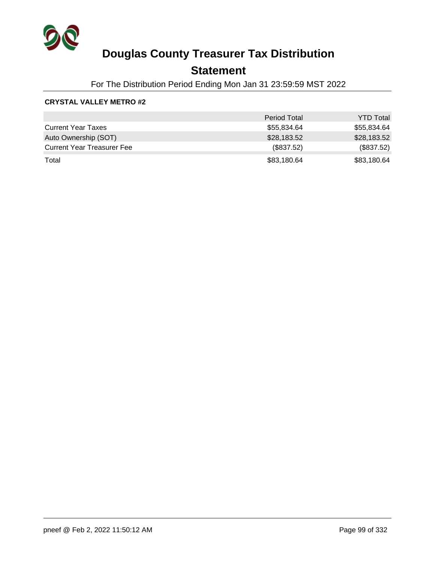

## **Statement**

For The Distribution Period Ending Mon Jan 31 23:59:59 MST 2022

### **CRYSTAL VALLEY METRO #2**

|                                   | <b>Period Total</b> | <b>YTD Total</b> |
|-----------------------------------|---------------------|------------------|
| <b>Current Year Taxes</b>         | \$55,834.64         | \$55,834.64      |
| Auto Ownership (SOT)              | \$28,183.52         | \$28,183.52      |
| <b>Current Year Treasurer Fee</b> | (\$837.52)          | (\$837.52)       |
| Total                             | \$83,180.64         | \$83,180.64      |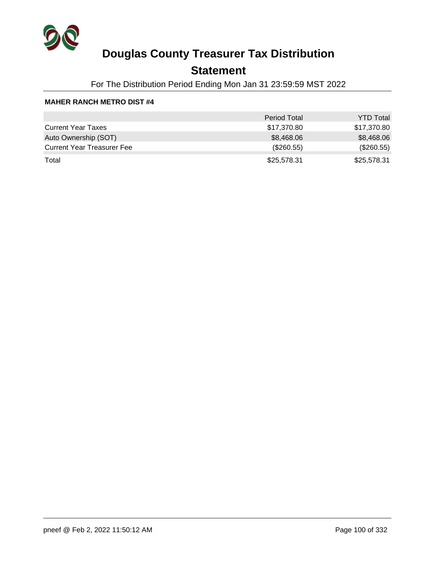

## **Statement**

For The Distribution Period Ending Mon Jan 31 23:59:59 MST 2022

#### **MAHER RANCH METRO DIST #4**

|                                   | <b>Period Total</b> | <b>YTD Total</b> |
|-----------------------------------|---------------------|------------------|
| <b>Current Year Taxes</b>         | \$17,370.80         | \$17,370.80      |
| Auto Ownership (SOT)              | \$8,468.06          | \$8,468.06       |
| <b>Current Year Treasurer Fee</b> | (\$260.55)          | (\$260.55)       |
| Total                             | \$25,578.31         | \$25,578.31      |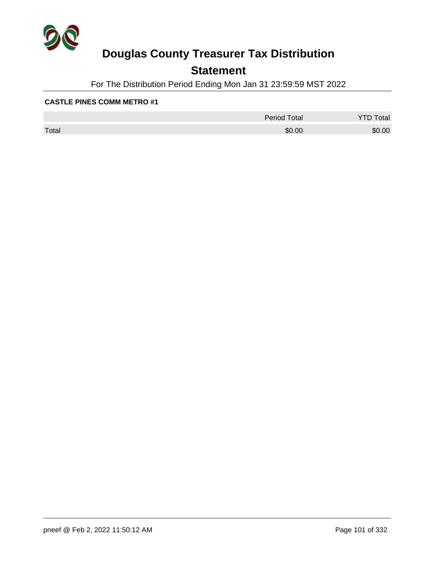

## **Statement**

For The Distribution Period Ending Mon Jan 31 23:59:59 MST 2022

|       | <b>Period Total</b> | otal   |
|-------|---------------------|--------|
| Total | \$0.00              | \$0.00 |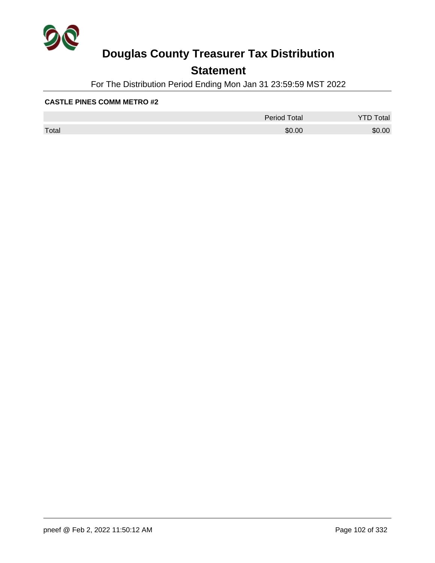

## **Statement**

For The Distribution Period Ending Mon Jan 31 23:59:59 MST 2022

|       | <b>Period Total</b> | otal<br>້ |
|-------|---------------------|-----------|
| Total | \$0.00              | \$0.00    |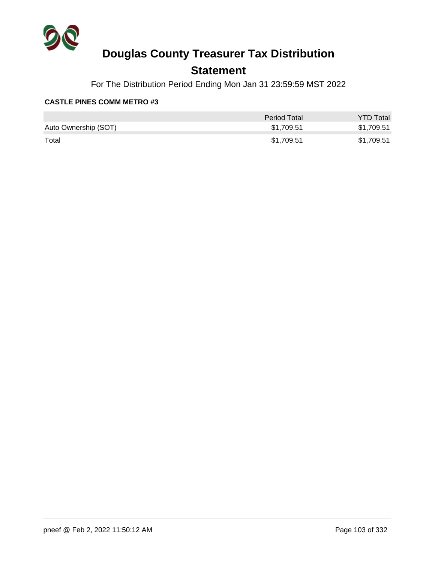

## **Statement**

For The Distribution Period Ending Mon Jan 31 23:59:59 MST 2022

|                      | Period Total | <b>YTD Total</b> |
|----------------------|--------------|------------------|
| Auto Ownership (SOT) | \$1.709.51   | \$1,709.51       |
| Total                | \$1,709.51   | \$1,709.51       |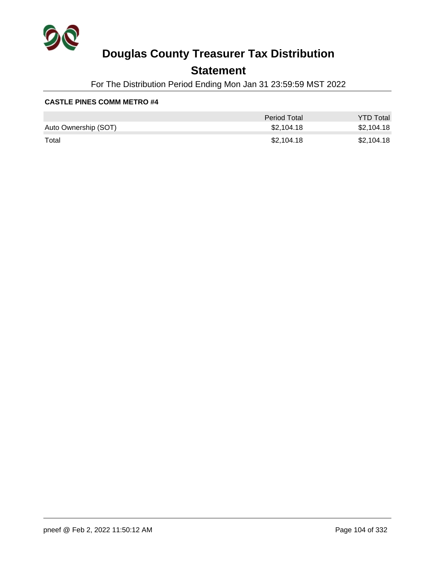

## **Statement**

For The Distribution Period Ending Mon Jan 31 23:59:59 MST 2022

|                      | <b>Period Total</b> | <b>YTD Total</b> |
|----------------------|---------------------|------------------|
| Auto Ownership (SOT) | \$2.104.18          | \$2,104.18       |
| Total                | \$2,104.18          | \$2,104.18       |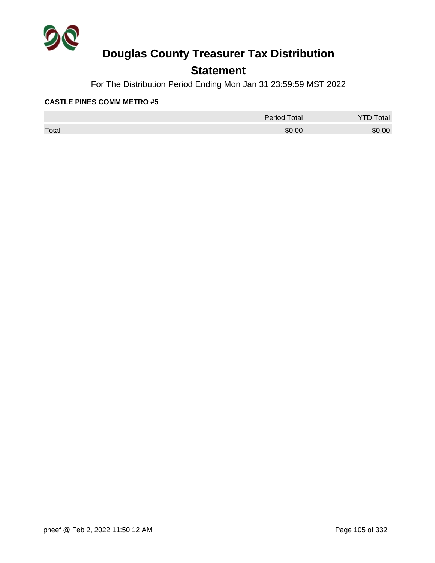

## **Statement**

For The Distribution Period Ending Mon Jan 31 23:59:59 MST 2022

|       | <b>Period Total</b> | otal<br>້ |
|-------|---------------------|-----------|
| Total | \$0.00              | \$0.00    |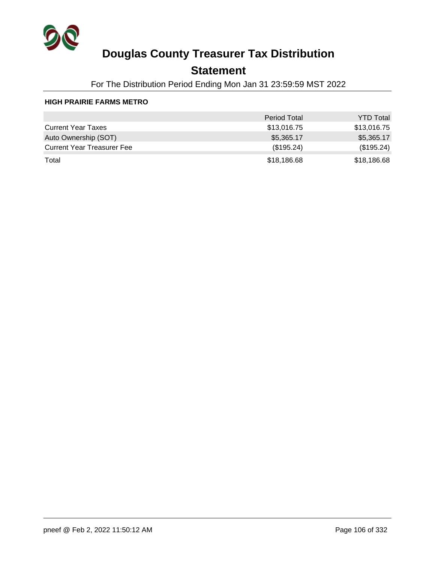

## **Statement**

For The Distribution Period Ending Mon Jan 31 23:59:59 MST 2022

### **HIGH PRAIRIE FARMS METRO**

|                                   | <b>Period Total</b> | <b>YTD Total</b> |
|-----------------------------------|---------------------|------------------|
| <b>Current Year Taxes</b>         | \$13,016.75         | \$13,016.75      |
| Auto Ownership (SOT)              | \$5,365.17          | \$5,365.17       |
| <b>Current Year Treasurer Fee</b> | (\$195.24)          | (\$195.24)       |
| Total                             | \$18,186.68         | \$18,186.68      |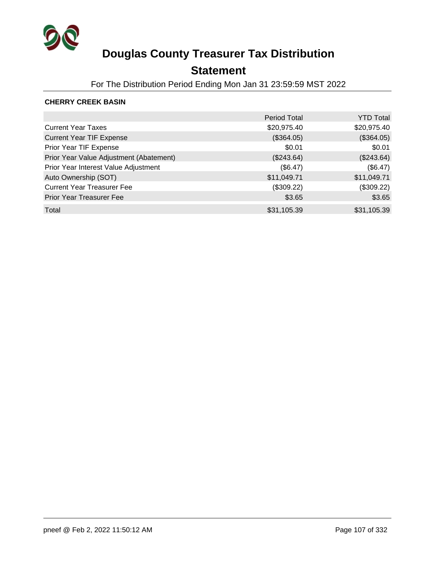

## **Statement**

For The Distribution Period Ending Mon Jan 31 23:59:59 MST 2022

### **CHERRY CREEK BASIN**

|                                         | <b>Period Total</b> | <b>YTD Total</b> |
|-----------------------------------------|---------------------|------------------|
| <b>Current Year Taxes</b>               | \$20,975.40         | \$20,975.40      |
| <b>Current Year TIF Expense</b>         | (\$364.05)          | (\$364.05)       |
| Prior Year TIF Expense                  | \$0.01              | \$0.01           |
| Prior Year Value Adjustment (Abatement) | (\$243.64)          | (\$243.64)       |
| Prior Year Interest Value Adjustment    | (\$6.47)            | (\$6.47)         |
| Auto Ownership (SOT)                    | \$11,049.71         | \$11,049.71      |
| <b>Current Year Treasurer Fee</b>       | (\$309.22)          | (\$309.22)       |
| <b>Prior Year Treasurer Fee</b>         | \$3.65              | \$3.65           |
| Total                                   | \$31,105.39         | \$31,105.39      |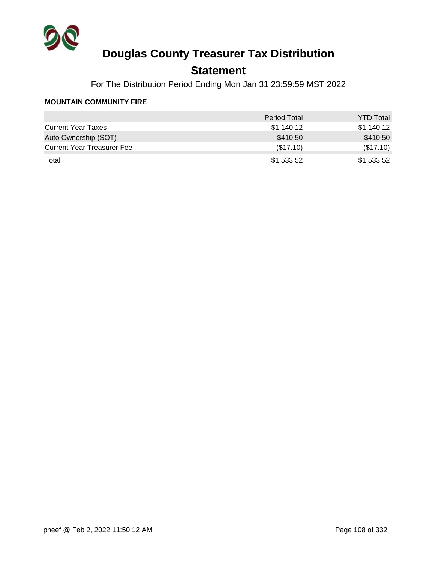

## **Statement**

For The Distribution Period Ending Mon Jan 31 23:59:59 MST 2022

#### **MOUNTAIN COMMUNITY FIRE**

|                                   | <b>Period Total</b> | <b>YTD Total</b> |
|-----------------------------------|---------------------|------------------|
| <b>Current Year Taxes</b>         | \$1,140.12          | \$1,140.12       |
| Auto Ownership (SOT)              | \$410.50            | \$410.50         |
| <b>Current Year Treasurer Fee</b> | (\$17.10)           | (\$17.10)        |
| Total                             | \$1,533.52          | \$1,533.52       |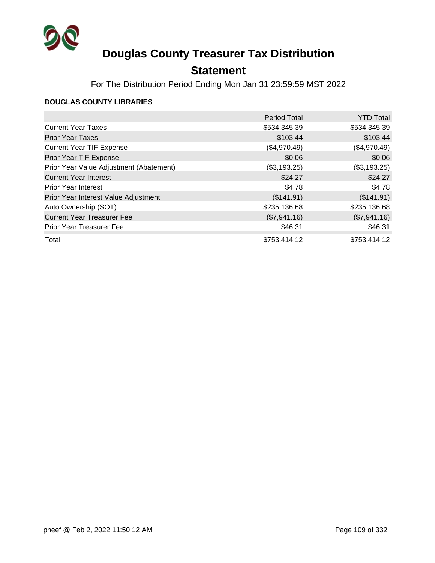

## **Statement**

For The Distribution Period Ending Mon Jan 31 23:59:59 MST 2022

### **DOUGLAS COUNTY LIBRARIES**

|                                         | <b>Period Total</b> | <b>YTD Total</b> |
|-----------------------------------------|---------------------|------------------|
| <b>Current Year Taxes</b>               | \$534,345.39        | \$534,345.39     |
| <b>Prior Year Taxes</b>                 | \$103.44            | \$103.44         |
| <b>Current Year TIF Expense</b>         | (\$4,970.49)        | (\$4,970.49)     |
| Prior Year TIF Expense                  | \$0.06              | \$0.06           |
| Prior Year Value Adjustment (Abatement) | (\$3,193.25)        | (\$3,193.25)     |
| <b>Current Year Interest</b>            | \$24.27             | \$24.27          |
| <b>Prior Year Interest</b>              | \$4.78              | \$4.78           |
| Prior Year Interest Value Adjustment    | (\$141.91)          | (\$141.91)       |
| Auto Ownership (SOT)                    | \$235,136.68        | \$235,136.68     |
| <b>Current Year Treasurer Fee</b>       | (\$7,941.16)        | (\$7,941.16)     |
| <b>Prior Year Treasurer Fee</b>         | \$46.31             | \$46.31          |
| Total                                   | \$753,414.12        | \$753,414.12     |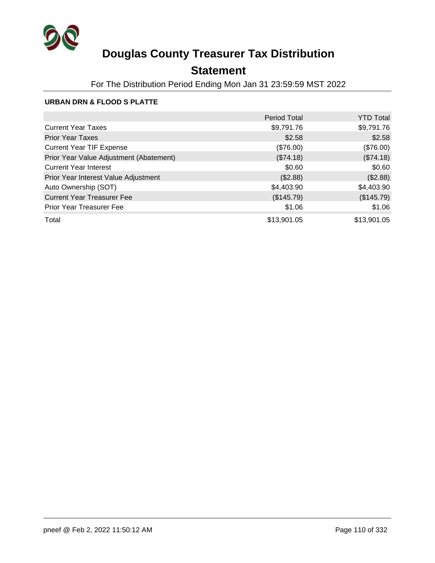

## **Statement**

For The Distribution Period Ending Mon Jan 31 23:59:59 MST 2022

### **URBAN DRN & FLOOD S PLATTE**

|                                         | <b>Period Total</b> | <b>YTD Total</b> |
|-----------------------------------------|---------------------|------------------|
| <b>Current Year Taxes</b>               | \$9,791.76          | \$9,791.76       |
| <b>Prior Year Taxes</b>                 | \$2.58              | \$2.58           |
| <b>Current Year TIF Expense</b>         | (\$76.00)           | (\$76.00)        |
| Prior Year Value Adjustment (Abatement) | (\$74.18)           | (\$74.18)        |
| <b>Current Year Interest</b>            | \$0.60              | \$0.60           |
| Prior Year Interest Value Adjustment    | (\$2.88)            | (\$2.88)         |
| Auto Ownership (SOT)                    | \$4,403.90          | \$4,403.90       |
| <b>Current Year Treasurer Fee</b>       | (\$145.79)          | (\$145.79)       |
| Prior Year Treasurer Fee                | \$1.06              | \$1.06           |
| Total                                   | \$13,901.05         | \$13,901.05      |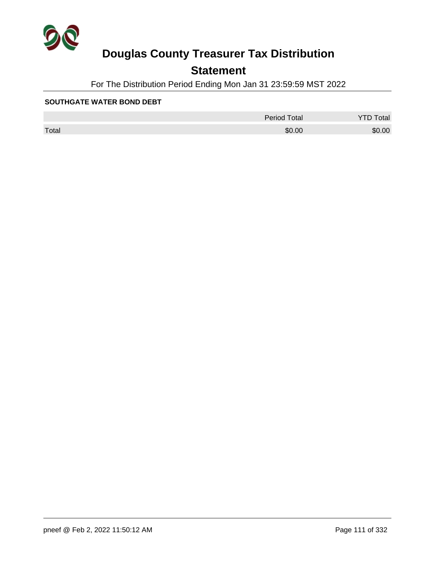

## **Statement**

For The Distribution Period Ending Mon Jan 31 23:59:59 MST 2022

#### **SOUTHGATE WATER BOND DEBT**

|       | <b>Period Total</b> | otal<br>້ |
|-------|---------------------|-----------|
| Total | \$0.00              | \$0.00    |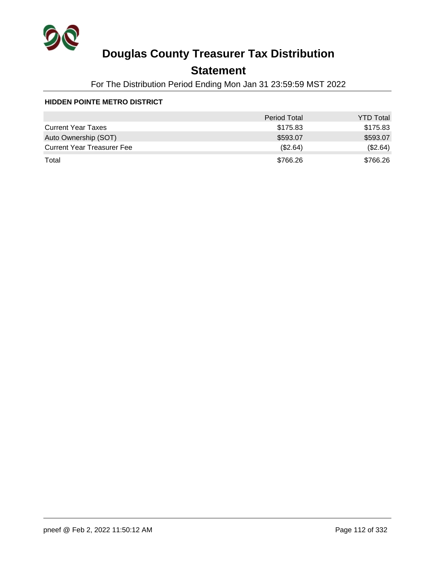

## **Statement**

For The Distribution Period Ending Mon Jan 31 23:59:59 MST 2022

#### **HIDDEN POINTE METRO DISTRICT**

|                                   | <b>Period Total</b> | <b>YTD Total</b> |
|-----------------------------------|---------------------|------------------|
| <b>Current Year Taxes</b>         | \$175.83            | \$175.83         |
| Auto Ownership (SOT)              | \$593.07            | \$593.07         |
| <b>Current Year Treasurer Fee</b> | (S2.64)             | (\$2.64)         |
| Total                             | \$766.26            | \$766.26         |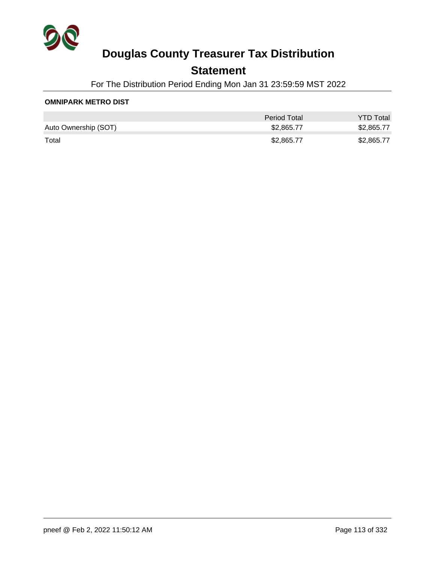

### **Statement**

For The Distribution Period Ending Mon Jan 31 23:59:59 MST 2022

### **OMNIPARK METRO DIST**

|                      | Period Total | <b>YTD Total</b> |
|----------------------|--------------|------------------|
| Auto Ownership (SOT) | \$2,865.77   | \$2,865.77       |
| Total                | \$2,865,77   | \$2,865.77       |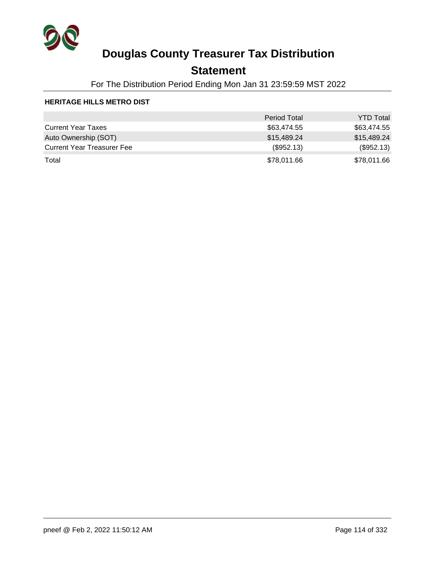

### **Statement**

For The Distribution Period Ending Mon Jan 31 23:59:59 MST 2022

### **HERITAGE HILLS METRO DIST**

|                                   | <b>Period Total</b> | <b>YTD Total</b> |
|-----------------------------------|---------------------|------------------|
| <b>Current Year Taxes</b>         | \$63.474.55         | \$63,474.55      |
| Auto Ownership (SOT)              | \$15,489.24         | \$15,489.24      |
| <b>Current Year Treasurer Fee</b> | (\$952.13)          | (\$952.13)       |
| Total                             | \$78,011.66         | \$78,011.66      |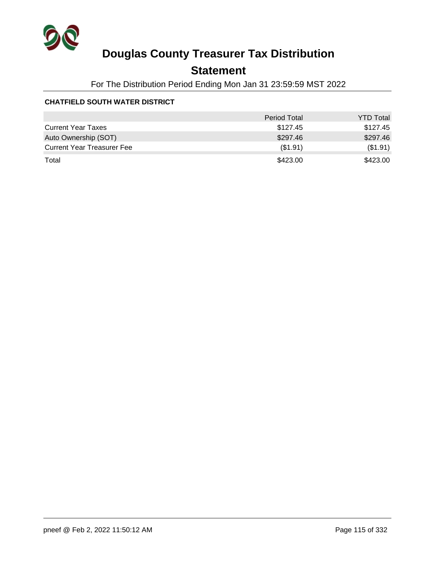

## **Statement**

For The Distribution Period Ending Mon Jan 31 23:59:59 MST 2022

### **CHATFIELD SOUTH WATER DISTRICT**

|                                   | <b>Period Total</b> | <b>YTD Total</b> |
|-----------------------------------|---------------------|------------------|
| <b>Current Year Taxes</b>         | \$127.45            | \$127.45         |
| Auto Ownership (SOT)              | \$297.46            | \$297.46         |
| <b>Current Year Treasurer Fee</b> | (\$1.91)            | (\$1.91)         |
| Total                             | \$423.00            | \$423.00         |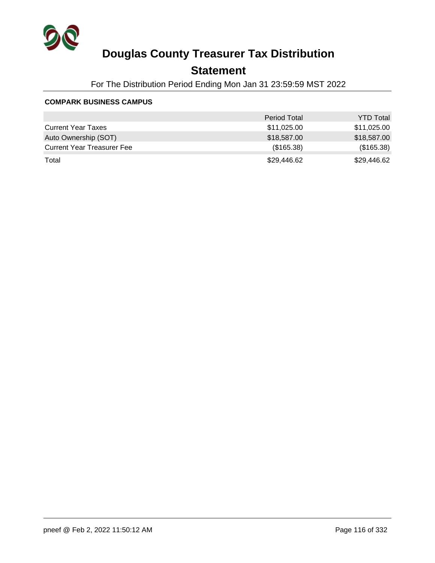

## **Statement**

For The Distribution Period Ending Mon Jan 31 23:59:59 MST 2022

#### **COMPARK BUSINESS CAMPUS**

|                                   | <b>Period Total</b> | <b>YTD Total</b> |
|-----------------------------------|---------------------|------------------|
| <b>Current Year Taxes</b>         | \$11,025.00         | \$11,025.00      |
| Auto Ownership (SOT)              | \$18,587.00         | \$18,587.00      |
| <b>Current Year Treasurer Fee</b> | (\$165.38)          | (\$165.38)       |
| Total                             | \$29,446.62         | \$29,446.62      |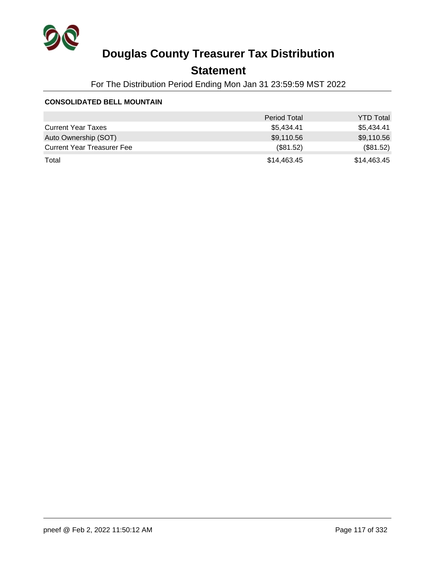

## **Statement**

For The Distribution Period Ending Mon Jan 31 23:59:59 MST 2022

#### **CONSOLIDATED BELL MOUNTAIN**

|                                   | <b>Period Total</b> | <b>YTD Total</b> |
|-----------------------------------|---------------------|------------------|
| <b>Current Year Taxes</b>         | \$5.434.41          | \$5,434.41       |
| Auto Ownership (SOT)              | \$9,110.56          | \$9,110.56       |
| <b>Current Year Treasurer Fee</b> | (\$81.52)           | (\$81.52)        |
| Total                             | \$14,463.45         | \$14,463.45      |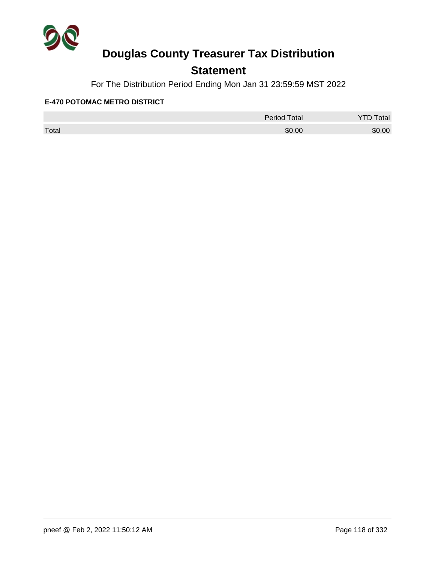

## **Statement**

For The Distribution Period Ending Mon Jan 31 23:59:59 MST 2022

#### **E-470 POTOMAC METRO DISTRICT**

|       | <b>Period Total</b> | otal   |
|-------|---------------------|--------|
| Total | \$0.00              | \$0.00 |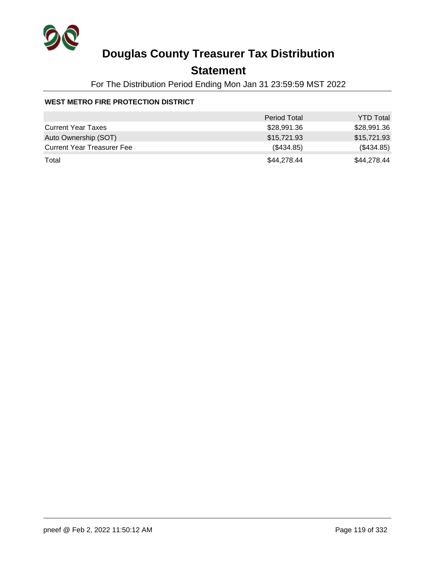

## **Statement**

For The Distribution Period Ending Mon Jan 31 23:59:59 MST 2022

### **WEST METRO FIRE PROTECTION DISTRICT**

|                                   | <b>Period Total</b> | <b>YTD Total</b> |
|-----------------------------------|---------------------|------------------|
| <b>Current Year Taxes</b>         | \$28,991.36         | \$28,991.36      |
| Auto Ownership (SOT)              | \$15,721.93         | \$15,721.93      |
| <b>Current Year Treasurer Fee</b> | (\$434.85)          | (\$434.85)       |
| Total                             | \$44,278.44         | \$44,278.44      |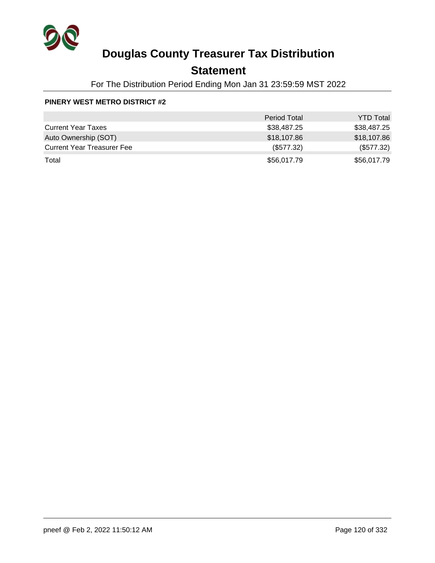

## **Statement**

For The Distribution Period Ending Mon Jan 31 23:59:59 MST 2022

#### **PINERY WEST METRO DISTRICT #2**

|                                   | <b>Period Total</b> | <b>YTD Total</b> |
|-----------------------------------|---------------------|------------------|
| <b>Current Year Taxes</b>         | \$38,487.25         | \$38,487.25      |
| Auto Ownership (SOT)              | \$18,107.86         | \$18,107.86      |
| <b>Current Year Treasurer Fee</b> | (\$577.32)          | (\$577.32)       |
| Total                             | \$56,017.79         | \$56,017.79      |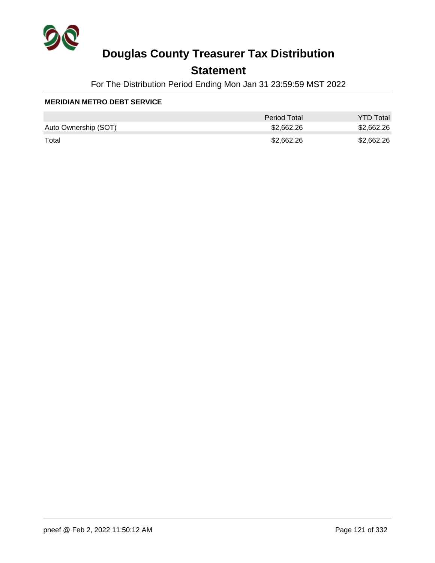

## **Statement**

For The Distribution Period Ending Mon Jan 31 23:59:59 MST 2022

#### **MERIDIAN METRO DEBT SERVICE**

|                      | Period Total | <b>YTD Total</b> |
|----------------------|--------------|------------------|
| Auto Ownership (SOT) | \$2,662.26   | \$2,662.26       |
| Total                | \$2,662.26   | \$2,662.26       |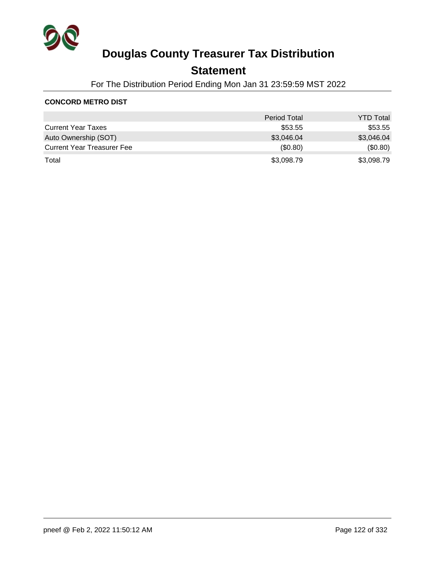

## **Statement**

For The Distribution Period Ending Mon Jan 31 23:59:59 MST 2022

### **CONCORD METRO DIST**

|                                   | <b>Period Total</b> | <b>YTD Total</b> |
|-----------------------------------|---------------------|------------------|
| <b>Current Year Taxes</b>         | \$53.55             | \$53.55          |
| Auto Ownership (SOT)              | \$3,046.04          | \$3,046.04       |
| <b>Current Year Treasurer Fee</b> | $($ \$0.80)         | (\$0.80)         |
| Total                             | \$3,098.79          | \$3,098.79       |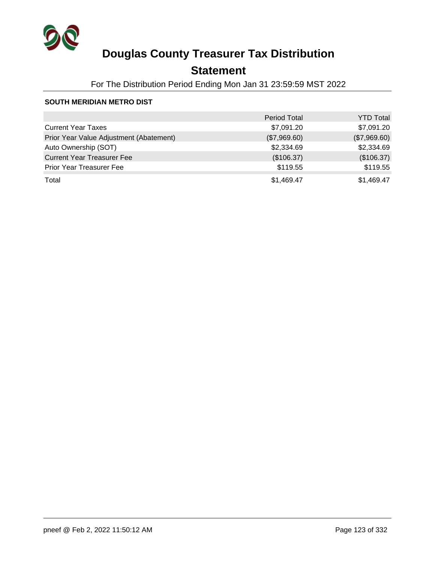

## **Statement**

For The Distribution Period Ending Mon Jan 31 23:59:59 MST 2022

### **SOUTH MERIDIAN METRO DIST**

|                                         | <b>Period Total</b> | <b>YTD Total</b> |
|-----------------------------------------|---------------------|------------------|
| <b>Current Year Taxes</b>               | \$7,091.20          | \$7,091.20       |
| Prior Year Value Adjustment (Abatement) | (\$7,969.60)        | (\$7,969.60)     |
| Auto Ownership (SOT)                    | \$2,334.69          | \$2,334.69       |
| <b>Current Year Treasurer Fee</b>       | (\$106.37)          | (\$106.37)       |
| <b>Prior Year Treasurer Fee</b>         | \$119.55            | \$119.55         |
| Total                                   | \$1,469.47          | \$1,469.47       |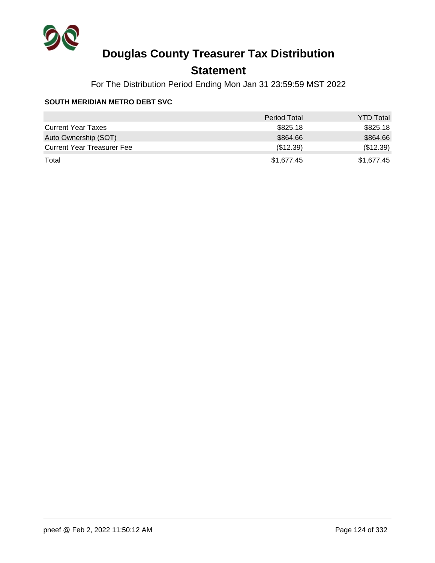

## **Statement**

For The Distribution Period Ending Mon Jan 31 23:59:59 MST 2022

#### **SOUTH MERIDIAN METRO DEBT SVC**

|                                   | <b>Period Total</b> | <b>YTD Total</b> |
|-----------------------------------|---------------------|------------------|
| <b>Current Year Taxes</b>         | \$825.18            | \$825.18         |
| Auto Ownership (SOT)              | \$864.66            | \$864.66         |
| <b>Current Year Treasurer Fee</b> | (\$12.39)           | (\$12.39)        |
| Total                             | \$1,677.45          | \$1.677.45       |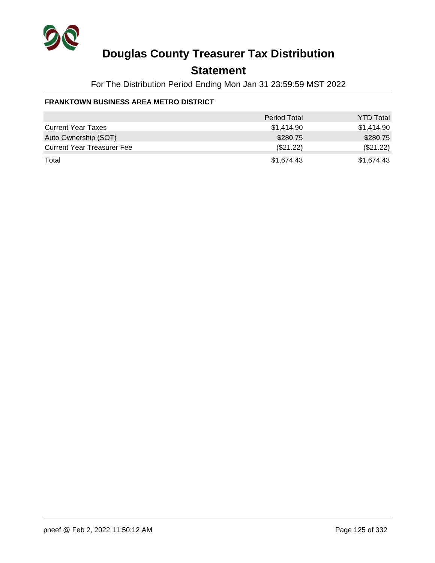

## **Statement**

For The Distribution Period Ending Mon Jan 31 23:59:59 MST 2022

### **FRANKTOWN BUSINESS AREA METRO DISTRICT**

|                                   | <b>Period Total</b> | <b>YTD Total</b> |
|-----------------------------------|---------------------|------------------|
| <b>Current Year Taxes</b>         | \$1,414.90          | \$1.414.90       |
| Auto Ownership (SOT)              | \$280.75            | \$280.75         |
| <b>Current Year Treasurer Fee</b> | (\$21.22)           | (\$21.22)        |
| Total                             | \$1,674.43          | \$1.674.43       |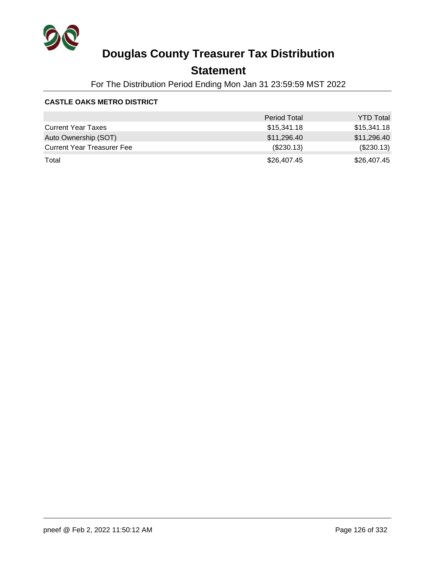

## **Statement**

For The Distribution Period Ending Mon Jan 31 23:59:59 MST 2022

### **CASTLE OAKS METRO DISTRICT**

|                                   | <b>Period Total</b> | <b>YTD Total</b> |
|-----------------------------------|---------------------|------------------|
| <b>Current Year Taxes</b>         | \$15,341.18         | \$15,341.18      |
| Auto Ownership (SOT)              | \$11,296.40         | \$11,296.40      |
| <b>Current Year Treasurer Fee</b> | $(\$230.13)$        | $(\$230.13)$     |
| Total                             | \$26,407.45         | \$26,407.45      |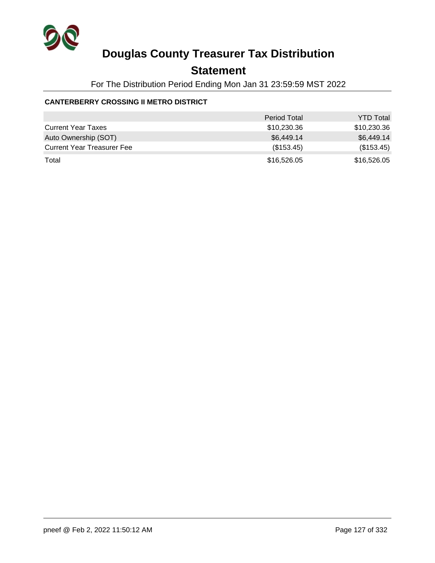

## **Statement**

For The Distribution Period Ending Mon Jan 31 23:59:59 MST 2022

### **CANTERBERRY CROSSING II METRO DISTRICT**

|                                   | <b>Period Total</b> | <b>YTD Total</b> |
|-----------------------------------|---------------------|------------------|
| <b>Current Year Taxes</b>         | \$10,230.36         | \$10,230.36      |
| Auto Ownership (SOT)              | \$6,449.14          | \$6,449.14       |
| <b>Current Year Treasurer Fee</b> | (\$153.45)          | (\$153.45)       |
| Total                             | \$16,526.05         | \$16,526.05      |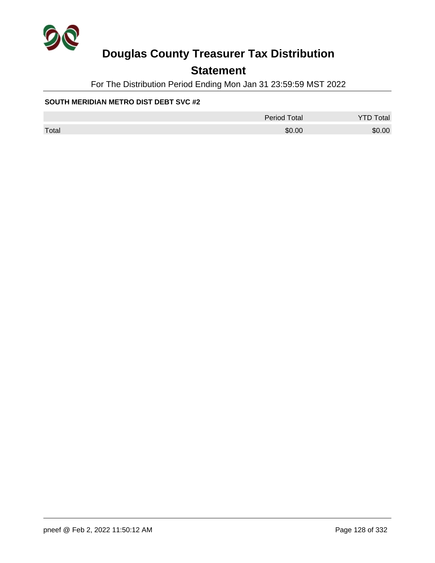

## **Statement**

For The Distribution Period Ending Mon Jan 31 23:59:59 MST 2022

### **SOUTH MERIDIAN METRO DIST DEBT SVC #2**

|       | Period Total | <b>YTD Total</b> |
|-------|--------------|------------------|
| Total | \$0.00       | \$0.00           |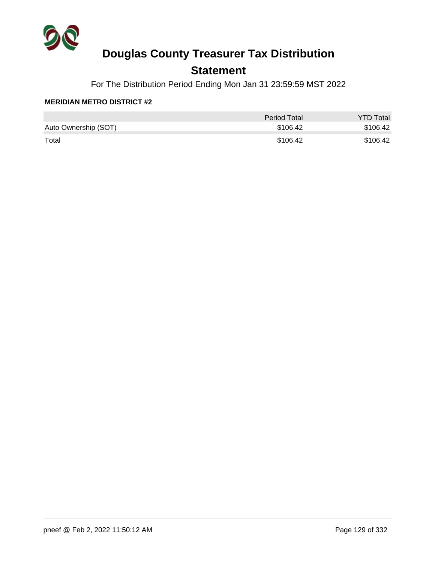

## **Statement**

For The Distribution Period Ending Mon Jan 31 23:59:59 MST 2022

#### **MERIDIAN METRO DISTRICT #2**

|                      | Period Total | <b>YTD Total</b> |
|----------------------|--------------|------------------|
| Auto Ownership (SOT) | \$106.42     | \$106.42         |
| Total                | \$106.42     | \$106.42         |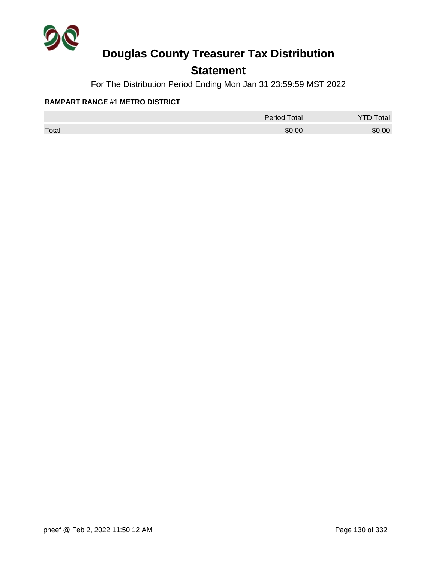

## **Statement**

For The Distribution Period Ending Mon Jan 31 23:59:59 MST 2022

#### **RAMPART RANGE #1 METRO DISTRICT**

|       | <b>Period Total</b> | otal   |
|-------|---------------------|--------|
| Total | \$0.00              | \$0.00 |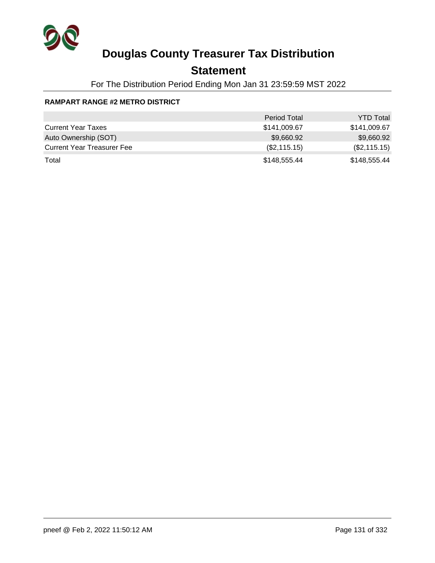

## **Statement**

For The Distribution Period Ending Mon Jan 31 23:59:59 MST 2022

### **RAMPART RANGE #2 METRO DISTRICT**

|                                   | <b>Period Total</b> | <b>YTD Total</b> |
|-----------------------------------|---------------------|------------------|
| <b>Current Year Taxes</b>         | \$141,009.67        | \$141,009.67     |
| Auto Ownership (SOT)              | \$9,660.92          | \$9,660.92       |
| <b>Current Year Treasurer Fee</b> | (\$2,115.15)        | (\$2,115.15)     |
| Total                             | \$148,555.44        | \$148,555.44     |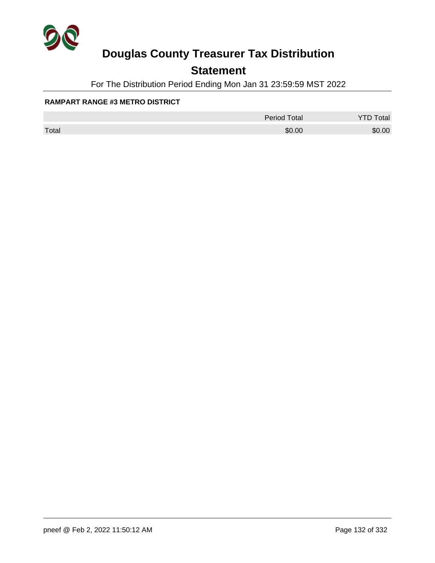

## **Statement**

For The Distribution Period Ending Mon Jan 31 23:59:59 MST 2022

#### **RAMPART RANGE #3 METRO DISTRICT**

|       | <b>Period Total</b> | otal   |
|-------|---------------------|--------|
| Total | \$0.00              | \$0.00 |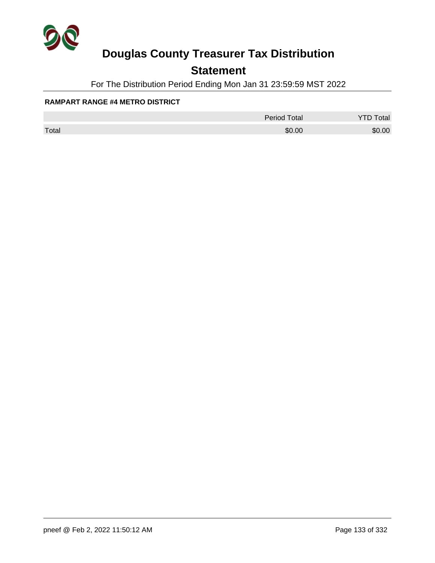

## **Statement**

For The Distribution Period Ending Mon Jan 31 23:59:59 MST 2022

#### **RAMPART RANGE #4 METRO DISTRICT**

|       | <b>Period Total</b> | otal   |
|-------|---------------------|--------|
| Total | \$0.00              | \$0.00 |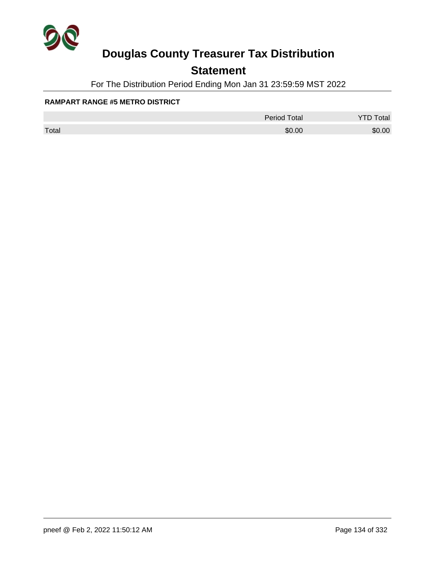

## **Statement**

For The Distribution Period Ending Mon Jan 31 23:59:59 MST 2022

#### **RAMPART RANGE #5 METRO DISTRICT**

|       | <b>Period Total</b> | otal   |
|-------|---------------------|--------|
| Total | \$0.00              | \$0.00 |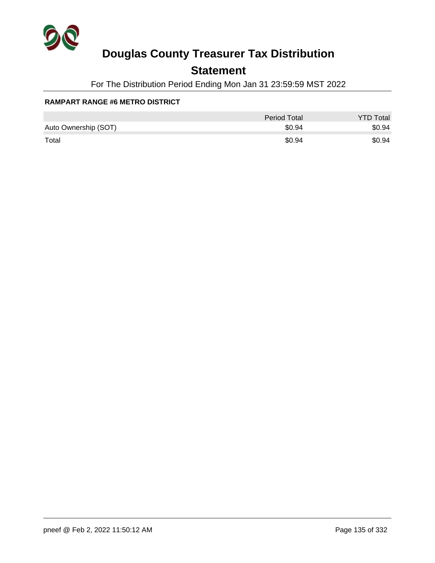

## **Statement**

For The Distribution Period Ending Mon Jan 31 23:59:59 MST 2022

### **RAMPART RANGE #6 METRO DISTRICT**

|                      | Period Total | <b>YTD Total</b> |
|----------------------|--------------|------------------|
| Auto Ownership (SOT) | \$0.94       | \$0.94           |
| Total                | \$0.94       | \$0.94           |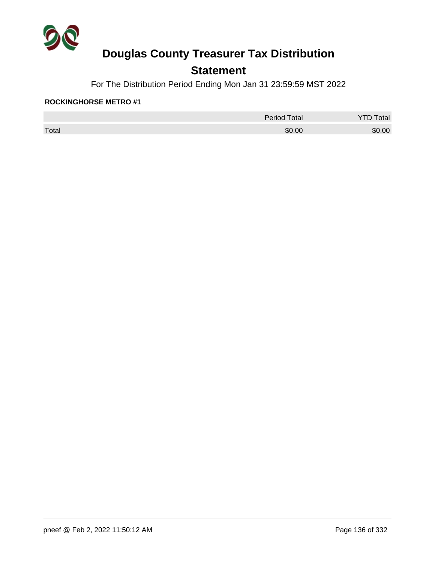

## **Statement**

For The Distribution Period Ending Mon Jan 31 23:59:59 MST 2022

### **ROCKINGHORSE METRO #1**

|       | <b>Period Total</b> | otal   |
|-------|---------------------|--------|
| Total | \$0.00              | \$0.00 |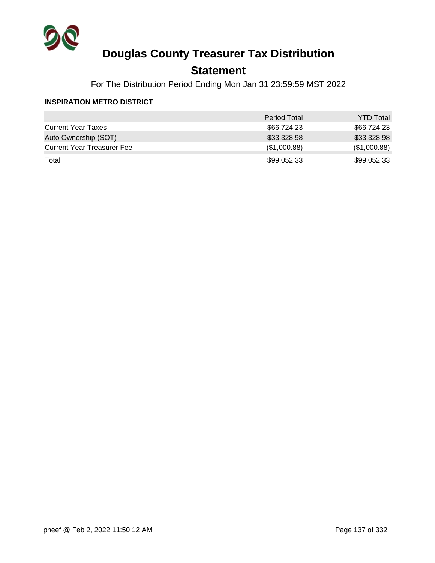

## **Statement**

For The Distribution Period Ending Mon Jan 31 23:59:59 MST 2022

#### **INSPIRATION METRO DISTRICT**

|                                   | <b>Period Total</b> | <b>YTD Total</b> |
|-----------------------------------|---------------------|------------------|
| <b>Current Year Taxes</b>         | \$66,724.23         | \$66,724.23      |
| Auto Ownership (SOT)              | \$33,328.98         | \$33,328.98      |
| <b>Current Year Treasurer Fee</b> | (\$1,000.88)        | (\$1,000.88)     |
| Total                             | \$99,052.33         | \$99,052.33      |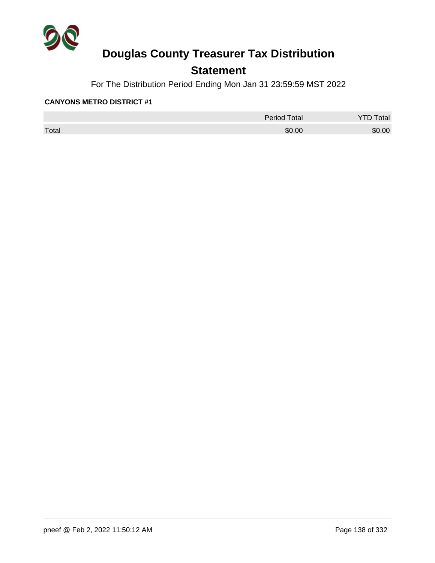

## **Statement**

For The Distribution Period Ending Mon Jan 31 23:59:59 MST 2022

|       | <b>Period Total</b> | otal   |
|-------|---------------------|--------|
| Total | \$0.00              | \$0.00 |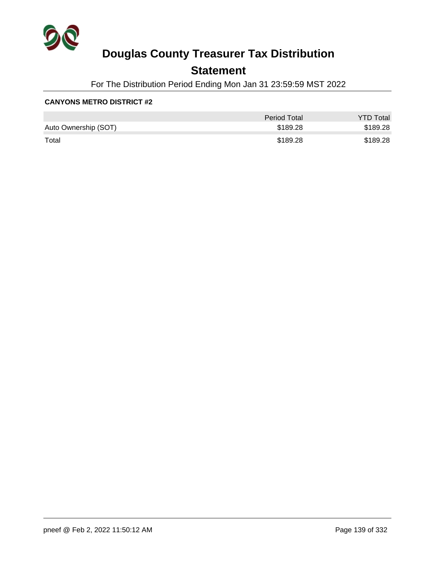

## **Statement**

For The Distribution Period Ending Mon Jan 31 23:59:59 MST 2022

|                      | Period Total | <b>YTD Total</b> |
|----------------------|--------------|------------------|
| Auto Ownership (SOT) | \$189.28     | \$189.28         |
| Total                | \$189.28     | \$189.28         |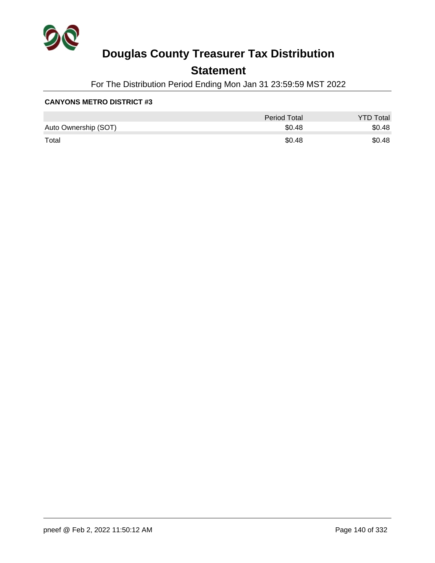

## **Statement**

For The Distribution Period Ending Mon Jan 31 23:59:59 MST 2022

|                      | Period Total | <b>YTD Total</b> |
|----------------------|--------------|------------------|
| Auto Ownership (SOT) | \$0.48       | \$0.48           |
| Total                | \$0.48       | \$0.48           |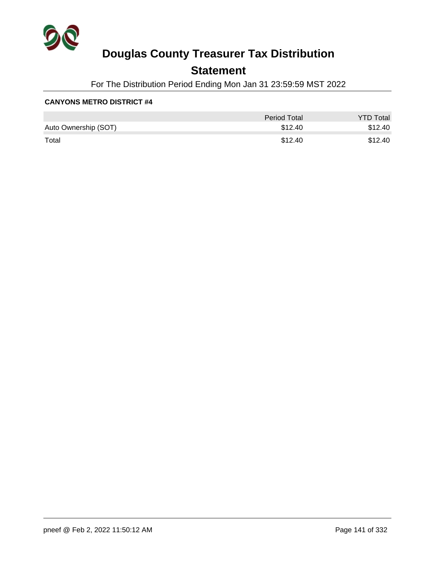

## **Statement**

For The Distribution Period Ending Mon Jan 31 23:59:59 MST 2022

|                      | Period Total | <b>YTD Total</b> |
|----------------------|--------------|------------------|
| Auto Ownership (SOT) | \$12.40      | \$12.40          |
| Total                | \$12.40      | \$12.40          |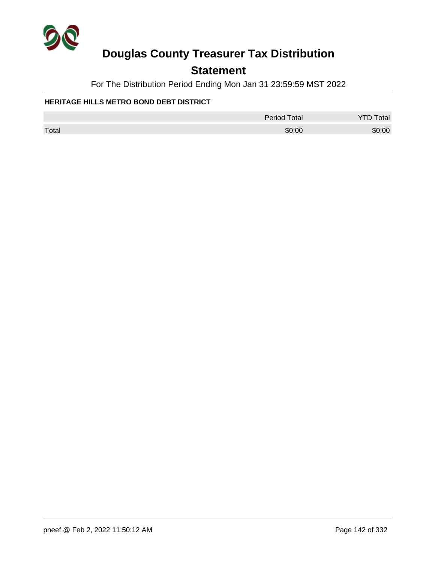

## **Statement**

For The Distribution Period Ending Mon Jan 31 23:59:59 MST 2022

### **HERITAGE HILLS METRO BOND DEBT DISTRICT**

|       | Period Total | <b>YTD Total</b> |
|-------|--------------|------------------|
| Total | \$0.00       | \$0.00           |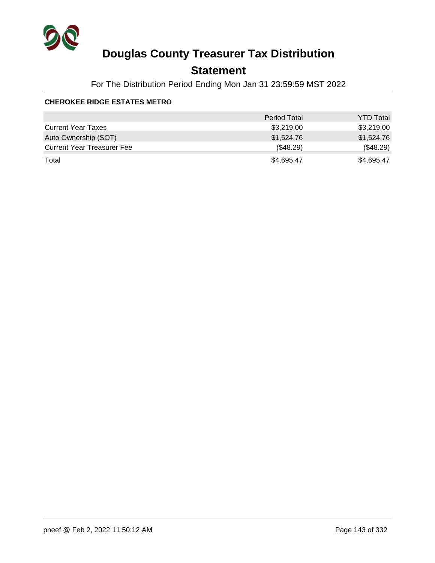

## **Statement**

For The Distribution Period Ending Mon Jan 31 23:59:59 MST 2022

### **CHEROKEE RIDGE ESTATES METRO**

|                                   | <b>Period Total</b> | <b>YTD Total</b> |
|-----------------------------------|---------------------|------------------|
| <b>Current Year Taxes</b>         | \$3,219.00          | \$3,219.00       |
| Auto Ownership (SOT)              | \$1,524.76          | \$1,524.76       |
| <b>Current Year Treasurer Fee</b> | (\$48.29)           | (\$48.29)        |
| Total                             | \$4,695.47          | \$4,695.47       |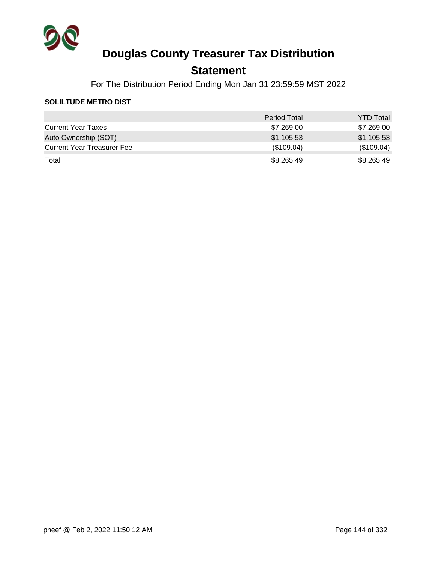

## **Statement**

For The Distribution Period Ending Mon Jan 31 23:59:59 MST 2022

### **SOLILTUDE METRO DIST**

|                                   | <b>Period Total</b> | <b>YTD Total</b> |
|-----------------------------------|---------------------|------------------|
| <b>Current Year Taxes</b>         | \$7,269.00          | \$7,269.00       |
| Auto Ownership (SOT)              | \$1,105.53          | \$1,105.53       |
| <b>Current Year Treasurer Fee</b> | (\$109.04)          | (\$109.04)       |
| Total                             | \$8,265.49          | \$8,265.49       |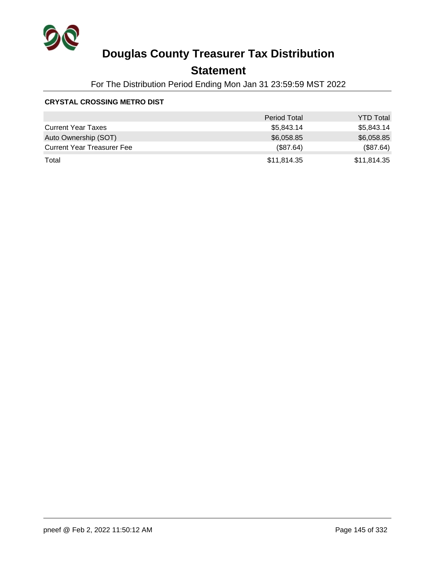

## **Statement**

For The Distribution Period Ending Mon Jan 31 23:59:59 MST 2022

### **CRYSTAL CROSSING METRO DIST**

|                                   | <b>Period Total</b> | <b>YTD Total</b> |
|-----------------------------------|---------------------|------------------|
| <b>Current Year Taxes</b>         | \$5,843.14          | \$5,843.14       |
| Auto Ownership (SOT)              | \$6,058.85          | \$6,058.85       |
| <b>Current Year Treasurer Fee</b> | (\$87.64)           | (\$87.64)        |
| Total                             | \$11,814.35         | \$11,814.35      |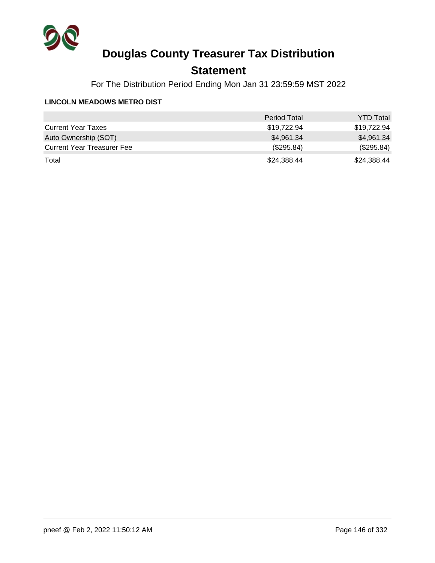

## **Statement**

For The Distribution Period Ending Mon Jan 31 23:59:59 MST 2022

#### **LINCOLN MEADOWS METRO DIST**

|                                   | <b>Period Total</b> | <b>YTD Total</b> |
|-----------------------------------|---------------------|------------------|
| <b>Current Year Taxes</b>         | \$19,722.94         | \$19,722.94      |
| Auto Ownership (SOT)              | \$4,961.34          | \$4,961.34       |
| <b>Current Year Treasurer Fee</b> | (\$295.84)          | (\$295.84)       |
| Total                             | \$24,388.44         | \$24,388.44      |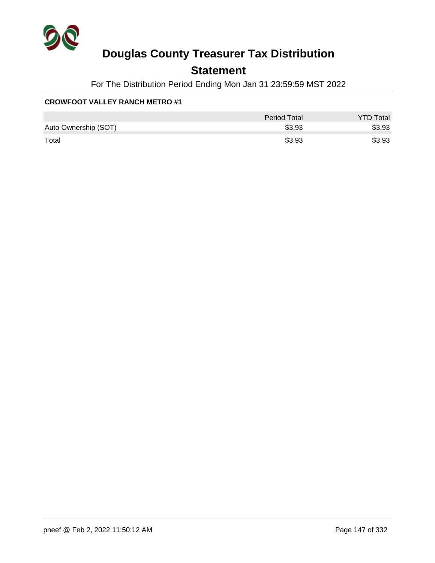

## **Statement**

For The Distribution Period Ending Mon Jan 31 23:59:59 MST 2022

### **CROWFOOT VALLEY RANCH METRO #1**

|                      | <b>Period Total</b> | <b>YTD Total</b> |
|----------------------|---------------------|------------------|
| Auto Ownership (SOT) | \$3.93              | \$3.93           |
| Total                | \$3.93              | \$3.93           |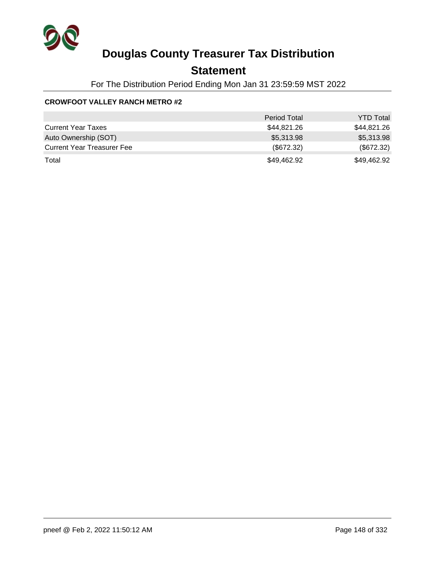

## **Statement**

For The Distribution Period Ending Mon Jan 31 23:59:59 MST 2022

### **CROWFOOT VALLEY RANCH METRO #2**

|                                   | <b>Period Total</b> | <b>YTD Total</b> |
|-----------------------------------|---------------------|------------------|
| <b>Current Year Taxes</b>         | \$44,821.26         | \$44,821.26      |
| Auto Ownership (SOT)              | \$5,313.98          | \$5,313.98       |
| <b>Current Year Treasurer Fee</b> | $(\$672.32)$        | (\$672.32)       |
| Total                             | \$49,462.92         | \$49,462.92      |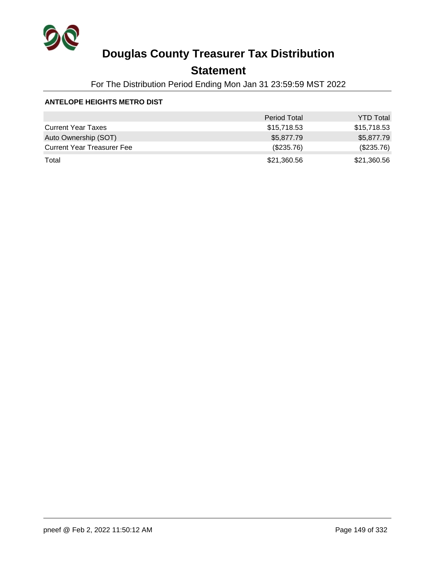

## **Statement**

For The Distribution Period Ending Mon Jan 31 23:59:59 MST 2022

### **ANTELOPE HEIGHTS METRO DIST**

|                                   | <b>Period Total</b> | <b>YTD Total</b> |
|-----------------------------------|---------------------|------------------|
| <b>Current Year Taxes</b>         | \$15,718.53         | \$15,718.53      |
| Auto Ownership (SOT)              | \$5,877.79          | \$5,877.79       |
| <b>Current Year Treasurer Fee</b> | (\$235.76)          | (\$235.76)       |
| Total                             | \$21,360.56         | \$21,360.56      |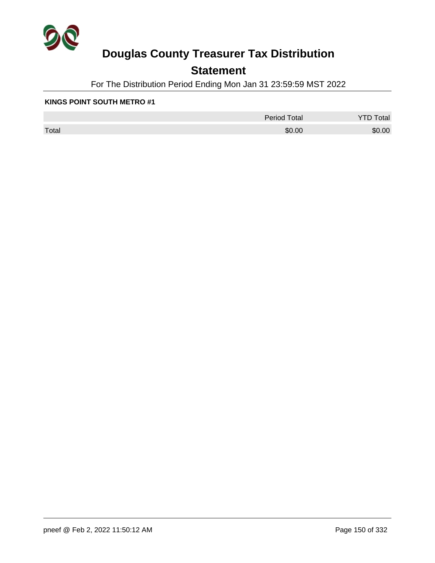

## **Statement**

For The Distribution Period Ending Mon Jan 31 23:59:59 MST 2022

#### **KINGS POINT SOUTH METRO #1**

|       | <b>Period Total</b> | otal<br>້ |
|-------|---------------------|-----------|
| Total | \$0.00              | \$0.00    |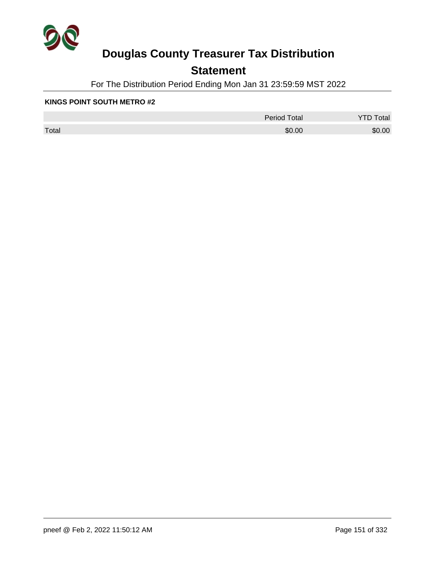

## **Statement**

For The Distribution Period Ending Mon Jan 31 23:59:59 MST 2022

#### **KINGS POINT SOUTH METRO #2**

|       | <b>Period Total</b> | otal<br>້ |
|-------|---------------------|-----------|
| Total | \$0.00              | \$0.00    |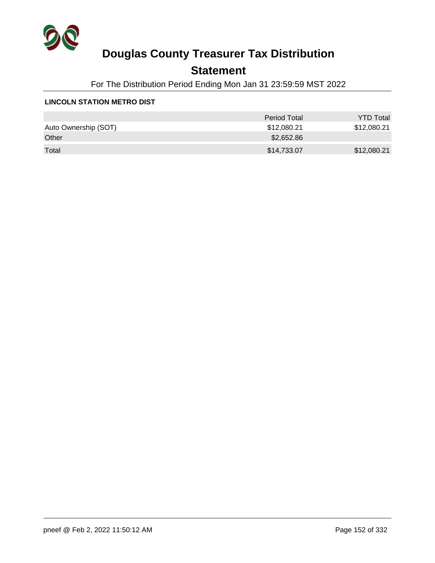

## **Statement**

For The Distribution Period Ending Mon Jan 31 23:59:59 MST 2022

#### **LINCOLN STATION METRO DIST**

|                      | Period Total | <b>YTD Total</b> |
|----------------------|--------------|------------------|
| Auto Ownership (SOT) | \$12,080.21  | \$12,080.21      |
| Other                | \$2,652.86   |                  |
| Total                | \$14,733.07  | \$12,080.21      |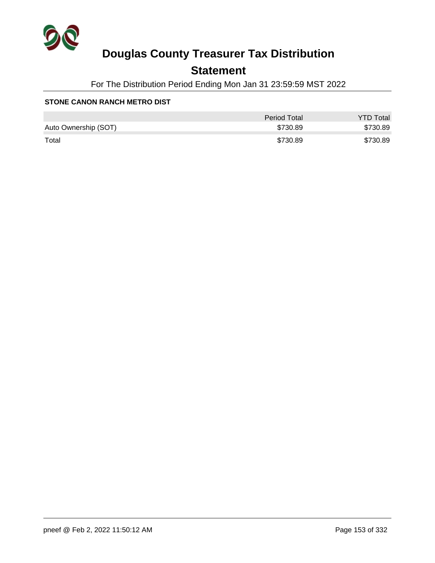

## **Statement**

For The Distribution Period Ending Mon Jan 31 23:59:59 MST 2022

#### **STONE CANON RANCH METRO DIST**

|                      | <b>Period Total</b> | <b>YTD Total</b> |
|----------------------|---------------------|------------------|
| Auto Ownership (SOT) | \$730.89            | \$730.89         |
| Total                | \$730.89            | \$730.89         |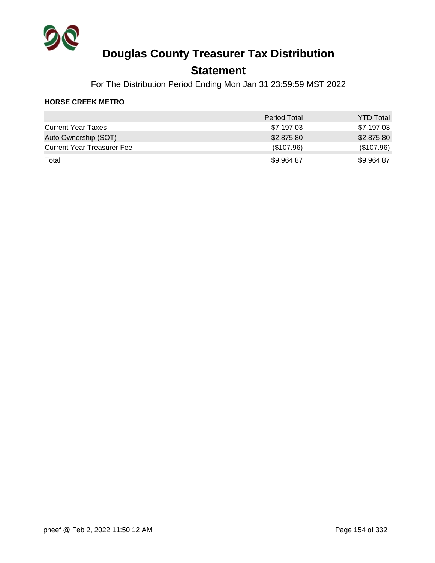

### **Statement**

For The Distribution Period Ending Mon Jan 31 23:59:59 MST 2022

### **HORSE CREEK METRO**

|                                   | <b>Period Total</b> | <b>YTD Total</b> |
|-----------------------------------|---------------------|------------------|
| <b>Current Year Taxes</b>         | \$7,197.03          | \$7,197.03       |
| Auto Ownership (SOT)              | \$2,875.80          | \$2,875.80       |
| <b>Current Year Treasurer Fee</b> | (\$107.96)          | (\$107.96)       |
| Total                             | \$9,964.87          | \$9,964.87       |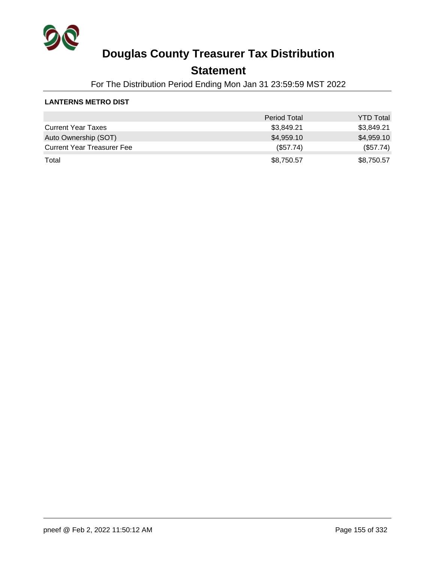

## **Statement**

For The Distribution Period Ending Mon Jan 31 23:59:59 MST 2022

### **LANTERNS METRO DIST**

|                                   | <b>Period Total</b> | <b>YTD Total</b> |
|-----------------------------------|---------------------|------------------|
| <b>Current Year Taxes</b>         | \$3,849.21          | \$3,849.21       |
| Auto Ownership (SOT)              | \$4,959.10          | \$4,959.10       |
| <b>Current Year Treasurer Fee</b> | (\$57.74)           | (\$57.74)        |
| Total                             | \$8,750.57          | \$8,750.57       |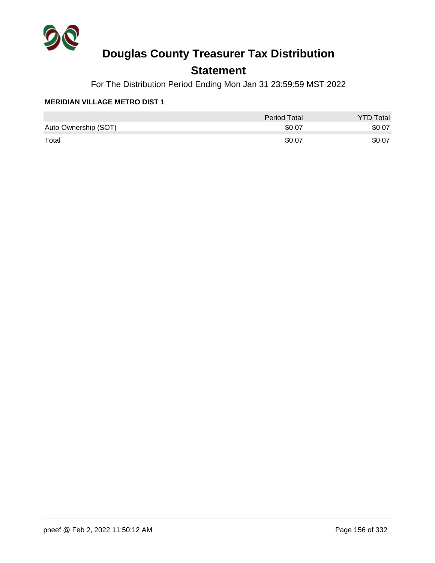

## **Statement**

For The Distribution Period Ending Mon Jan 31 23:59:59 MST 2022

|                      | <b>Period Total</b> | <b>YTD Total</b> |
|----------------------|---------------------|------------------|
| Auto Ownership (SOT) | \$0.07              | \$0.07           |
| Total                | \$0.07              | \$0.07           |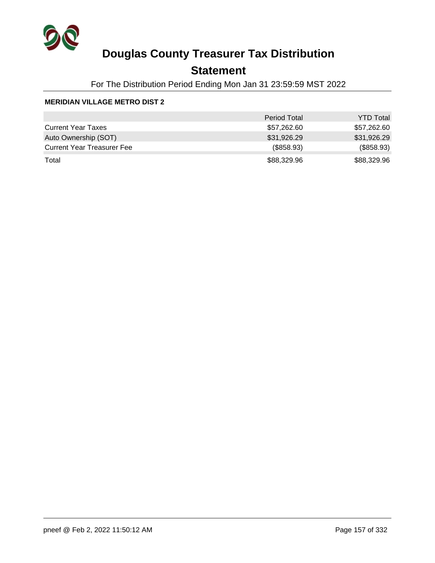

## **Statement**

For The Distribution Period Ending Mon Jan 31 23:59:59 MST 2022

|                                   | <b>Period Total</b> | <b>YTD Total</b> |
|-----------------------------------|---------------------|------------------|
| <b>Current Year Taxes</b>         | \$57,262.60         | \$57,262.60      |
| Auto Ownership (SOT)              | \$31,926.29         | \$31,926.29      |
| <b>Current Year Treasurer Fee</b> | (\$858.93)          | (\$858.93)       |
| Total                             | \$88,329.96         | \$88,329.96      |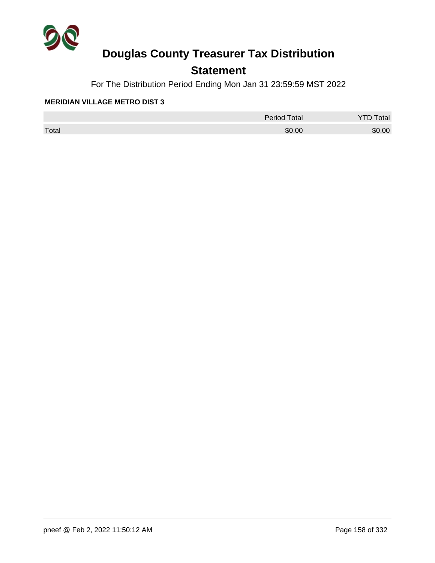

## **Statement**

For The Distribution Period Ending Mon Jan 31 23:59:59 MST 2022

|       | <b>Period Total</b> | otal   |
|-------|---------------------|--------|
| Total | \$0.00              | \$0.00 |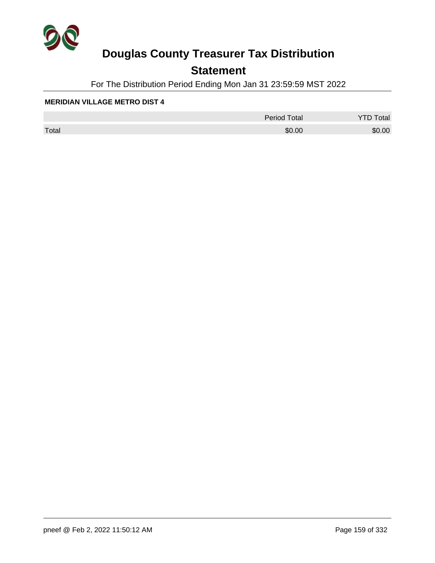

## **Statement**

For The Distribution Period Ending Mon Jan 31 23:59:59 MST 2022

|       | <b>Period Total</b> | otal   |
|-------|---------------------|--------|
| Total | \$0.00              | \$0.00 |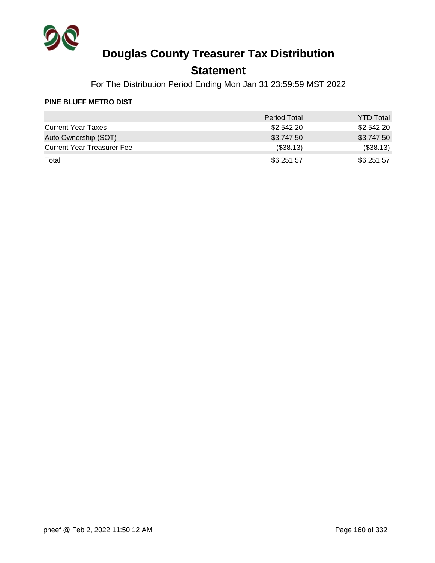

## **Statement**

For The Distribution Period Ending Mon Jan 31 23:59:59 MST 2022

#### **PINE BLUFF METRO DIST**

|                                   | <b>Period Total</b> | <b>YTD Total</b> |
|-----------------------------------|---------------------|------------------|
| <b>Current Year Taxes</b>         | \$2,542.20          | \$2,542.20       |
| Auto Ownership (SOT)              | \$3,747.50          | \$3,747.50       |
| <b>Current Year Treasurer Fee</b> | (\$38.13)           | (\$38.13)        |
| Total                             | \$6,251.57          | \$6,251.57       |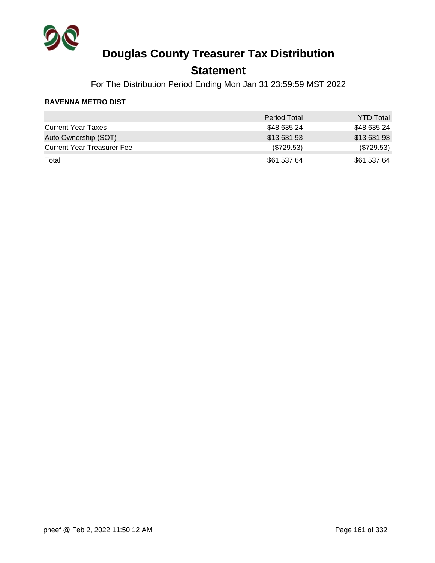

## **Statement**

For The Distribution Period Ending Mon Jan 31 23:59:59 MST 2022

### **RAVENNA METRO DIST**

|                                   | <b>Period Total</b> | <b>YTD Total</b> |
|-----------------------------------|---------------------|------------------|
| <b>Current Year Taxes</b>         | \$48,635.24         | \$48,635.24      |
| Auto Ownership (SOT)              | \$13,631.93         | \$13,631.93      |
| <b>Current Year Treasurer Fee</b> | $(\$729.53)$        | $(\$729.53)$     |
| Total                             | \$61,537.64         | \$61,537.64      |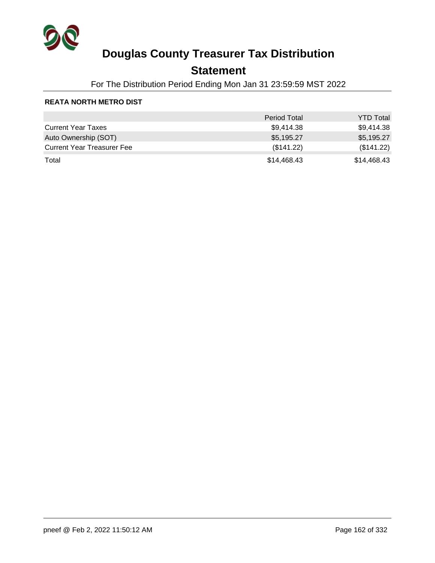

## **Statement**

For The Distribution Period Ending Mon Jan 31 23:59:59 MST 2022

### **REATA NORTH METRO DIST**

|                                   | <b>Period Total</b> | <b>YTD Total</b> |
|-----------------------------------|---------------------|------------------|
| <b>Current Year Taxes</b>         | \$9,414.38          | \$9,414.38       |
| Auto Ownership (SOT)              | \$5,195.27          | \$5,195.27       |
| <b>Current Year Treasurer Fee</b> | (\$141.22)          | (\$141.22)       |
| Total                             | \$14,468.43         | \$14,468.43      |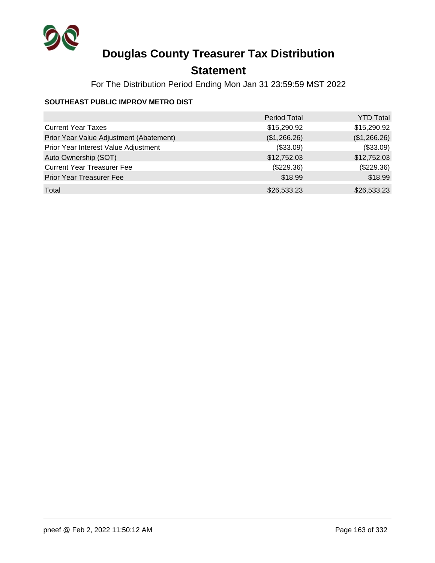

## **Statement**

For The Distribution Period Ending Mon Jan 31 23:59:59 MST 2022

### **SOUTHEAST PUBLIC IMPROV METRO DIST**

|                                         | <b>Period Total</b> | <b>YTD Total</b> |
|-----------------------------------------|---------------------|------------------|
| <b>Current Year Taxes</b>               | \$15,290.92         | \$15,290.92      |
| Prior Year Value Adjustment (Abatement) | (\$1,266.26)        | (\$1,266.26)     |
| Prior Year Interest Value Adjustment    | (\$33.09)           | (\$33.09)        |
| Auto Ownership (SOT)                    | \$12,752.03         | \$12,752.03      |
| <b>Current Year Treasurer Fee</b>       | (\$229.36)          | $(\$229.36)$     |
| <b>Prior Year Treasurer Fee</b>         | \$18.99             | \$18.99          |
| Total                                   | \$26,533.23         | \$26,533.23      |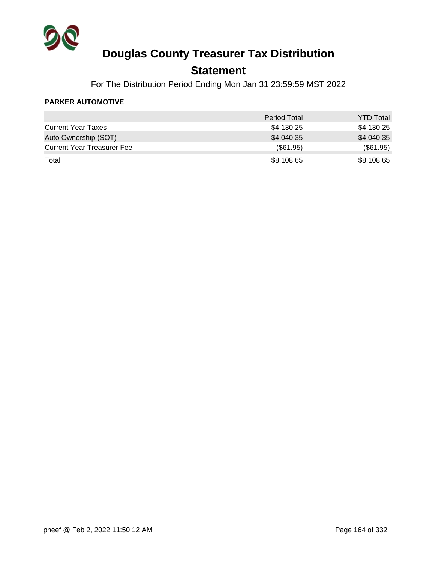

## **Statement**

For The Distribution Period Ending Mon Jan 31 23:59:59 MST 2022

### **PARKER AUTOMOTIVE**

|                                   | <b>Period Total</b> | <b>YTD Total</b> |
|-----------------------------------|---------------------|------------------|
| <b>Current Year Taxes</b>         | \$4,130.25          | \$4,130.25       |
| Auto Ownership (SOT)              | \$4,040.35          | \$4,040.35       |
| <b>Current Year Treasurer Fee</b> | (\$61.95)           | (\$61.95)        |
| Total                             | \$8,108.65          | \$8,108.65       |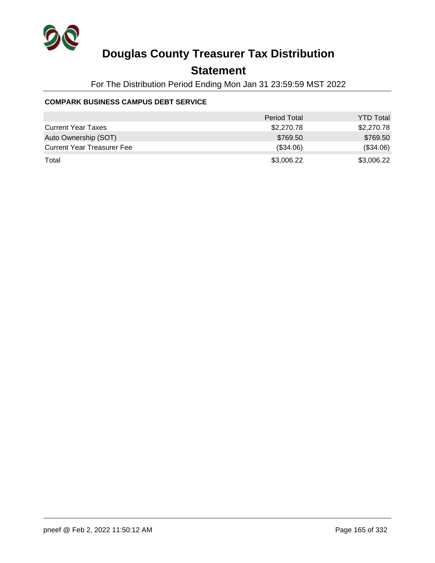

## **Statement**

For The Distribution Period Ending Mon Jan 31 23:59:59 MST 2022

### **COMPARK BUSINESS CAMPUS DEBT SERVICE**

|                                   | <b>Period Total</b> | <b>YTD Total</b> |
|-----------------------------------|---------------------|------------------|
| <b>Current Year Taxes</b>         | \$2,270.78          | \$2,270.78       |
| Auto Ownership (SOT)              | \$769.50            | \$769.50         |
| <b>Current Year Treasurer Fee</b> | (\$34.06)           | (\$34.06)        |
| Total                             | \$3,006.22          | \$3,006.22       |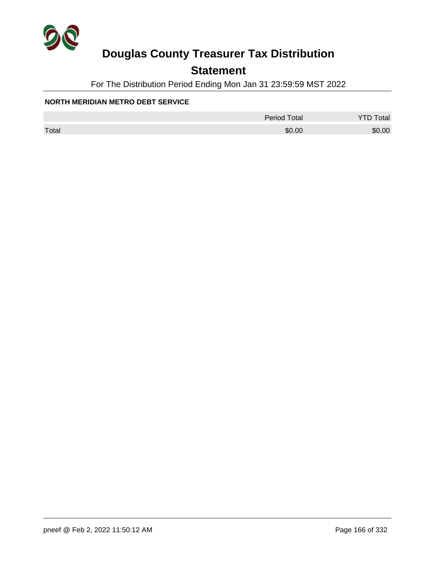

## **Statement**

For The Distribution Period Ending Mon Jan 31 23:59:59 MST 2022

### **NORTH MERIDIAN METRO DEBT SERVICE**

|       | <b>Period Total</b> | otal   |
|-------|---------------------|--------|
| Total | \$0.00              | \$0.00 |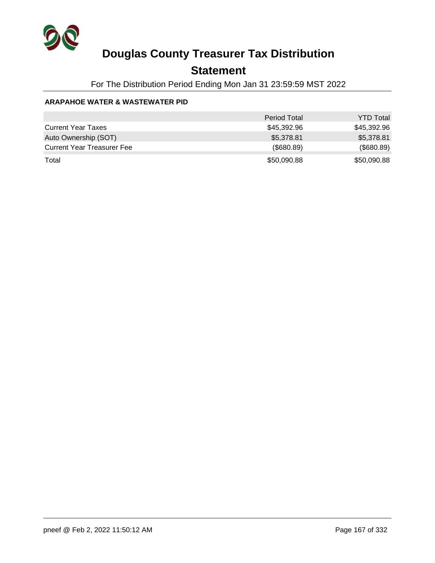

## **Statement**

For The Distribution Period Ending Mon Jan 31 23:59:59 MST 2022

### **ARAPAHOE WATER & WASTEWATER PID**

|                                   | <b>Period Total</b> | <b>YTD Total</b> |
|-----------------------------------|---------------------|------------------|
| <b>Current Year Taxes</b>         | \$45,392.96         | \$45,392.96      |
| Auto Ownership (SOT)              | \$5,378.81          | \$5,378.81       |
| <b>Current Year Treasurer Fee</b> | (\$680.89)          | (\$680.89)       |
| Total                             | \$50,090.88         | \$50,090.88      |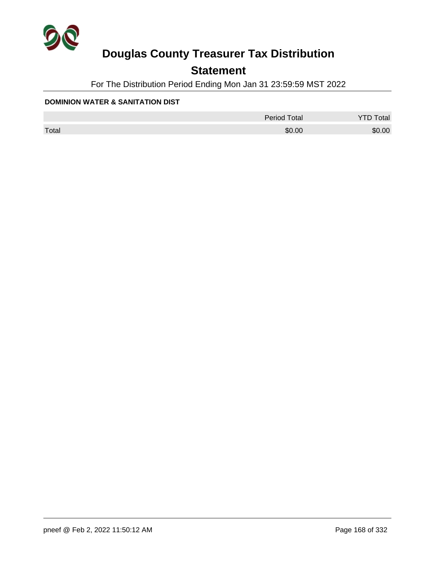

## **Statement**

For The Distribution Period Ending Mon Jan 31 23:59:59 MST 2022

#### **DOMINION WATER & SANITATION DIST**

|       | <b>Period Total</b> | otal   |
|-------|---------------------|--------|
| Total | \$0.00              | \$0.00 |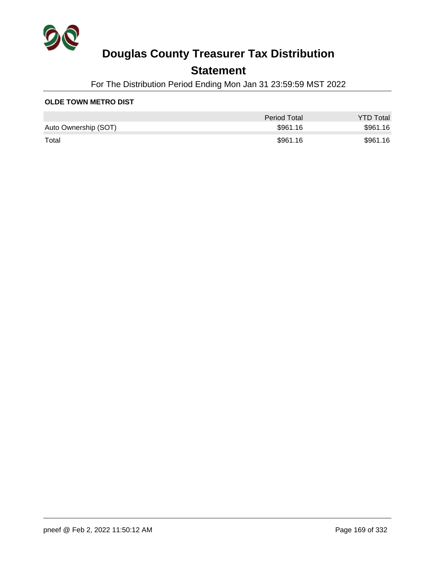

## **Statement**

For The Distribution Period Ending Mon Jan 31 23:59:59 MST 2022

### **OLDE TOWN METRO DIST**

|                      | Period Total | <b>YTD Total</b> |
|----------------------|--------------|------------------|
| Auto Ownership (SOT) | \$961.16     | \$961.16         |
| Total                | \$961.16     | \$961.16         |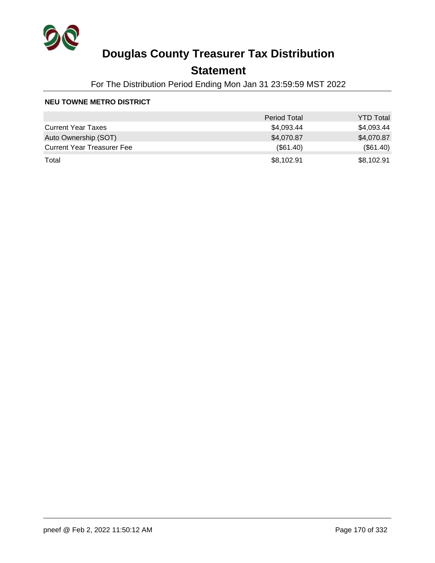

## **Statement**

For The Distribution Period Ending Mon Jan 31 23:59:59 MST 2022

#### **NEU TOWNE METRO DISTRICT**

|                                   | <b>Period Total</b> | <b>YTD Total</b> |
|-----------------------------------|---------------------|------------------|
| <b>Current Year Taxes</b>         | \$4,093.44          | \$4,093.44       |
| Auto Ownership (SOT)              | \$4,070.87          | \$4,070.87       |
| <b>Current Year Treasurer Fee</b> | $(\$61.40)$         | (\$61.40)        |
| Total                             | \$8,102.91          | \$8,102.91       |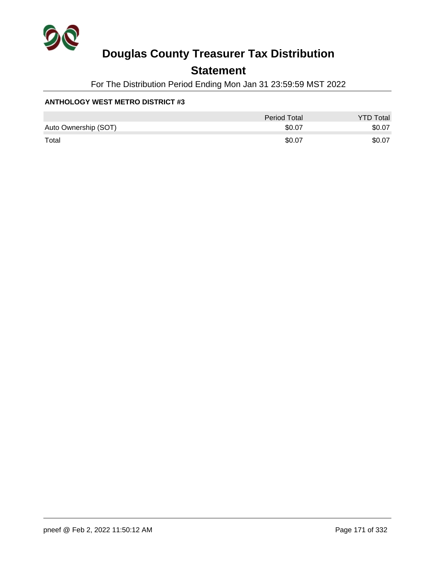

## **Statement**

For The Distribution Period Ending Mon Jan 31 23:59:59 MST 2022

### **ANTHOLOGY WEST METRO DISTRICT #3**

|                      | <b>Period Total</b> | <b>YTD Total</b> |
|----------------------|---------------------|------------------|
| Auto Ownership (SOT) | \$0.07              | \$0.07           |
| Total                | \$0.07              | \$0.07           |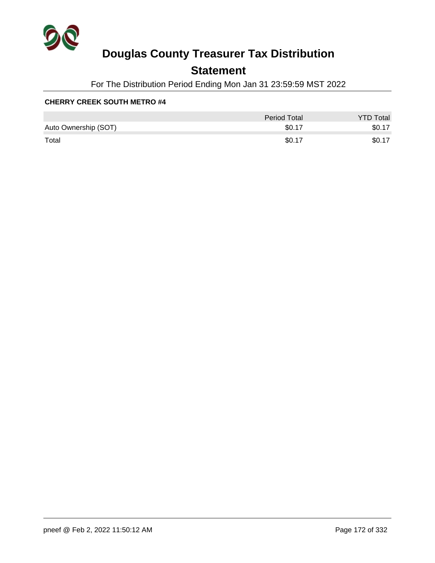

## **Statement**

For The Distribution Period Ending Mon Jan 31 23:59:59 MST 2022

|                      | <b>Period Total</b> | <b>YTD Total</b> |
|----------------------|---------------------|------------------|
| Auto Ownership (SOT) | \$0.17              | \$0.17           |
| Total                | \$0.17              | \$0.17           |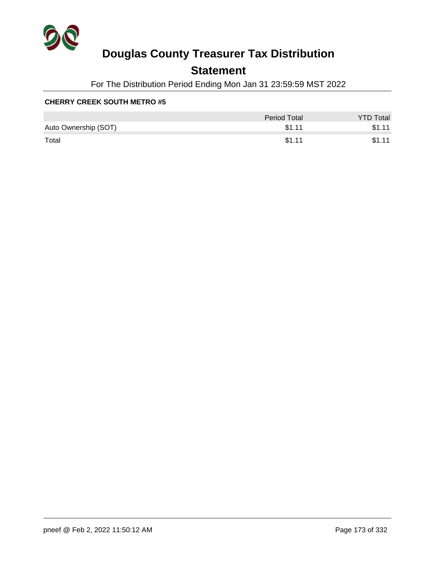

## **Statement**

For The Distribution Period Ending Mon Jan 31 23:59:59 MST 2022

|                      | Period Total | <b>YTD Total</b> |
|----------------------|--------------|------------------|
| Auto Ownership (SOT) | \$1.11       | \$1.11           |
| Total                | \$1.11       | \$1.11           |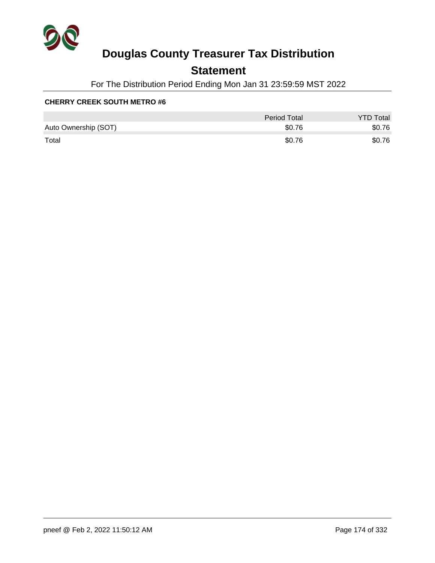

## **Statement**

For The Distribution Period Ending Mon Jan 31 23:59:59 MST 2022

|                      | Period Total | <b>YTD Total</b> |
|----------------------|--------------|------------------|
| Auto Ownership (SOT) | \$0.76       | \$0.76           |
| Total                | \$0.76       | \$0.76           |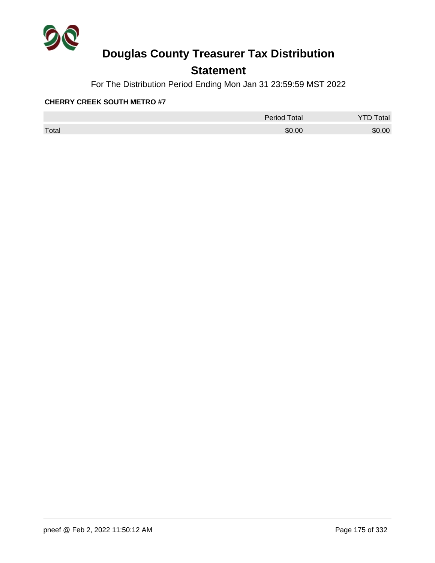

## **Statement**

For The Distribution Period Ending Mon Jan 31 23:59:59 MST 2022

|       | <b>Period Total</b> | otal   |
|-------|---------------------|--------|
| Total | \$0.00              | \$0.00 |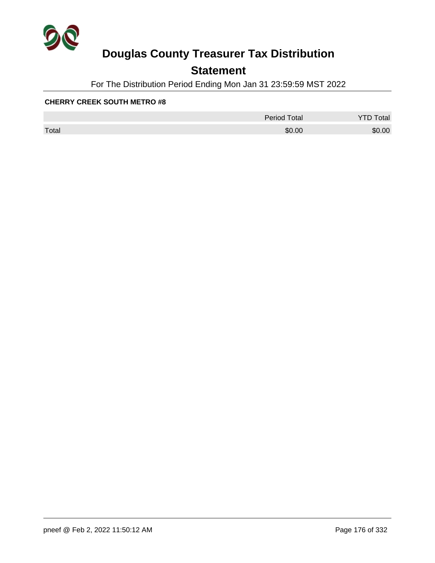

## **Statement**

For The Distribution Period Ending Mon Jan 31 23:59:59 MST 2022

|       | <b>Period Total</b> | otal   |
|-------|---------------------|--------|
| Total | \$0.00              | \$0.00 |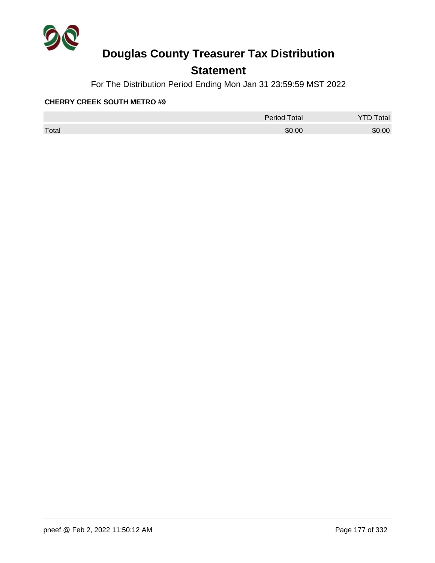

## **Statement**

For The Distribution Period Ending Mon Jan 31 23:59:59 MST 2022

|       | <b>Period Total</b> | otal<br>້ |
|-------|---------------------|-----------|
| Total | \$0.00              | \$0.00    |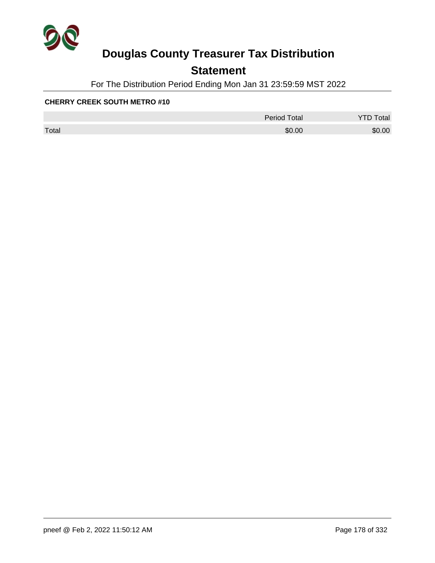

## **Statement**

For The Distribution Period Ending Mon Jan 31 23:59:59 MST 2022

|       | <b>Period Total</b> | otal<br>້ |
|-------|---------------------|-----------|
| Total | \$0.00              | \$0.00    |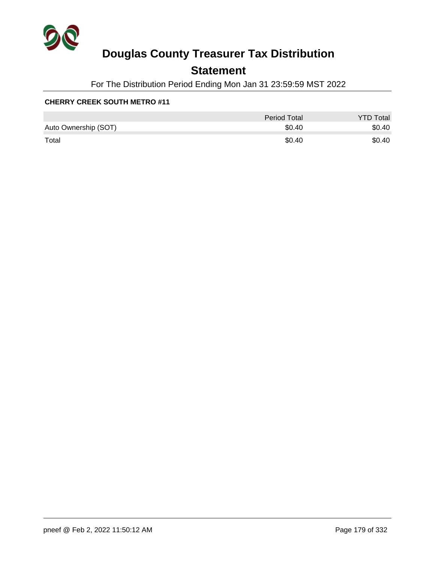

## **Statement**

For The Distribution Period Ending Mon Jan 31 23:59:59 MST 2022

|                      | <b>Period Total</b> | <b>YTD Total</b> |
|----------------------|---------------------|------------------|
| Auto Ownership (SOT) | \$0.40              | \$0.40           |
| Total                | \$0.40              | \$0.40           |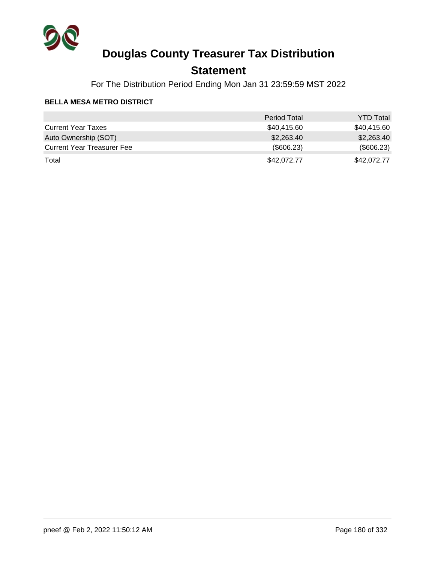

## **Statement**

For The Distribution Period Ending Mon Jan 31 23:59:59 MST 2022

### **BELLA MESA METRO DISTRICT**

|                                   | <b>Period Total</b> | <b>YTD Total</b> |
|-----------------------------------|---------------------|------------------|
| <b>Current Year Taxes</b>         | \$40,415.60         | \$40,415.60      |
| Auto Ownership (SOT)              | \$2,263.40          | \$2,263.40       |
| <b>Current Year Treasurer Fee</b> | (\$606.23)          | (\$606.23)       |
| Total                             | \$42,072.77         | \$42,072.77      |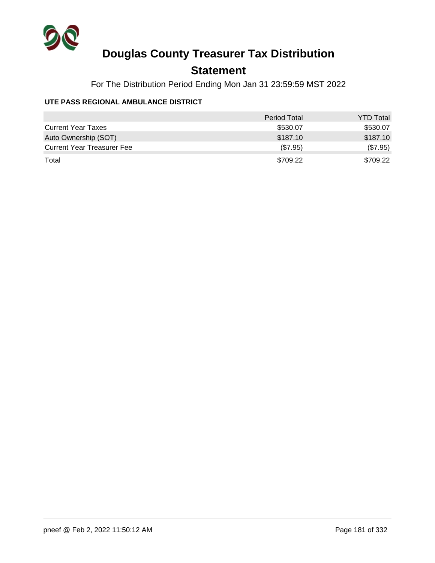

## **Statement**

For The Distribution Period Ending Mon Jan 31 23:59:59 MST 2022

### **UTE PASS REGIONAL AMBULANCE DISTRICT**

|                                   | <b>Period Total</b> | <b>YTD Total</b> |
|-----------------------------------|---------------------|------------------|
| <b>Current Year Taxes</b>         | \$530.07            | \$530.07         |
| Auto Ownership (SOT)              | \$187.10            | \$187.10         |
| <b>Current Year Treasurer Fee</b> | (\$7.95)            | (\$7.95)         |
| Total                             | \$709.22            | \$709.22         |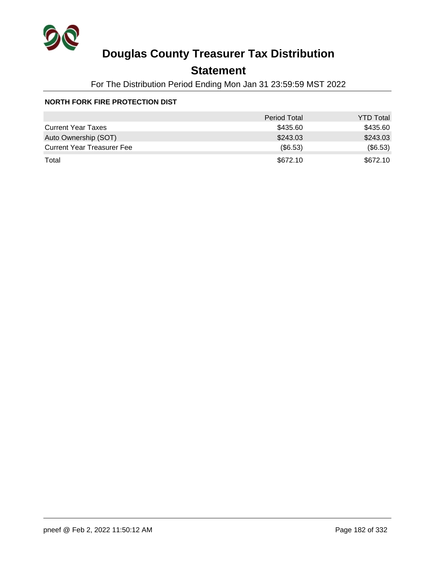

## **Statement**

For The Distribution Period Ending Mon Jan 31 23:59:59 MST 2022

### **NORTH FORK FIRE PROTECTION DIST**

|                                   | <b>Period Total</b> | <b>YTD Total</b> |
|-----------------------------------|---------------------|------------------|
| <b>Current Year Taxes</b>         | \$435.60            | \$435.60         |
| Auto Ownership (SOT)              | \$243.03            | \$243.03         |
| <b>Current Year Treasurer Fee</b> | $($ \$6.53)         | (\$6.53)         |
| Total                             | \$672.10            | \$672.10         |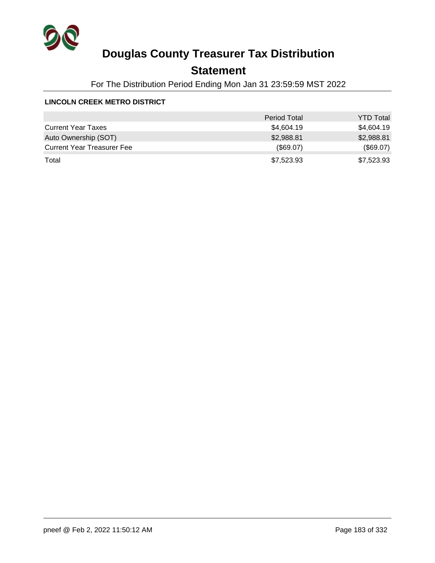

## **Statement**

For The Distribution Period Ending Mon Jan 31 23:59:59 MST 2022

### **LINCOLN CREEK METRO DISTRICT**

|                                   | <b>Period Total</b> | <b>YTD Total</b> |
|-----------------------------------|---------------------|------------------|
| <b>Current Year Taxes</b>         | \$4,604.19          | \$4,604.19       |
| Auto Ownership (SOT)              | \$2,988.81          | \$2,988.81       |
| <b>Current Year Treasurer Fee</b> | (\$69.07)           | (\$69.07)        |
| Total                             | \$7,523.93          | \$7,523.93       |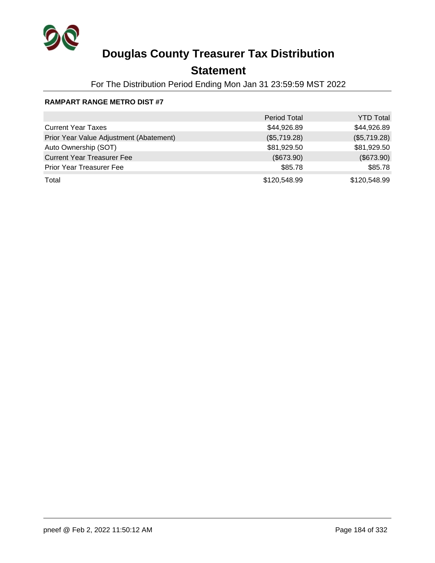

## **Statement**

For The Distribution Period Ending Mon Jan 31 23:59:59 MST 2022

### **RAMPART RANGE METRO DIST #7**

|                                         | <b>Period Total</b> | <b>YTD Total</b> |
|-----------------------------------------|---------------------|------------------|
| <b>Current Year Taxes</b>               | \$44,926.89         | \$44,926.89      |
| Prior Year Value Adjustment (Abatement) | (\$5,719.28)        | (\$5,719.28)     |
| Auto Ownership (SOT)                    | \$81,929.50         | \$81,929.50      |
| <b>Current Year Treasurer Fee</b>       | (\$673.90)          | $(\$673.90)$     |
| <b>Prior Year Treasurer Fee</b>         | \$85.78             | \$85.78          |
| Total                                   | \$120,548.99        | \$120,548.99     |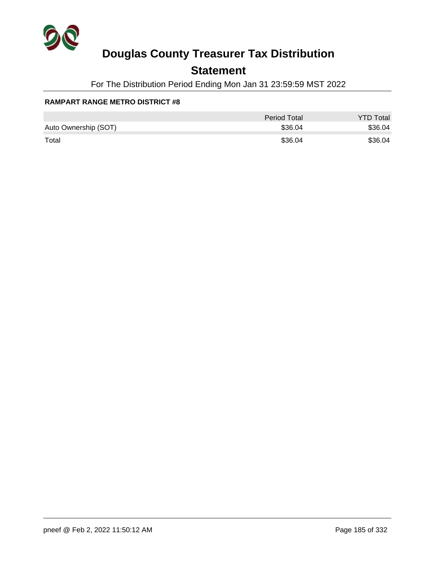

## **Statement**

For The Distribution Period Ending Mon Jan 31 23:59:59 MST 2022

### **RAMPART RANGE METRO DISTRICT #8**

|                      | <b>Period Total</b> | <b>YTD Total</b> |
|----------------------|---------------------|------------------|
| Auto Ownership (SOT) | \$36.04             | \$36.04          |
| Total                | \$36.04             | \$36.04          |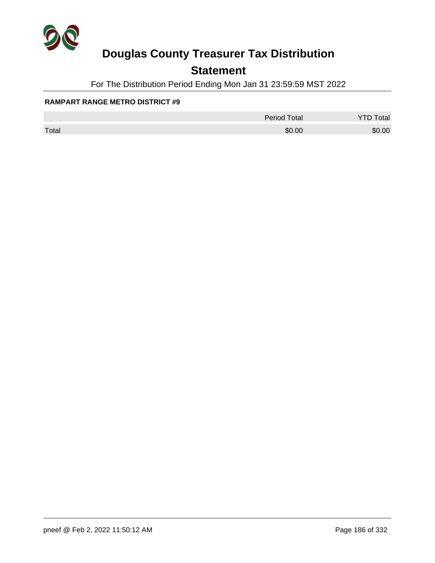

## **Statement**

For The Distribution Period Ending Mon Jan 31 23:59:59 MST 2022

### **RAMPART RANGE METRO DISTRICT #9**

|       | <b>Period Total</b> | otal   |
|-------|---------------------|--------|
| Total | \$0.00              | \$0.00 |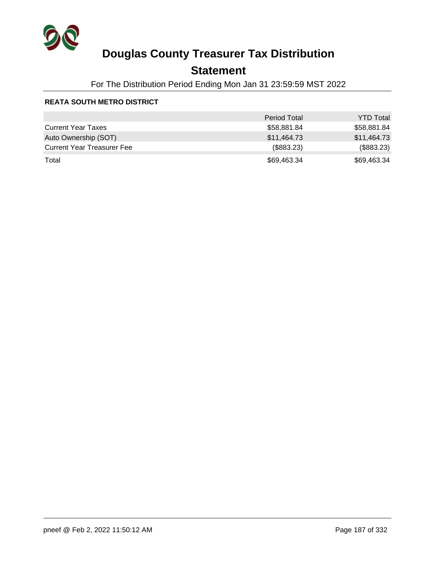

## **Statement**

For The Distribution Period Ending Mon Jan 31 23:59:59 MST 2022

### **REATA SOUTH METRO DISTRICT**

|                                   | <b>Period Total</b> | <b>YTD Total</b> |
|-----------------------------------|---------------------|------------------|
| <b>Current Year Taxes</b>         | \$58,881.84         | \$58,881.84      |
| Auto Ownership (SOT)              | \$11,464.73         | \$11,464.73      |
| <b>Current Year Treasurer Fee</b> | (\$883.23)          | (\$883.23)       |
| Total                             | \$69,463.34         | \$69,463.34      |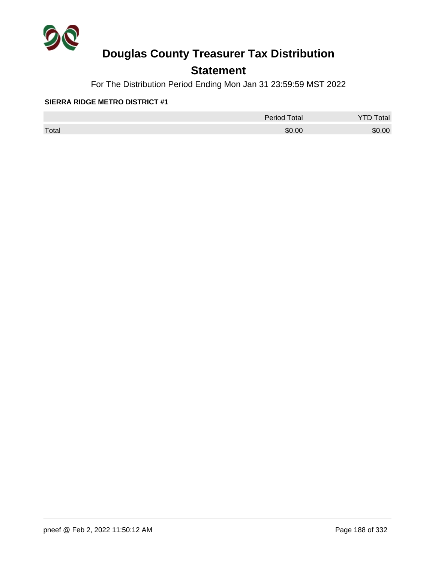

## **Statement**

For The Distribution Period Ending Mon Jan 31 23:59:59 MST 2022

### **SIERRA RIDGE METRO DISTRICT #1**

|       | <b>Period Total</b> | otal<br>້ |
|-------|---------------------|-----------|
| Total | \$0.00              | \$0.00    |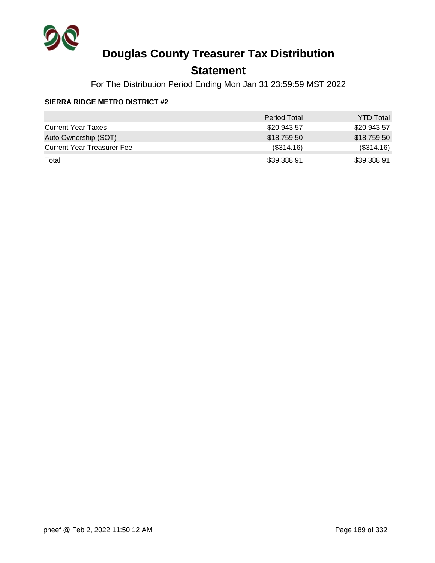

## **Statement**

For The Distribution Period Ending Mon Jan 31 23:59:59 MST 2022

### **SIERRA RIDGE METRO DISTRICT #2**

|                                   | <b>Period Total</b> | <b>YTD Total</b> |
|-----------------------------------|---------------------|------------------|
| <b>Current Year Taxes</b>         | \$20,943.57         | \$20,943.57      |
| Auto Ownership (SOT)              | \$18,759.50         | \$18,759.50      |
| <b>Current Year Treasurer Fee</b> | (\$314.16)          | (\$314.16)       |
| Total                             | \$39,388.91         | \$39,388.91      |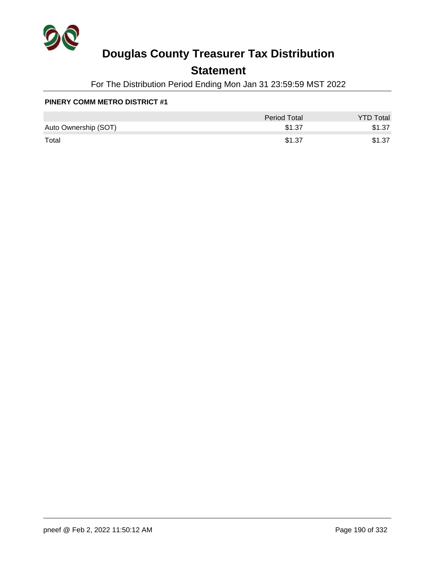

## **Statement**

For The Distribution Period Ending Mon Jan 31 23:59:59 MST 2022

### **PINERY COMM METRO DISTRICT #1**

|                      | Period Total | <b>YTD Total</b> |
|----------------------|--------------|------------------|
| Auto Ownership (SOT) | \$1.37       | \$1.37           |
| Total                | \$1.37       | \$1.37           |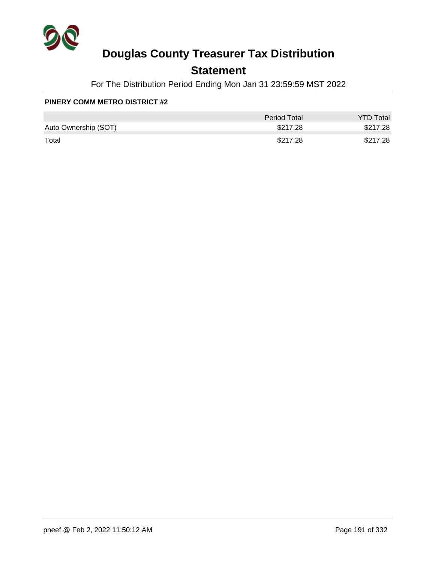

## **Statement**

For The Distribution Period Ending Mon Jan 31 23:59:59 MST 2022

### **PINERY COMM METRO DISTRICT #2**

|                      | <b>Period Total</b> | <b>YTD Total</b> |
|----------------------|---------------------|------------------|
| Auto Ownership (SOT) | \$217.28            | \$217.28         |
| Total                | \$217.28            | \$217.28         |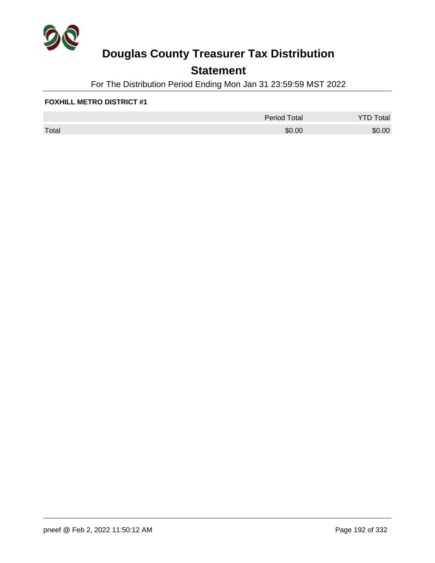

## **Statement**

For The Distribution Period Ending Mon Jan 31 23:59:59 MST 2022

### **FOXHILL METRO DISTRICT #1**

|       | <b>Period Total</b> | otal<br>້ |
|-------|---------------------|-----------|
| Total | \$0.00              | \$0.00    |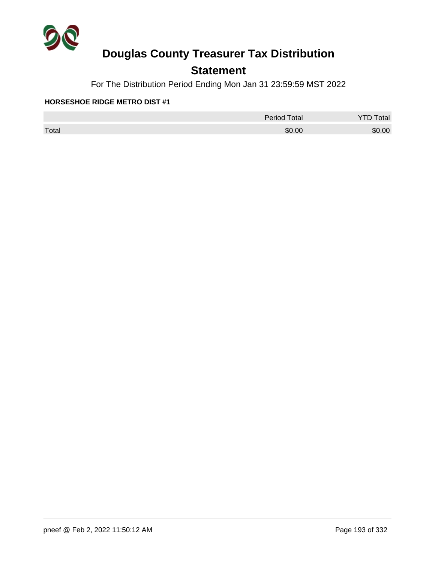

## **Statement**

For The Distribution Period Ending Mon Jan 31 23:59:59 MST 2022

### **HORSESHOE RIDGE METRO DIST #1**

|       | <b>Period Total</b> | otal<br>້ |
|-------|---------------------|-----------|
| Total | \$0.00              | \$0.00    |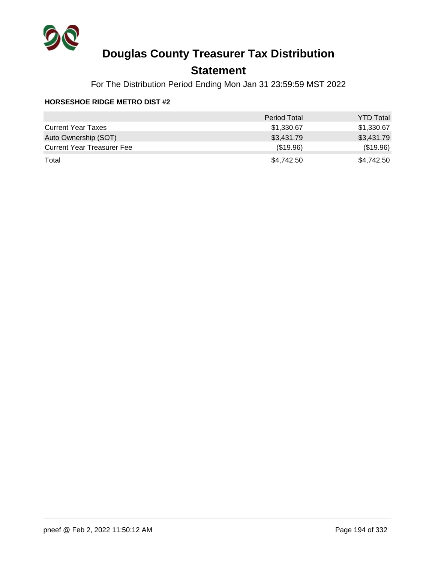

## **Statement**

For The Distribution Period Ending Mon Jan 31 23:59:59 MST 2022

### **HORSESHOE RIDGE METRO DIST #2**

|                                   | <b>Period Total</b> | <b>YTD Total</b> |
|-----------------------------------|---------------------|------------------|
| <b>Current Year Taxes</b>         | \$1,330.67          | \$1,330.67       |
| Auto Ownership (SOT)              | \$3,431.79          | \$3,431.79       |
| <b>Current Year Treasurer Fee</b> | (\$19.96)           | (\$19.96)        |
| Total                             | \$4,742.50          | \$4,742.50       |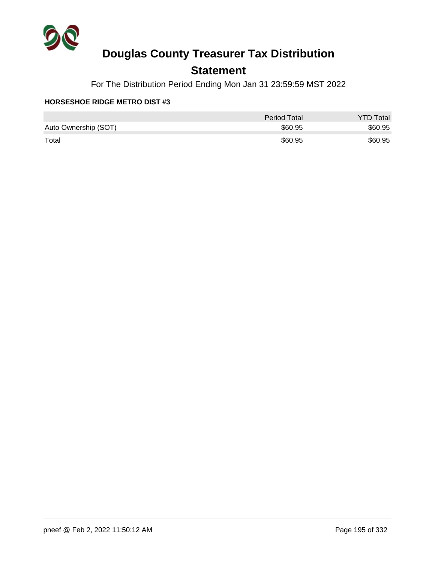

## **Statement**

For The Distribution Period Ending Mon Jan 31 23:59:59 MST 2022

### **HORSESHOE RIDGE METRO DIST #3**

|                      | <b>Period Total</b> | <b>YTD Total</b> |
|----------------------|---------------------|------------------|
| Auto Ownership (SOT) | \$60.95             | \$60.95          |
| Total                | \$60.95             | \$60.95          |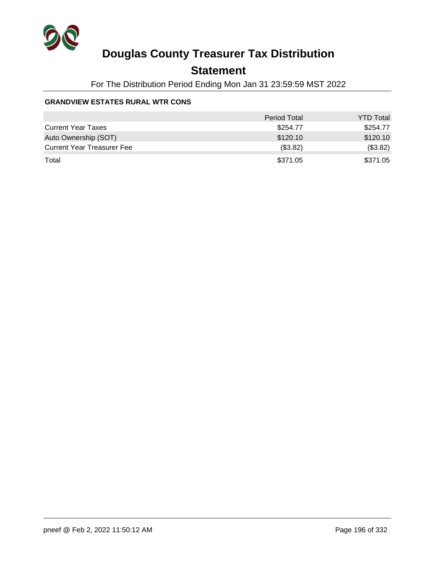

## **Statement**

For The Distribution Period Ending Mon Jan 31 23:59:59 MST 2022

### **GRANDVIEW ESTATES RURAL WTR CONS**

|                                   | <b>Period Total</b> | <b>YTD Total</b> |
|-----------------------------------|---------------------|------------------|
| <b>Current Year Taxes</b>         | \$254.77            | \$254.77         |
| Auto Ownership (SOT)              | \$120.10            | \$120.10         |
| <b>Current Year Treasurer Fee</b> | (\$3.82)            | (\$3.82)         |
| Total                             | \$371.05            | \$371.05         |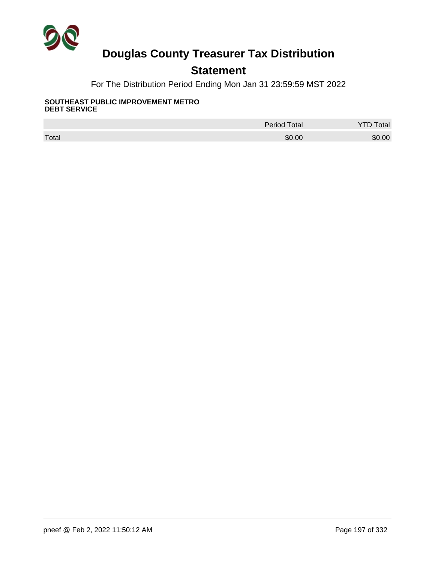

## **Statement**

For The Distribution Period Ending Mon Jan 31 23:59:59 MST 2022

#### **SOUTHEAST PUBLIC IMPROVEMENT METRO DEBT SERVICE**

|       | <b>Period Total</b> | otal   |
|-------|---------------------|--------|
| Total | \$0.00              | \$0.00 |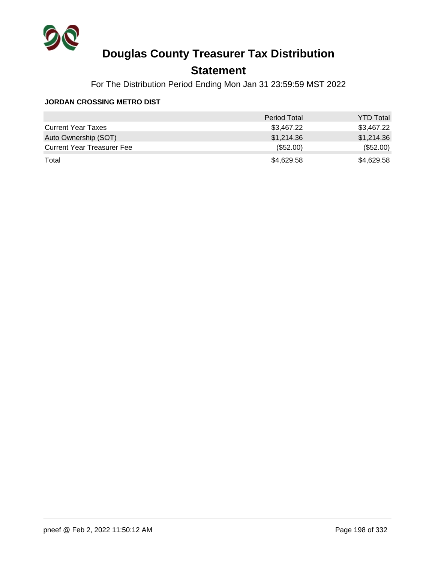

## **Statement**

For The Distribution Period Ending Mon Jan 31 23:59:59 MST 2022

### **JORDAN CROSSING METRO DIST**

|                                   | <b>Period Total</b> | <b>YTD Total</b> |
|-----------------------------------|---------------------|------------------|
| <b>Current Year Taxes</b>         | \$3,467.22          | \$3,467.22       |
| Auto Ownership (SOT)              | \$1,214.36          | \$1,214.36       |
| <b>Current Year Treasurer Fee</b> | $(\$52.00)$         | (\$52.00)        |
| Total                             | \$4,629.58          | \$4,629.58       |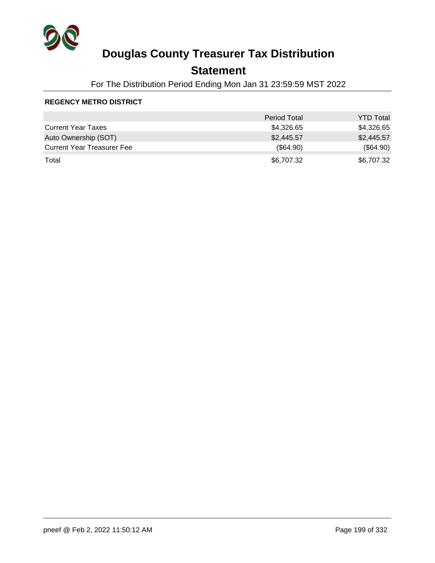

## **Statement**

For The Distribution Period Ending Mon Jan 31 23:59:59 MST 2022

### **REGENCY METRO DISTRICT**

|                                   | <b>Period Total</b> | <b>YTD Total</b> |
|-----------------------------------|---------------------|------------------|
| <b>Current Year Taxes</b>         | \$4,326.65          | \$4,326.65       |
| Auto Ownership (SOT)              | \$2,445.57          | \$2,445.57       |
| <b>Current Year Treasurer Fee</b> | $(\$64.90)$         | (\$64.90)        |
| Total                             | \$6,707.32          | \$6,707.32       |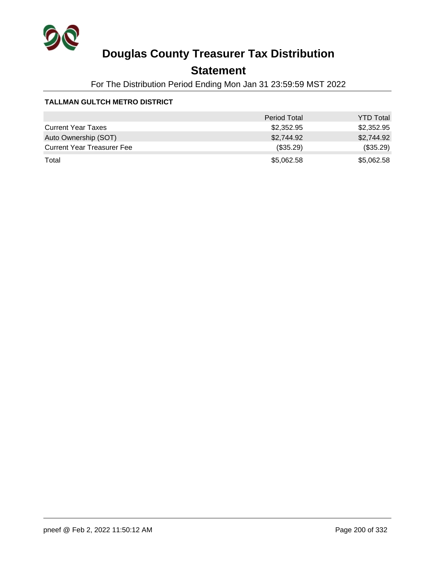

## **Statement**

For The Distribution Period Ending Mon Jan 31 23:59:59 MST 2022

### **TALLMAN GULTCH METRO DISTRICT**

|                                   | <b>Period Total</b> | <b>YTD Total</b> |
|-----------------------------------|---------------------|------------------|
| <b>Current Year Taxes</b>         | \$2,352.95          | \$2,352.95       |
| Auto Ownership (SOT)              | \$2,744.92          | \$2,744.92       |
| <b>Current Year Treasurer Fee</b> | $(\$35.29)$         | (\$35.29)        |
| Total                             | \$5,062.58          | \$5,062.58       |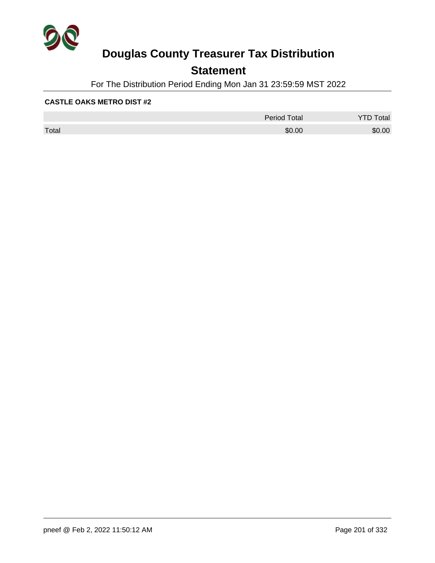

## **Statement**

For The Distribution Period Ending Mon Jan 31 23:59:59 MST 2022

### **CASTLE OAKS METRO DIST #2**

|       | <b>Period Total</b> | otal<br>້ |
|-------|---------------------|-----------|
| Total | \$0.00              | \$0.00    |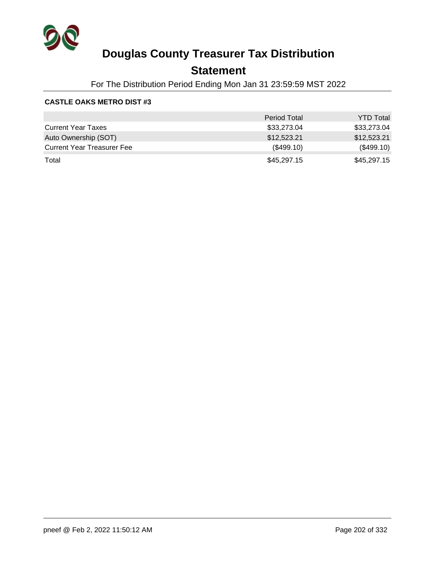

## **Statement**

For The Distribution Period Ending Mon Jan 31 23:59:59 MST 2022

### **CASTLE OAKS METRO DIST #3**

|                                   | <b>Period Total</b> | <b>YTD Total</b> |
|-----------------------------------|---------------------|------------------|
| <b>Current Year Taxes</b>         | \$33,273.04         | \$33,273.04      |
| Auto Ownership (SOT)              | \$12,523.21         | \$12,523.21      |
| <b>Current Year Treasurer Fee</b> | (\$499.10)          | (\$499.10)       |
| Total                             | \$45,297.15         | \$45,297.15      |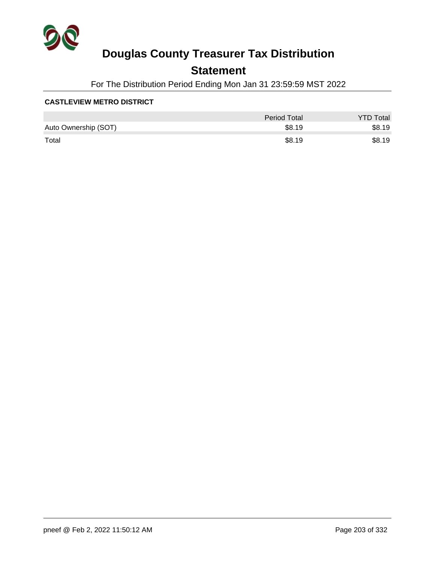

## **Statement**

For The Distribution Period Ending Mon Jan 31 23:59:59 MST 2022

### **CASTLEVIEW METRO DISTRICT**

|                      | Period Total | <b>YTD Total</b> |
|----------------------|--------------|------------------|
| Auto Ownership (SOT) | \$8.19       | \$8.19           |
| Total                | \$8.19       | \$8.19           |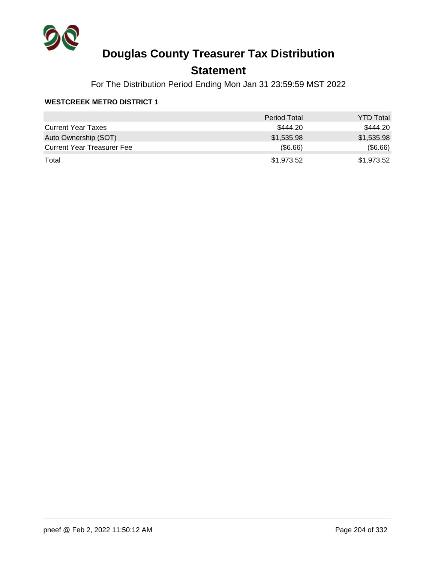

## **Statement**

For The Distribution Period Ending Mon Jan 31 23:59:59 MST 2022

### **WESTCREEK METRO DISTRICT 1**

|                                   | <b>Period Total</b> | <b>YTD Total</b> |
|-----------------------------------|---------------------|------------------|
| <b>Current Year Taxes</b>         | \$444.20            | \$444.20         |
| Auto Ownership (SOT)              | \$1,535.98          | \$1,535.98       |
| <b>Current Year Treasurer Fee</b> | $($ \$6.66)         | (\$6.66)         |
| Total                             | \$1,973.52          | \$1,973.52       |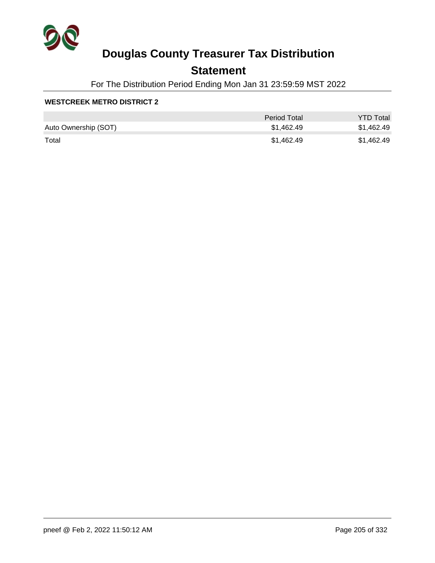

## **Statement**

For The Distribution Period Ending Mon Jan 31 23:59:59 MST 2022

### **WESTCREEK METRO DISTRICT 2**

|                      | <b>Period Total</b> | <b>YTD Total</b> |
|----------------------|---------------------|------------------|
| Auto Ownership (SOT) | \$1,462.49          | \$1,462.49       |
| Total                | \$1,462.49          | \$1,462.49       |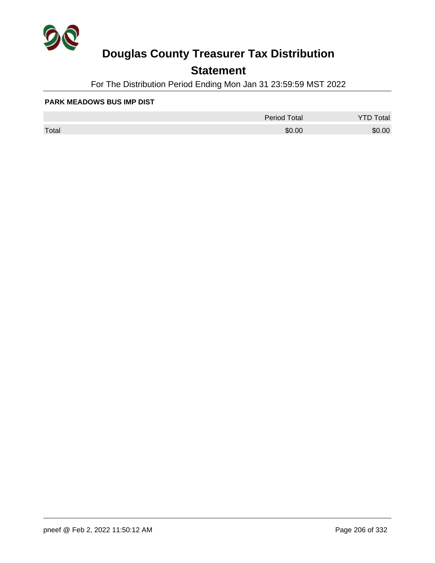

## **Statement**

For The Distribution Period Ending Mon Jan 31 23:59:59 MST 2022

#### **PARK MEADOWS BUS IMP DIST**

|       | <b>Period Total</b> | otal<br>້ |
|-------|---------------------|-----------|
| Total | \$0.00              | \$0.00    |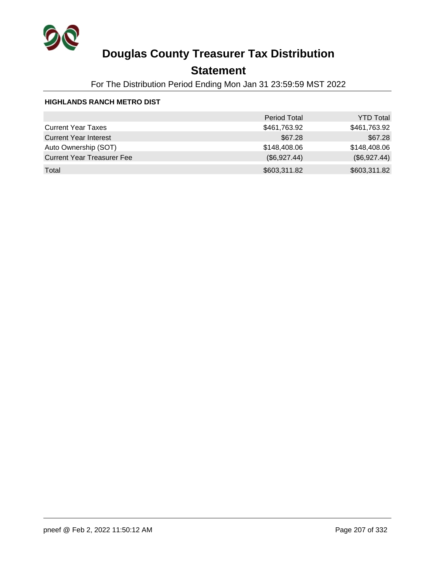

## **Statement**

For The Distribution Period Ending Mon Jan 31 23:59:59 MST 2022

### **HIGHLANDS RANCH METRO DIST**

|                                   | <b>Period Total</b> | <b>YTD Total</b> |
|-----------------------------------|---------------------|------------------|
| <b>Current Year Taxes</b>         | \$461,763.92        | \$461,763.92     |
| <b>Current Year Interest</b>      | \$67.28             | \$67.28          |
| Auto Ownership (SOT)              | \$148,408.06        | \$148,408.06     |
| <b>Current Year Treasurer Fee</b> | (\$6,927.44)        | (\$6,927.44)     |
| Total                             | \$603,311.82        | \$603,311.82     |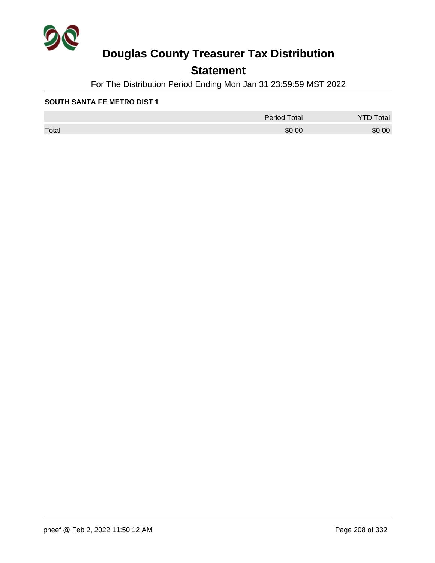

## **Statement**

For The Distribution Period Ending Mon Jan 31 23:59:59 MST 2022

### **SOUTH SANTA FE METRO DIST 1**

|       | <b>Period Total</b> | otal<br>້ |
|-------|---------------------|-----------|
| Total | \$0.00              | \$0.00    |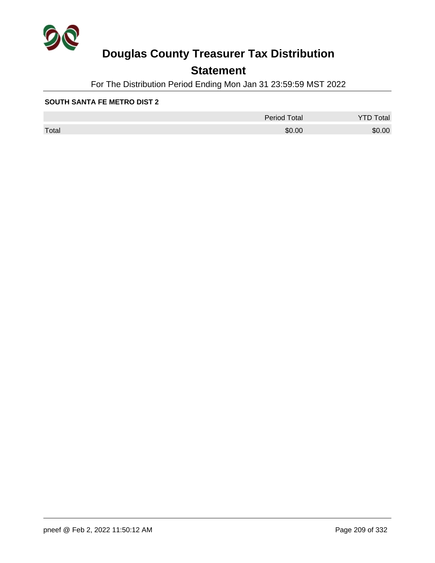

## **Statement**

For The Distribution Period Ending Mon Jan 31 23:59:59 MST 2022

### **SOUTH SANTA FE METRO DIST 2**

|       | Period Total | otal<br>້ |
|-------|--------------|-----------|
| Total | \$0.00       | \$0.00    |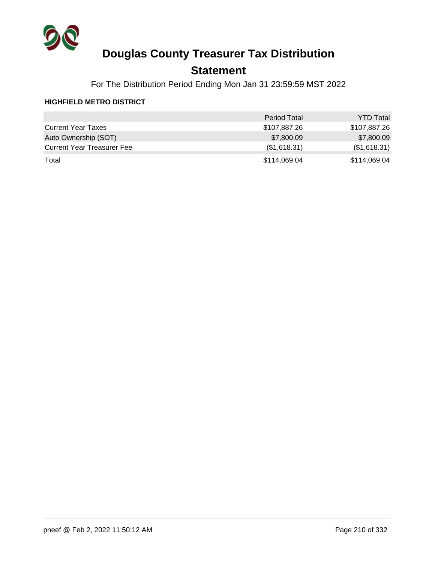

## **Statement**

For The Distribution Period Ending Mon Jan 31 23:59:59 MST 2022

### **HIGHFIELD METRO DISTRICT**

|                                   | <b>Period Total</b> | <b>YTD Total</b> |
|-----------------------------------|---------------------|------------------|
| <b>Current Year Taxes</b>         | \$107,887.26        | \$107,887.26     |
| Auto Ownership (SOT)              | \$7,800.09          | \$7,800.09       |
| <b>Current Year Treasurer Fee</b> | (\$1,618.31)        | (\$1,618.31)     |
| Total                             | \$114,069.04        | \$114,069.04     |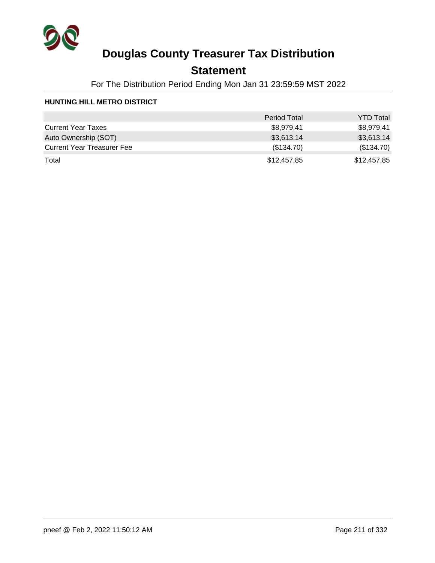

## **Statement**

For The Distribution Period Ending Mon Jan 31 23:59:59 MST 2022

### **HUNTING HILL METRO DISTRICT**

|                                   | <b>Period Total</b> | <b>YTD Total</b> |
|-----------------------------------|---------------------|------------------|
| <b>Current Year Taxes</b>         | \$8,979.41          | \$8,979.41       |
| Auto Ownership (SOT)              | \$3,613.14          | \$3,613.14       |
| <b>Current Year Treasurer Fee</b> | (\$134.70)          | (\$134.70)       |
| Total                             | \$12,457.85         | \$12,457.85      |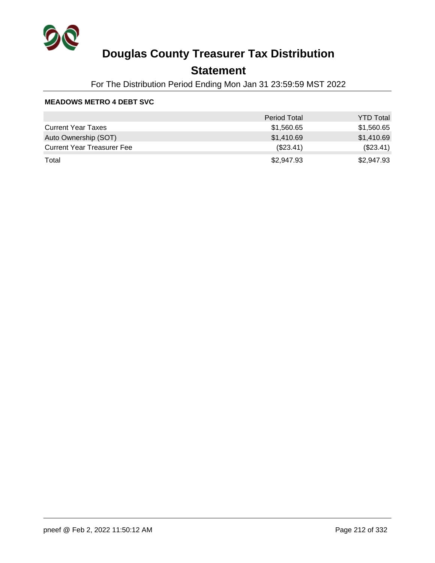

## **Statement**

For The Distribution Period Ending Mon Jan 31 23:59:59 MST 2022

### **MEADOWS METRO 4 DEBT SVC**

|                                   | <b>Period Total</b> | <b>YTD Total</b> |
|-----------------------------------|---------------------|------------------|
| <b>Current Year Taxes</b>         | \$1,560.65          | \$1,560.65       |
| Auto Ownership (SOT)              | \$1,410.69          | \$1,410.69       |
| <b>Current Year Treasurer Fee</b> | (\$23.41)           | (\$23.41)        |
| Total                             | \$2,947.93          | \$2,947.93       |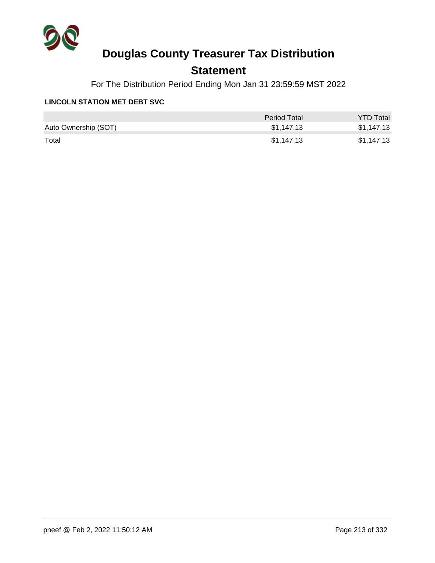

## **Statement**

For The Distribution Period Ending Mon Jan 31 23:59:59 MST 2022

### **LINCOLN STATION MET DEBT SVC**

|                      | Period Total | <b>YTD Total</b> |
|----------------------|--------------|------------------|
| Auto Ownership (SOT) | \$1,147.13   | \$1,147.13       |
| Total                | \$1,147.13   | \$1,147.13       |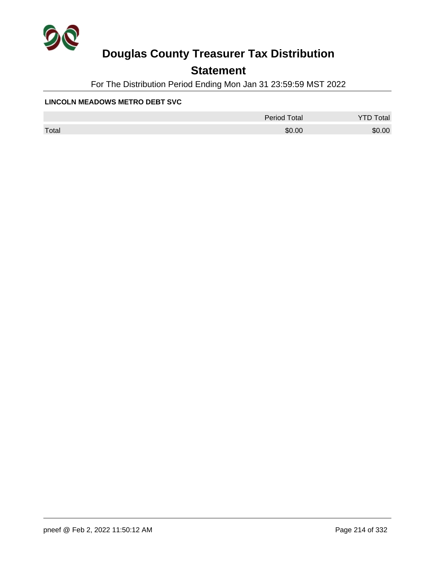

## **Statement**

For The Distribution Period Ending Mon Jan 31 23:59:59 MST 2022

### **LINCOLN MEADOWS METRO DEBT SVC**

|       | <b>Period Total</b> | otal   |
|-------|---------------------|--------|
| Total | \$0.00              | \$0.00 |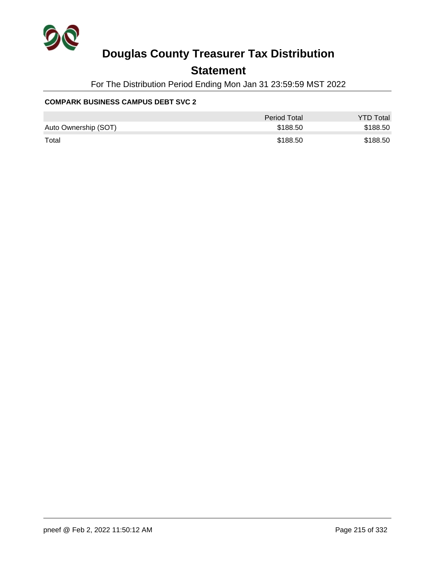

### **Statement**

For The Distribution Period Ending Mon Jan 31 23:59:59 MST 2022

### **COMPARK BUSINESS CAMPUS DEBT SVC 2**

|                      | Period Total | <b>YTD Total</b> |
|----------------------|--------------|------------------|
| Auto Ownership (SOT) | \$188.50     | \$188.50         |
| Total                | \$188.50     | \$188.50         |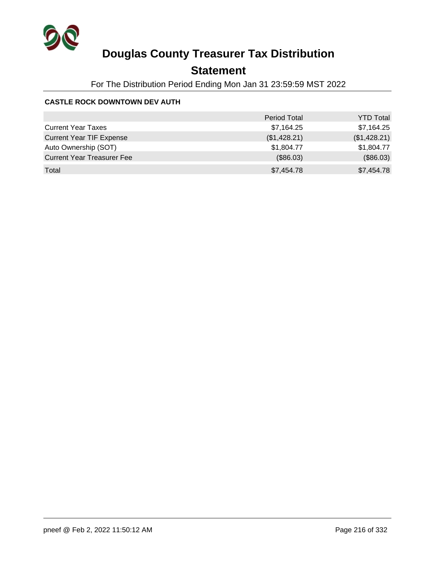

## **Statement**

For The Distribution Period Ending Mon Jan 31 23:59:59 MST 2022

### **CASTLE ROCK DOWNTOWN DEV AUTH**

|                                   | <b>Period Total</b> | <b>YTD Total</b> |
|-----------------------------------|---------------------|------------------|
| <b>Current Year Taxes</b>         | \$7,164.25          | \$7,164.25       |
| <b>Current Year TIF Expense</b>   | (\$1,428.21)        | (\$1,428.21)     |
| Auto Ownership (SOT)              | \$1,804.77          | \$1,804.77       |
| <b>Current Year Treasurer Fee</b> | (\$86.03)           | (\$86.03)        |
| Total                             | \$7,454.78          | \$7,454.78       |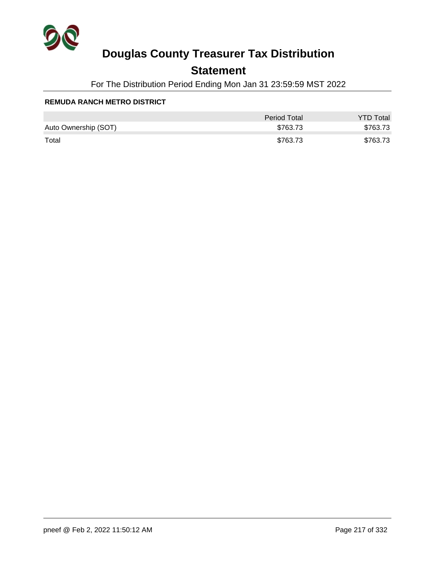

## **Statement**

For The Distribution Period Ending Mon Jan 31 23:59:59 MST 2022

#### **REMUDA RANCH METRO DISTRICT**

|                      | Period Total | <b>YTD Total</b> |
|----------------------|--------------|------------------|
| Auto Ownership (SOT) | \$763.73     | \$763.73         |
| Total                | \$763.73     | \$763.73         |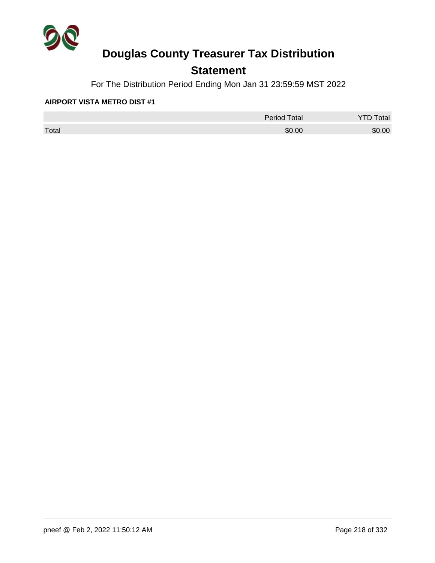

## **Statement**

For The Distribution Period Ending Mon Jan 31 23:59:59 MST 2022

#### **AIRPORT VISTA METRO DIST #1**

|       | <b>Period Total</b> | Total  |
|-------|---------------------|--------|
| Total | \$0.00              | \$0.00 |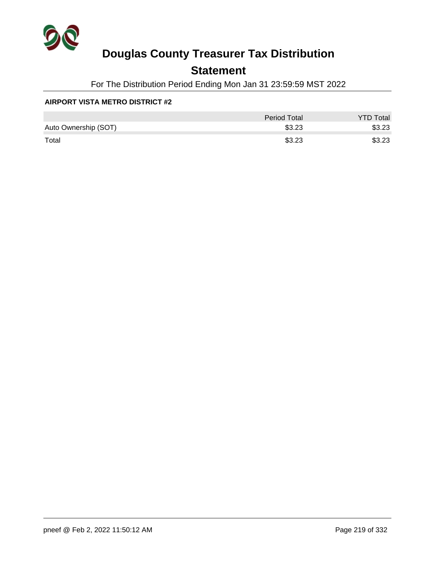

## **Statement**

For The Distribution Period Ending Mon Jan 31 23:59:59 MST 2022

#### **AIRPORT VISTA METRO DISTRICT #2**

|                      | <b>Period Total</b> | <b>YTD Total</b> |
|----------------------|---------------------|------------------|
| Auto Ownership (SOT) | \$3.23              | \$3.23           |
| Total                | \$3.23              | \$3.23           |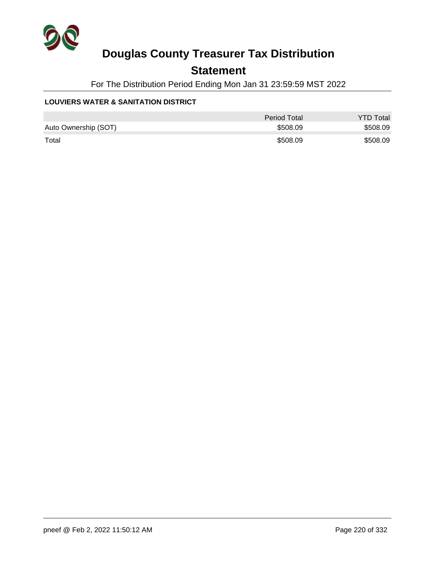

## **Statement**

For The Distribution Period Ending Mon Jan 31 23:59:59 MST 2022

#### **LOUVIERS WATER & SANITATION DISTRICT**

|                      | <b>Period Total</b> | <b>YTD Total</b> |
|----------------------|---------------------|------------------|
| Auto Ownership (SOT) | \$508.09            | \$508.09         |
| Total                | \$508.09            | \$508.09         |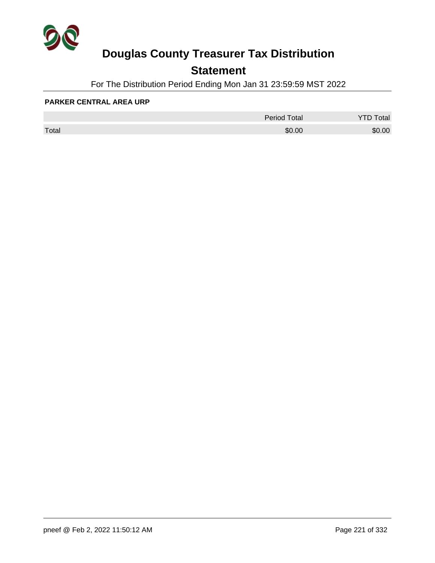

## **Statement**

For The Distribution Period Ending Mon Jan 31 23:59:59 MST 2022

#### **PARKER CENTRAL AREA URP**

|       | <b>Period Total</b> | otal<br>້ |
|-------|---------------------|-----------|
| Total | \$0.00              | \$0.00    |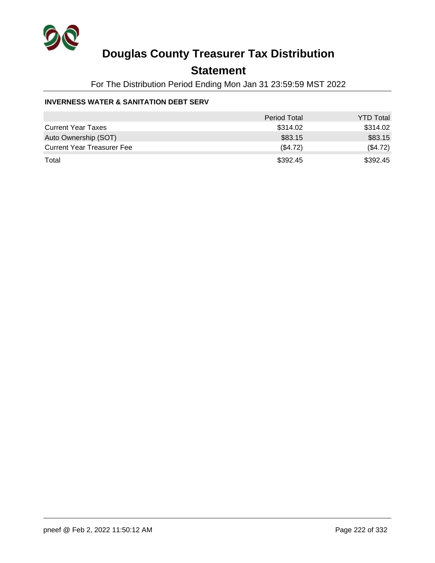

## **Statement**

For The Distribution Period Ending Mon Jan 31 23:59:59 MST 2022

#### **INVERNESS WATER & SANITATION DEBT SERV**

|                                   | <b>Period Total</b> | <b>YTD Total</b> |
|-----------------------------------|---------------------|------------------|
| <b>Current Year Taxes</b>         | \$314.02            | \$314.02         |
| Auto Ownership (SOT)              | \$83.15             | \$83.15          |
| <b>Current Year Treasurer Fee</b> | (S4.72)             | (\$4.72)         |
| Total                             | \$392.45            | \$392.45         |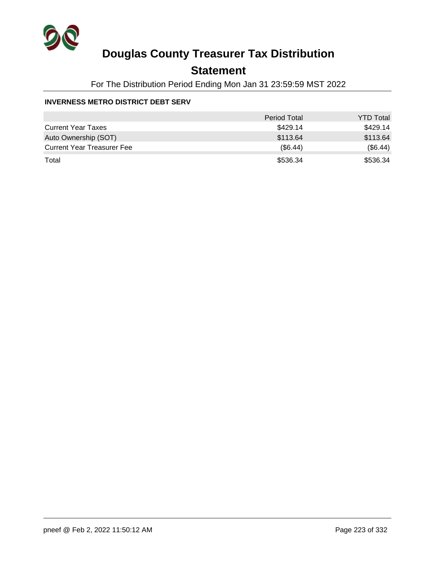

## **Statement**

For The Distribution Period Ending Mon Jan 31 23:59:59 MST 2022

#### **INVERNESS METRO DISTRICT DEBT SERV**

|                                   | <b>Period Total</b> | <b>YTD Total</b> |
|-----------------------------------|---------------------|------------------|
| <b>Current Year Taxes</b>         | \$429.14            | \$429.14         |
| Auto Ownership (SOT)              | \$113.64            | \$113.64         |
| <b>Current Year Treasurer Fee</b> | (S6.44)             | (\$6.44)         |
| Total                             | \$536.34            | \$536.34         |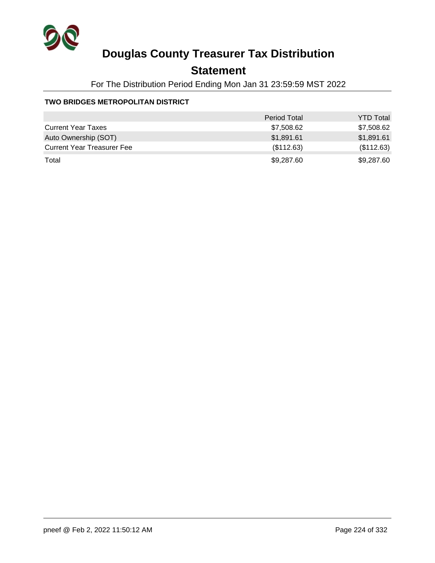

## **Statement**

For The Distribution Period Ending Mon Jan 31 23:59:59 MST 2022

#### **TWO BRIDGES METROPOLITAN DISTRICT**

|                                   | <b>Period Total</b> | <b>YTD Total</b> |
|-----------------------------------|---------------------|------------------|
| <b>Current Year Taxes</b>         | \$7,508.62          | \$7,508.62       |
| Auto Ownership (SOT)              | \$1,891.61          | \$1,891.61       |
| <b>Current Year Treasurer Fee</b> | (\$112.63)          | (\$112.63)       |
| Total                             | \$9,287.60          | \$9,287.60       |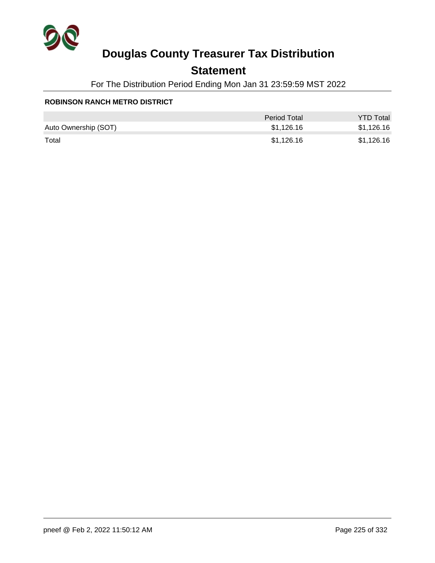

## **Statement**

For The Distribution Period Ending Mon Jan 31 23:59:59 MST 2022

#### **ROBINSON RANCH METRO DISTRICT**

|                      | Period Total | <b>YTD Total</b> |
|----------------------|--------------|------------------|
| Auto Ownership (SOT) | \$1,126.16   | \$1,126.16       |
| Total                | \$1,126.16   | \$1,126.16       |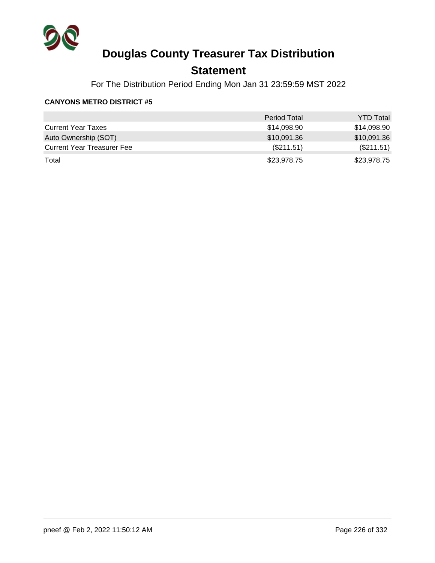

## **Statement**

For The Distribution Period Ending Mon Jan 31 23:59:59 MST 2022

|                                   | <b>Period Total</b> | <b>YTD Total</b> |
|-----------------------------------|---------------------|------------------|
| <b>Current Year Taxes</b>         | \$14,098.90         | \$14,098.90      |
| Auto Ownership (SOT)              | \$10,091.36         | \$10,091.36      |
| <b>Current Year Treasurer Fee</b> | (\$211.51)          | (\$211.51)       |
| Total                             | \$23,978.75         | \$23,978.75      |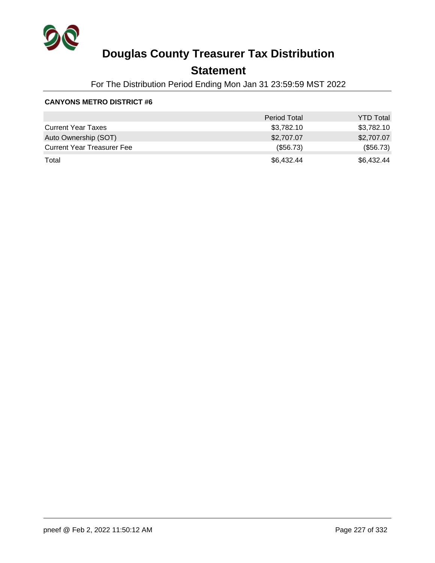

## **Statement**

For The Distribution Period Ending Mon Jan 31 23:59:59 MST 2022

|                                   | <b>Period Total</b> | <b>YTD Total</b> |
|-----------------------------------|---------------------|------------------|
| <b>Current Year Taxes</b>         | \$3,782.10          | \$3,782.10       |
| Auto Ownership (SOT)              | \$2,707.07          | \$2,707.07       |
| <b>Current Year Treasurer Fee</b> | (\$56.73)           | (\$56.73)        |
| Total                             | \$6,432.44          | \$6,432.44       |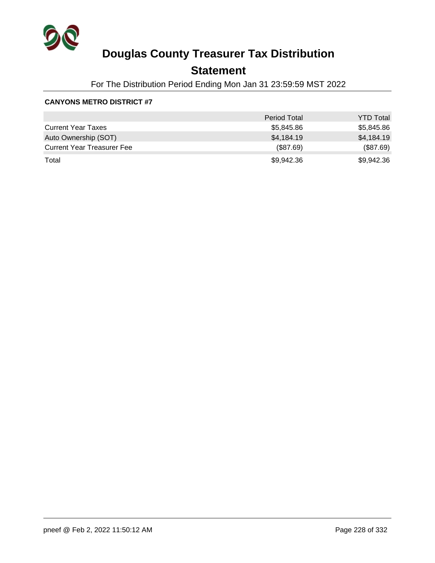

## **Statement**

For The Distribution Period Ending Mon Jan 31 23:59:59 MST 2022

|                                   | <b>Period Total</b> | <b>YTD Total</b> |
|-----------------------------------|---------------------|------------------|
| <b>Current Year Taxes</b>         | \$5,845.86          | \$5,845.86       |
| Auto Ownership (SOT)              | \$4,184.19          | \$4,184.19       |
| <b>Current Year Treasurer Fee</b> | (\$87.69)           | (\$87.69)        |
| Total                             | \$9,942.36          | \$9,942.36       |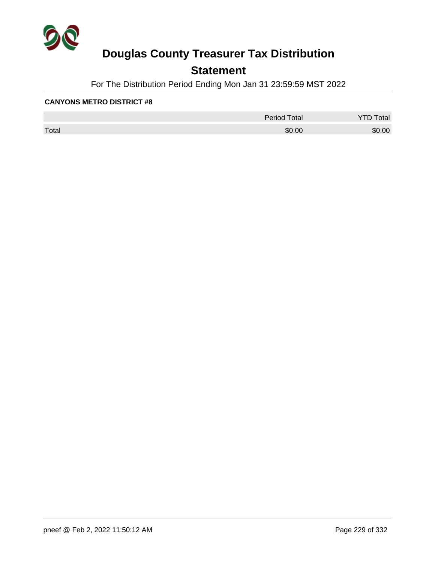

## **Statement**

For The Distribution Period Ending Mon Jan 31 23:59:59 MST 2022

|       | <b>Period Total</b> | otal<br>້ |
|-------|---------------------|-----------|
| Total | \$0.00              | \$0.00    |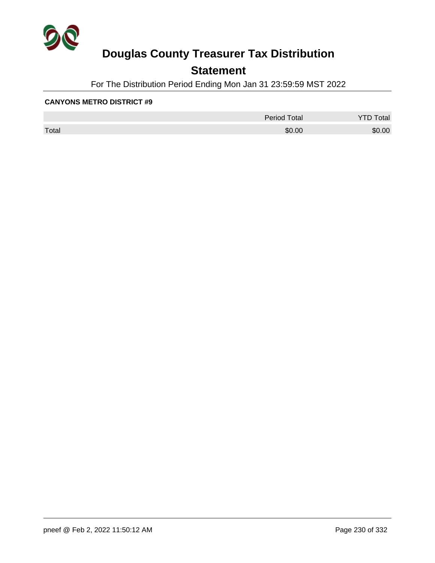

## **Statement**

For The Distribution Period Ending Mon Jan 31 23:59:59 MST 2022

|       | <b>Period Total</b> | otal<br>້ |
|-------|---------------------|-----------|
| Total | \$0.00              | \$0.00    |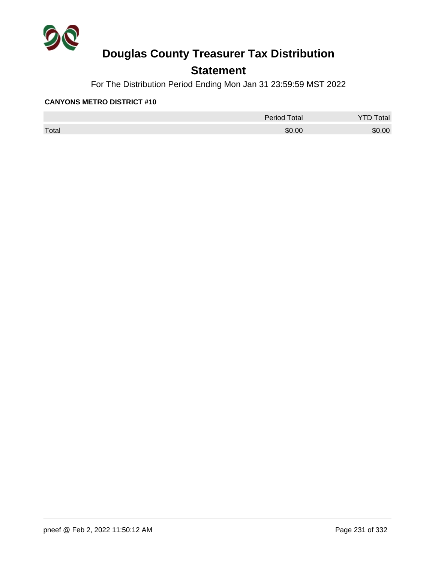

## **Statement**

For The Distribution Period Ending Mon Jan 31 23:59:59 MST 2022

|       | <b>Period Total</b> | otal<br>້ |
|-------|---------------------|-----------|
| Total | \$0.00              | \$0.00    |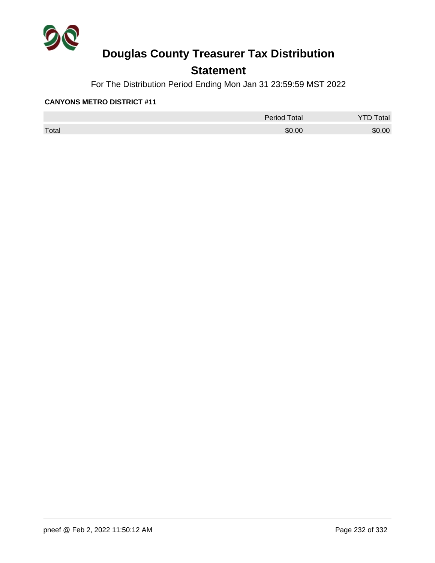

## **Statement**

For The Distribution Period Ending Mon Jan 31 23:59:59 MST 2022

|       | <b>Period Total</b> | otal<br>້ |
|-------|---------------------|-----------|
| Total | \$0.00              | \$0.00    |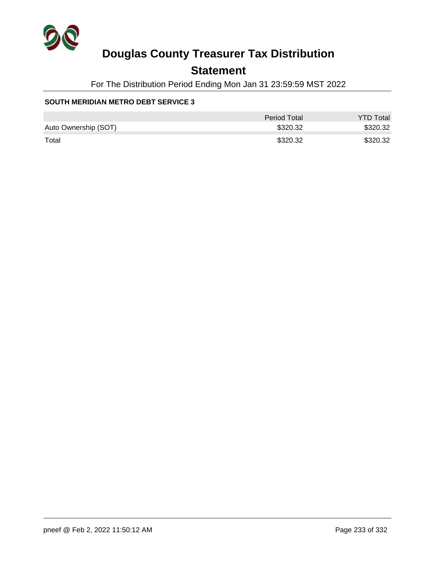

## **Statement**

For The Distribution Period Ending Mon Jan 31 23:59:59 MST 2022

#### **SOUTH MERIDIAN METRO DEBT SERVICE 3**

|                      | Period Total | <b>YTD Total</b> |
|----------------------|--------------|------------------|
| Auto Ownership (SOT) | \$320.32     | \$320.32         |
| Total                | \$320.32     | \$320.32         |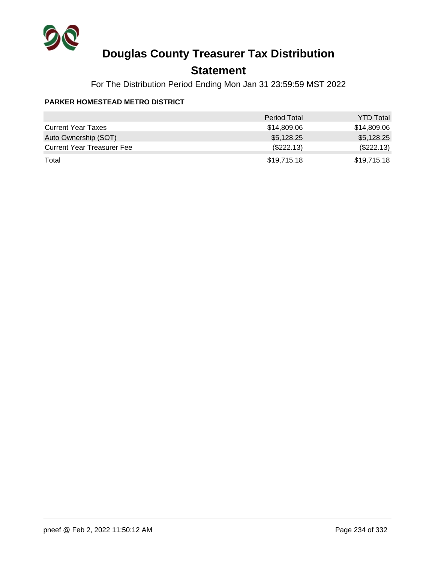

## **Statement**

For The Distribution Period Ending Mon Jan 31 23:59:59 MST 2022

#### **PARKER HOMESTEAD METRO DISTRICT**

|                                   | <b>Period Total</b> | <b>YTD Total</b> |
|-----------------------------------|---------------------|------------------|
| <b>Current Year Taxes</b>         | \$14,809.06         | \$14,809.06      |
| Auto Ownership (SOT)              | \$5,128.25          | \$5,128.25       |
| <b>Current Year Treasurer Fee</b> | (\$222.13)          | (\$222.13)       |
| Total                             | \$19,715.18         | \$19,715.18      |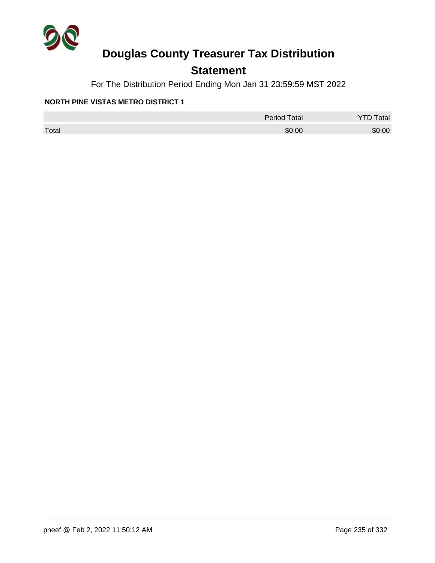

## **Statement**

For The Distribution Period Ending Mon Jan 31 23:59:59 MST 2022

#### **NORTH PINE VISTAS METRO DISTRICT 1**

|       | <b>Period Total</b> | otal<br>້ |
|-------|---------------------|-----------|
| Total | \$0.00              | \$0.00    |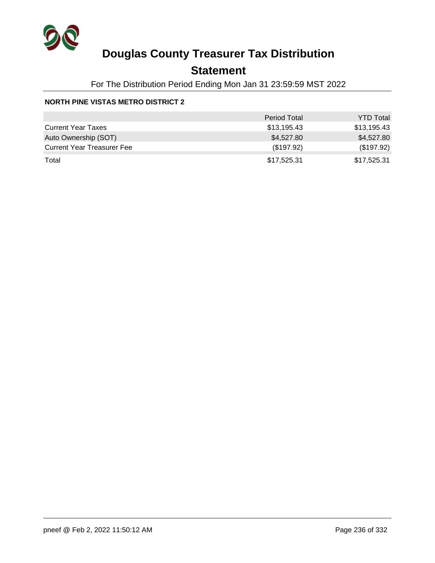

## **Statement**

For The Distribution Period Ending Mon Jan 31 23:59:59 MST 2022

#### **NORTH PINE VISTAS METRO DISTRICT 2**

|                                   | <b>Period Total</b> | <b>YTD Total</b> |
|-----------------------------------|---------------------|------------------|
| <b>Current Year Taxes</b>         | \$13,195.43         | \$13,195.43      |
| Auto Ownership (SOT)              | \$4,527.80          | \$4,527.80       |
| <b>Current Year Treasurer Fee</b> | (\$197.92)          | (\$197.92)       |
| Total                             | \$17,525.31         | \$17,525.31      |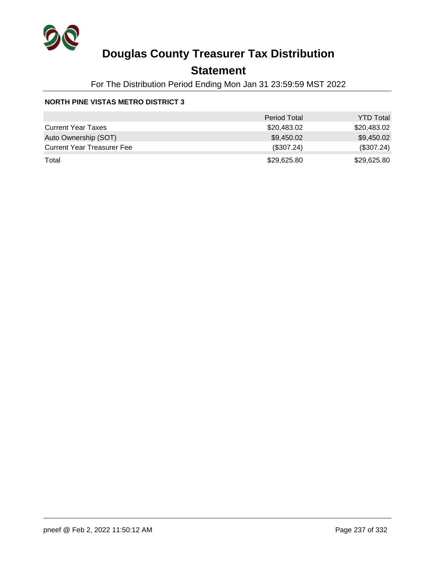

## **Statement**

For The Distribution Period Ending Mon Jan 31 23:59:59 MST 2022

#### **NORTH PINE VISTAS METRO DISTRICT 3**

|                                   | <b>Period Total</b> | <b>YTD Total</b> |
|-----------------------------------|---------------------|------------------|
| <b>Current Year Taxes</b>         | \$20,483.02         | \$20,483.02      |
| Auto Ownership (SOT)              | \$9,450.02          | \$9,450.02       |
| <b>Current Year Treasurer Fee</b> | (\$307.24)          | (\$307.24)       |
| Total                             | \$29,625.80         | \$29,625.80      |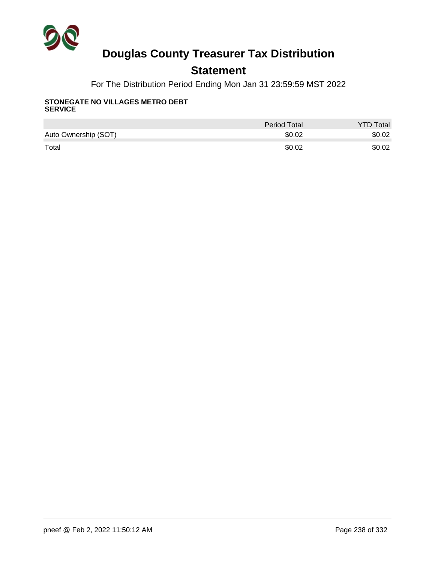

## **Statement**

For The Distribution Period Ending Mon Jan 31 23:59:59 MST 2022

#### **STONEGATE NO VILLAGES METRO DEBT SERVICE**

|                      | <b>Period Total</b> | <b>YTD Total</b> |
|----------------------|---------------------|------------------|
| Auto Ownership (SOT) | \$0.02              | \$0.02           |
| Total                | \$0.02              | \$0.02           |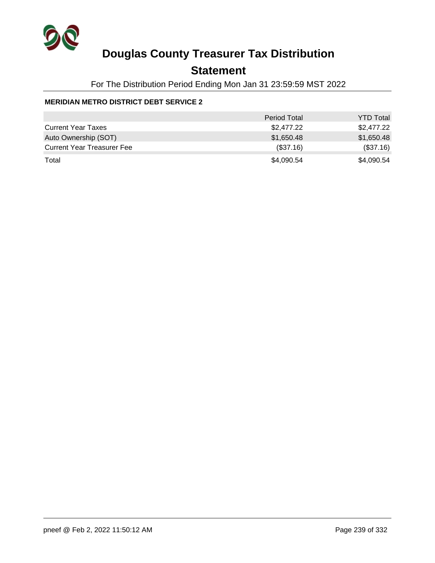

## **Statement**

For The Distribution Period Ending Mon Jan 31 23:59:59 MST 2022

#### **MERIDIAN METRO DISTRICT DEBT SERVICE 2**

|                                   | <b>Period Total</b> | <b>YTD Total</b> |
|-----------------------------------|---------------------|------------------|
| <b>Current Year Taxes</b>         | \$2,477.22          | \$2,477.22       |
| Auto Ownership (SOT)              | \$1,650.48          | \$1,650.48       |
| <b>Current Year Treasurer Fee</b> | (\$37.16)           | (\$37.16)        |
| Total                             | \$4,090.54          | \$4,090.54       |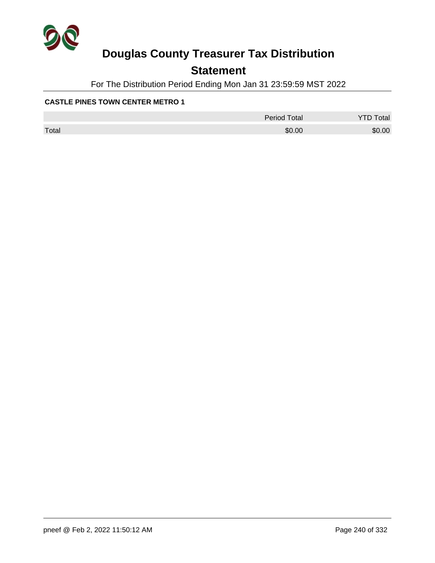

## **Statement**

For The Distribution Period Ending Mon Jan 31 23:59:59 MST 2022

#### **CASTLE PINES TOWN CENTER METRO 1**

|       | <b>Period Total</b> | otal<br>້ |
|-------|---------------------|-----------|
| Total | \$0.00              | \$0.00    |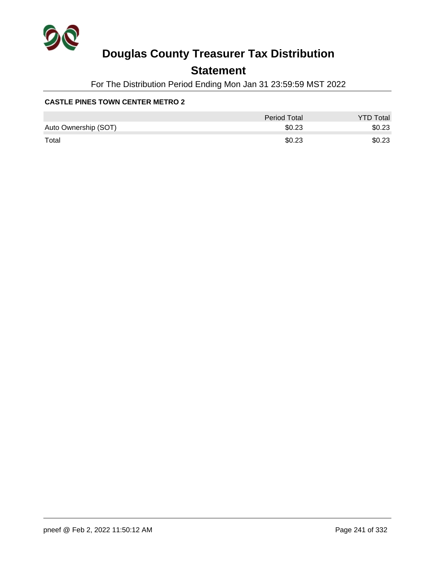

## **Statement**

For The Distribution Period Ending Mon Jan 31 23:59:59 MST 2022

#### **CASTLE PINES TOWN CENTER METRO 2**

|                      | <b>Period Total</b> | <b>YTD Total</b> |
|----------------------|---------------------|------------------|
| Auto Ownership (SOT) | \$0.23              | \$0.23           |
| Total                | \$0.23              | \$0.23           |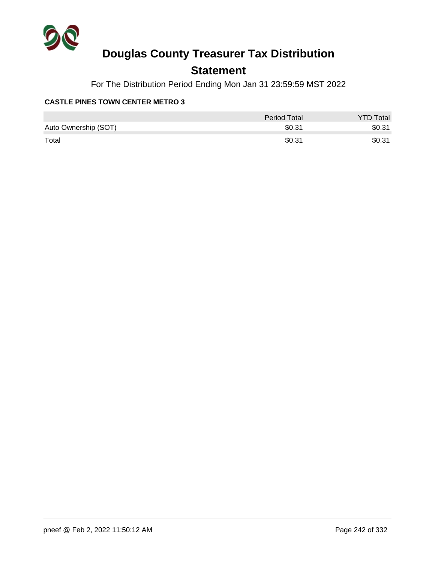

## **Statement**

For The Distribution Period Ending Mon Jan 31 23:59:59 MST 2022

#### **CASTLE PINES TOWN CENTER METRO 3**

|                      | <b>Period Total</b> | <b>YTD Total</b> |
|----------------------|---------------------|------------------|
| Auto Ownership (SOT) | \$0.31              | \$0.31           |
| Total                | \$0.31              | \$0.31           |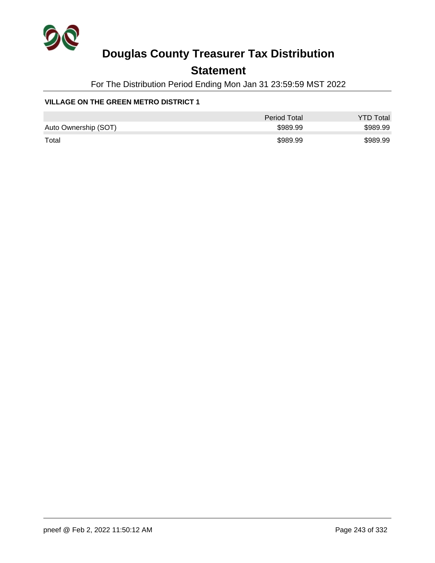

## **Statement**

For The Distribution Period Ending Mon Jan 31 23:59:59 MST 2022

#### **VILLAGE ON THE GREEN METRO DISTRICT 1**

|                      | Period Total | <b>YTD Total</b> |
|----------------------|--------------|------------------|
| Auto Ownership (SOT) | \$989.99     | \$989.99         |
| Total                | \$989.99     | \$989.99         |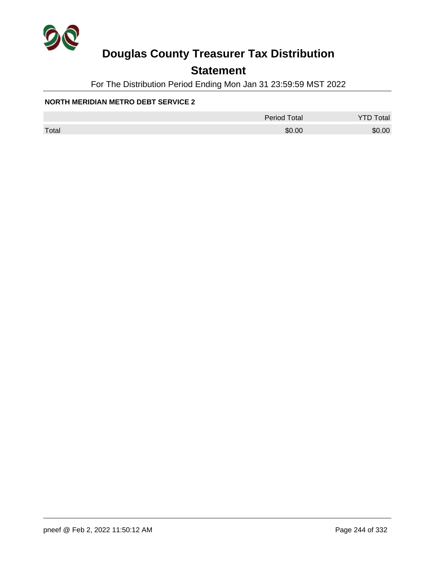

## **Statement**

For The Distribution Period Ending Mon Jan 31 23:59:59 MST 2022

#### **NORTH MERIDIAN METRO DEBT SERVICE 2**

|       | <b>Period Total</b> | otal   |
|-------|---------------------|--------|
| Total | \$0.00              | \$0.00 |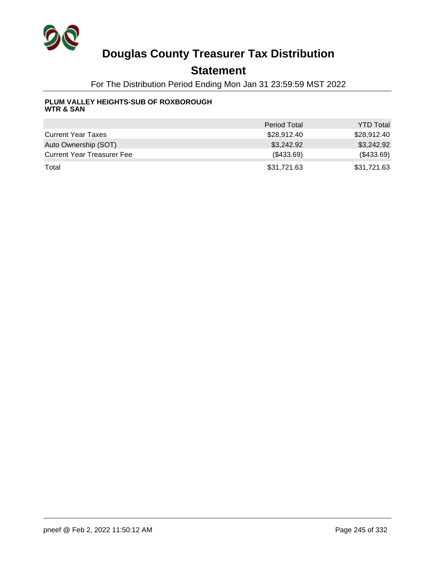

## **Statement**

For The Distribution Period Ending Mon Jan 31 23:59:59 MST 2022

#### **PLUM VALLEY HEIGHTS-SUB OF ROXBOROUGH WTR & SAN**

|                                   | <b>Period Total</b> | <b>YTD Total</b> |
|-----------------------------------|---------------------|------------------|
| <b>Current Year Taxes</b>         | \$28,912.40         | \$28,912.40      |
| Auto Ownership (SOT)              | \$3,242.92          | \$3,242.92       |
| <b>Current Year Treasurer Fee</b> | (\$433.69)          | (\$433.69)       |
| Total                             | \$31,721.63         | \$31,721.63      |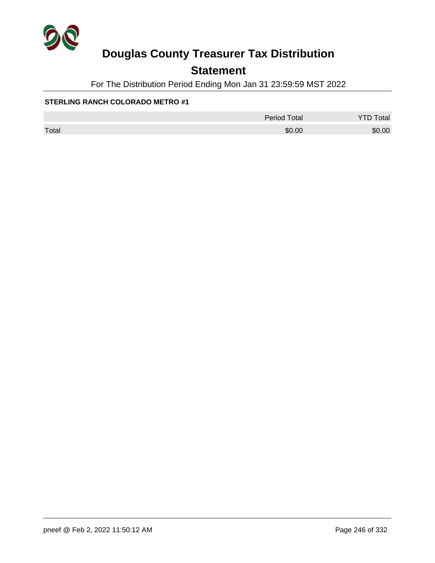

## **Statement**

For The Distribution Period Ending Mon Jan 31 23:59:59 MST 2022

|       | <b>Period Total</b> | <b>YTD Total</b> |
|-------|---------------------|------------------|
| Total | \$0.00              | \$0.00           |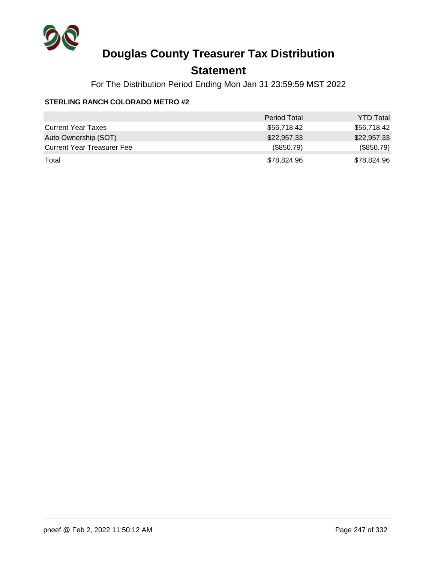

## **Statement**

For The Distribution Period Ending Mon Jan 31 23:59:59 MST 2022

|                                   | <b>Period Total</b> | <b>YTD Total</b> |
|-----------------------------------|---------------------|------------------|
| <b>Current Year Taxes</b>         | \$56,718.42         | \$56,718.42      |
| Auto Ownership (SOT)              | \$22,957.33         | \$22,957.33      |
| <b>Current Year Treasurer Fee</b> | (\$850.79)          | (\$850.79)       |
| Total                             | \$78,824.96         | \$78,824.96      |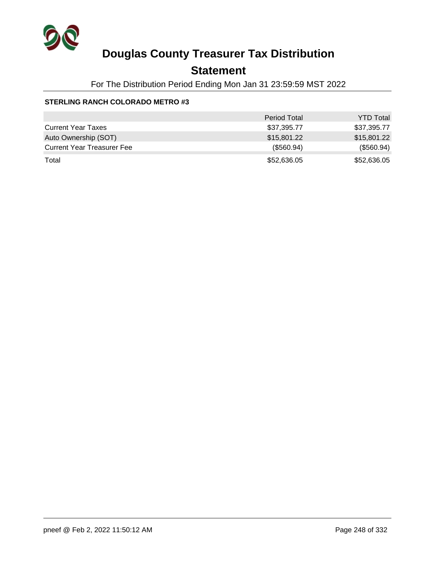

## **Statement**

For The Distribution Period Ending Mon Jan 31 23:59:59 MST 2022

|                                   | <b>Period Total</b> | <b>YTD Total</b> |
|-----------------------------------|---------------------|------------------|
| <b>Current Year Taxes</b>         | \$37,395.77         | \$37,395.77      |
| Auto Ownership (SOT)              | \$15,801.22         | \$15,801.22      |
| <b>Current Year Treasurer Fee</b> | (\$560.94)          | (\$560.94)       |
| Total                             | \$52,636.05         | \$52,636.05      |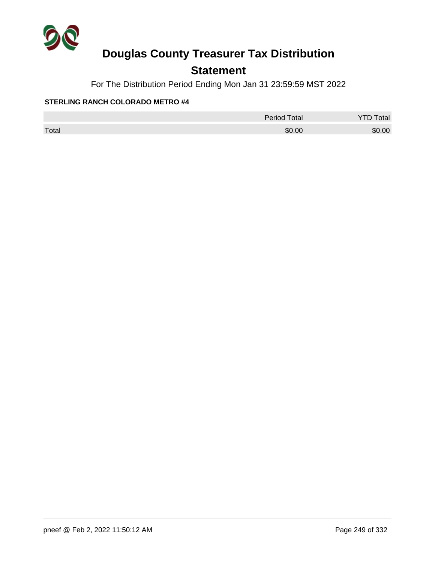

## **Statement**

For The Distribution Period Ending Mon Jan 31 23:59:59 MST 2022

|       | <b>Period Total</b> | otal<br><u>.</u> |
|-------|---------------------|------------------|
| Total | \$0.00              | \$0.00           |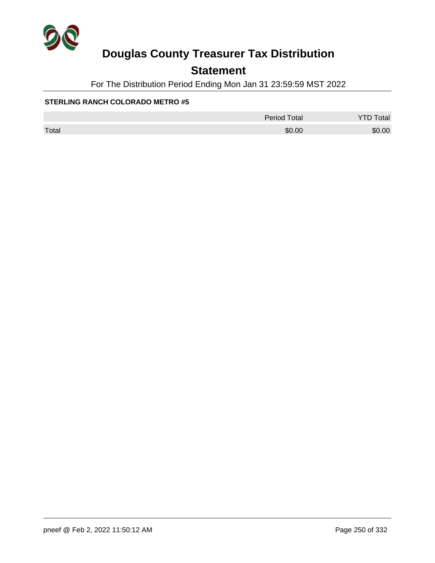

## **Statement**

For The Distribution Period Ending Mon Jan 31 23:59:59 MST 2022

|       | <b>Period Total</b> | otal<br><u>.</u> |
|-------|---------------------|------------------|
| Total | \$0.00              | \$0.00           |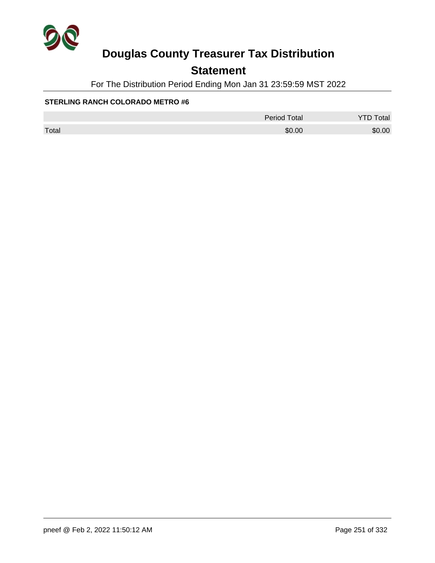

## **Statement**

For The Distribution Period Ending Mon Jan 31 23:59:59 MST 2022

|       | <b>Period Total</b> | otal   |
|-------|---------------------|--------|
| Total | \$0.00              | \$0.00 |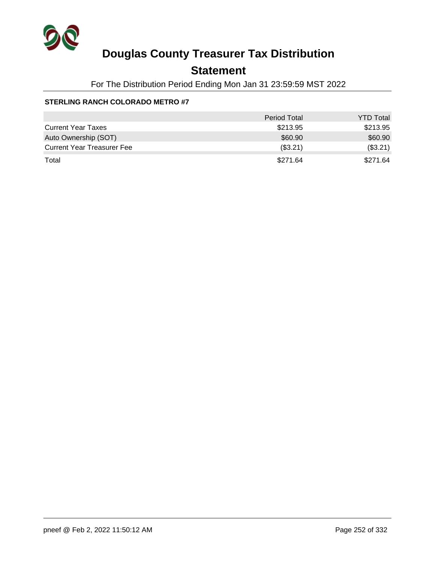

## **Statement**

For The Distribution Period Ending Mon Jan 31 23:59:59 MST 2022

|                                   | <b>Period Total</b> | <b>YTD Total</b> |
|-----------------------------------|---------------------|------------------|
| <b>Current Year Taxes</b>         | \$213.95            | \$213.95         |
| Auto Ownership (SOT)              | \$60.90             | \$60.90          |
| <b>Current Year Treasurer Fee</b> | (\$3.21)            | (\$3.21)         |
| Total                             | \$271.64            | \$271.64         |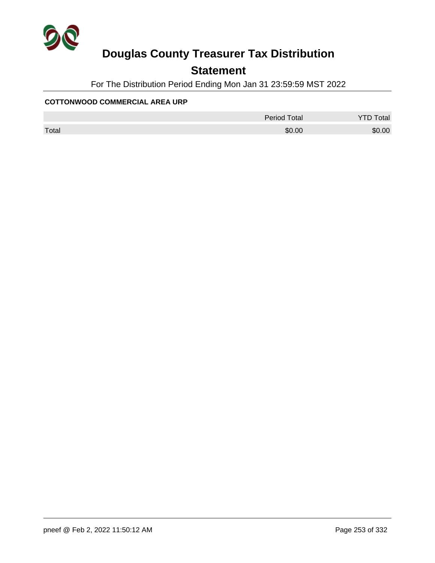

## **Statement**

For The Distribution Period Ending Mon Jan 31 23:59:59 MST 2022

#### **COTTONWOOD COMMERCIAL AREA URP**

|       | <b>Period Total</b> | otal   |
|-------|---------------------|--------|
| Total | \$0.00              | \$0.00 |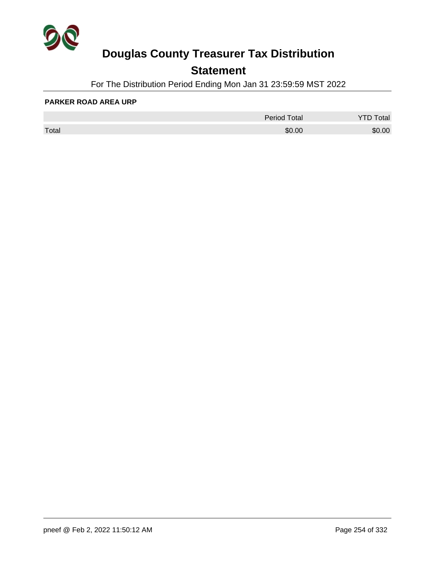

## **Statement**

For The Distribution Period Ending Mon Jan 31 23:59:59 MST 2022

#### **PARKER ROAD AREA URP**

|       | <b>Period Total</b> | otal   |
|-------|---------------------|--------|
| Total | \$0.00              | \$0.00 |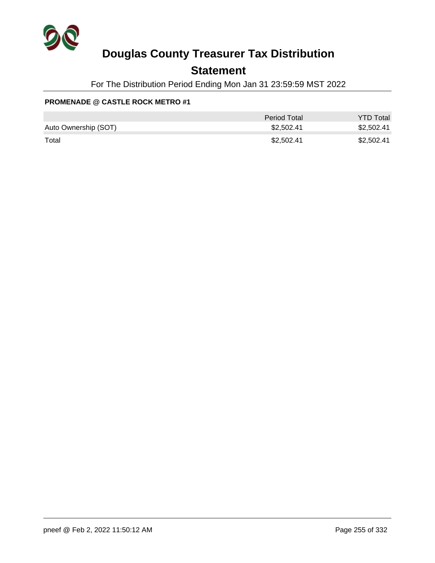

### **Statement**

For The Distribution Period Ending Mon Jan 31 23:59:59 MST 2022

### **PROMENADE @ CASTLE ROCK METRO #1**

|                      | Period Total | <b>YTD Total</b> |
|----------------------|--------------|------------------|
| Auto Ownership (SOT) | \$2.502.41   | \$2,502.41       |
| Total                | \$2,502.41   | \$2,502.41       |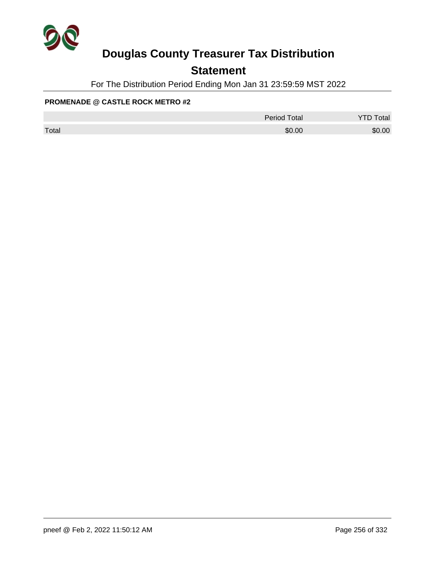

## **Statement**

For The Distribution Period Ending Mon Jan 31 23:59:59 MST 2022

#### **PROMENADE @ CASTLE ROCK METRO #2**

|       | <b>Period Total</b> | <b>YTD Total</b> |
|-------|---------------------|------------------|
| Total | \$0.00              | \$0.00           |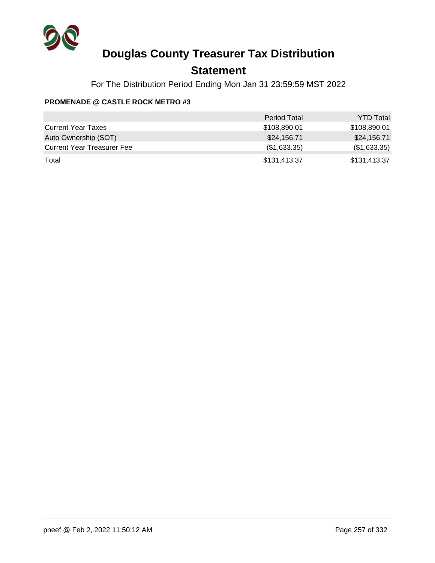

### **Statement**

For The Distribution Period Ending Mon Jan 31 23:59:59 MST 2022

#### **PROMENADE @ CASTLE ROCK METRO #3**

|                                   | <b>Period Total</b> | <b>YTD Total</b> |
|-----------------------------------|---------------------|------------------|
| <b>Current Year Taxes</b>         | \$108,890.01        | \$108,890.01     |
| Auto Ownership (SOT)              | \$24,156.71         | \$24,156.71      |
| <b>Current Year Treasurer Fee</b> | (\$1,633.35)        | (\$1,633.35)     |
| Total                             | \$131,413.37        | \$131,413.37     |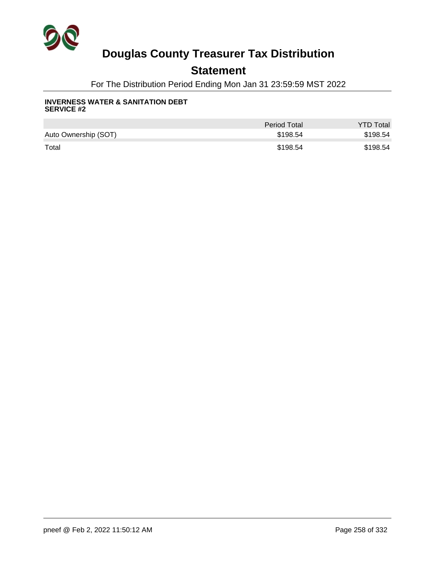

### **Statement**

For The Distribution Period Ending Mon Jan 31 23:59:59 MST 2022

#### **INVERNESS WATER & SANITATION DEBT SERVICE #2**

|                      | <b>Period Total</b> | <b>YTD Total</b> |
|----------------------|---------------------|------------------|
| Auto Ownership (SOT) | \$198.54            | \$198.54         |
| Total                | \$198.54            | \$198.54         |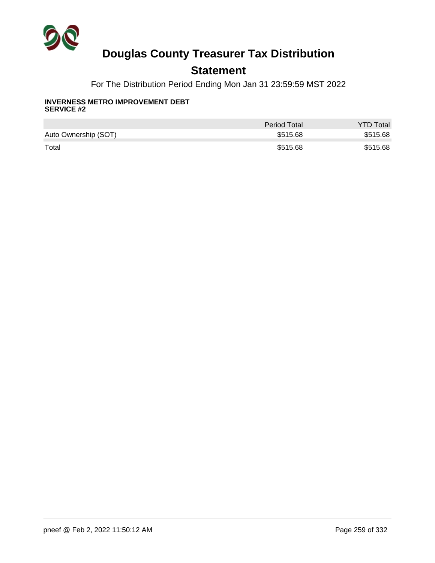

### **Statement**

For The Distribution Period Ending Mon Jan 31 23:59:59 MST 2022

#### **INVERNESS METRO IMPROVEMENT DEBT SERVICE #2**

|                      | Period Total | <b>YTD Total</b> |
|----------------------|--------------|------------------|
| Auto Ownership (SOT) | \$515.68     | \$515.68         |
| Total                | \$515.68     | \$515.68         |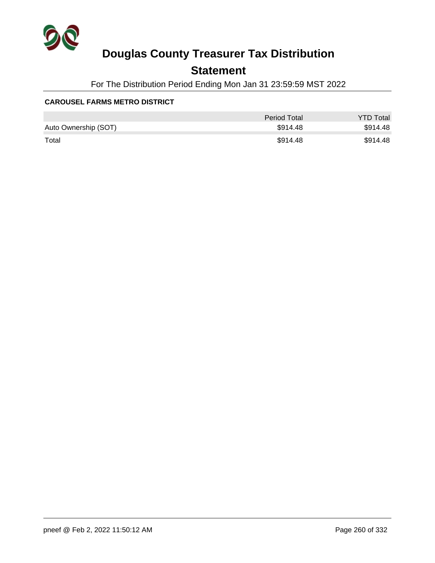

## **Statement**

For The Distribution Period Ending Mon Jan 31 23:59:59 MST 2022

#### **CAROUSEL FARMS METRO DISTRICT**

|                      | <b>Period Total</b> | <b>YTD Total</b> |
|----------------------|---------------------|------------------|
| Auto Ownership (SOT) | \$914.48            | \$914.48         |
| Total                | \$914.48            | \$914.48         |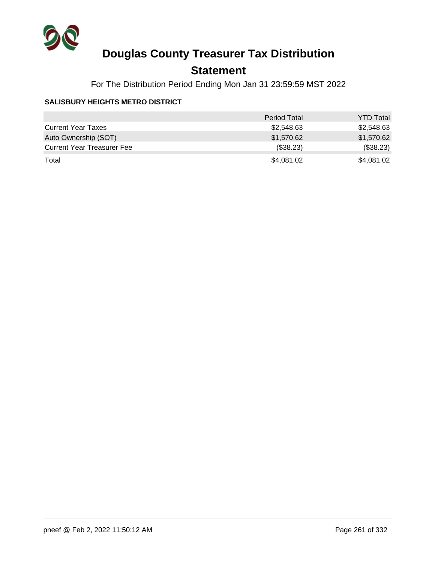

## **Statement**

For The Distribution Period Ending Mon Jan 31 23:59:59 MST 2022

#### **SALISBURY HEIGHTS METRO DISTRICT**

|                                   | <b>Period Total</b> | <b>YTD Total</b> |
|-----------------------------------|---------------------|------------------|
| <b>Current Year Taxes</b>         | \$2,548.63          | \$2,548.63       |
| Auto Ownership (SOT)              | \$1,570.62          | \$1,570.62       |
| <b>Current Year Treasurer Fee</b> | (\$38.23)           | (\$38.23)        |
| Total                             | \$4,081.02          | \$4,081.02       |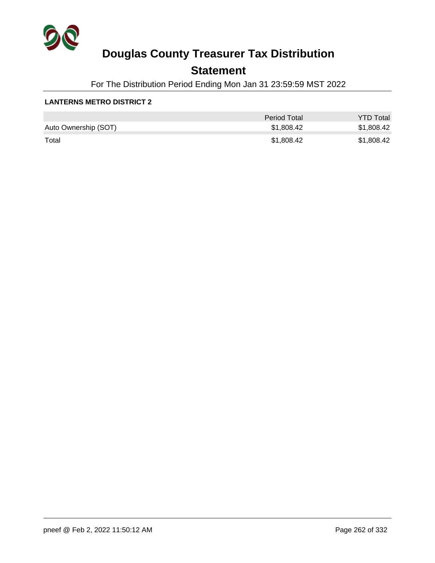

### **Statement**

For The Distribution Period Ending Mon Jan 31 23:59:59 MST 2022

#### **LANTERNS METRO DISTRICT 2**

|                      | <b>Period Total</b> | <b>YTD Total</b> |
|----------------------|---------------------|------------------|
| Auto Ownership (SOT) | \$1,808.42          | \$1,808.42       |
| Total                | \$1,808.42          | \$1,808.42       |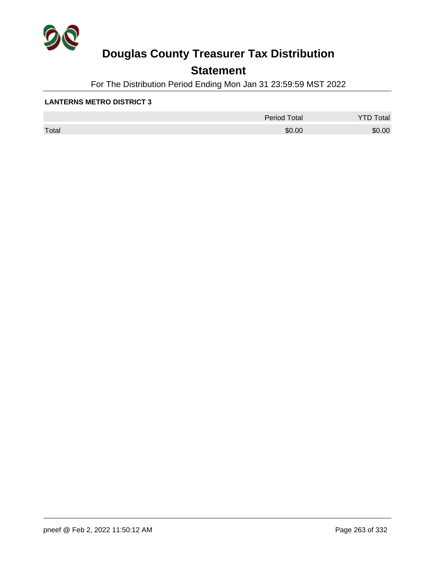

## **Statement**

For The Distribution Period Ending Mon Jan 31 23:59:59 MST 2022

#### **LANTERNS METRO DISTRICT 3**

|       | Period Total | otal<br>້ |
|-------|--------------|-----------|
| Total | \$0.00       | \$0.00    |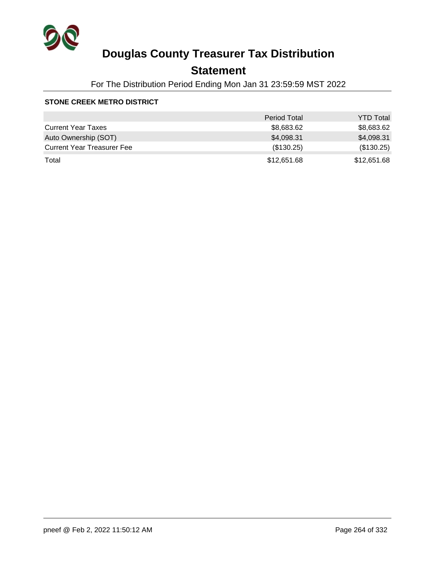

## **Statement**

For The Distribution Period Ending Mon Jan 31 23:59:59 MST 2022

#### **STONE CREEK METRO DISTRICT**

|                                   | <b>Period Total</b> | <b>YTD Total</b> |
|-----------------------------------|---------------------|------------------|
| <b>Current Year Taxes</b>         | \$8,683.62          | \$8,683.62       |
| Auto Ownership (SOT)              | \$4,098.31          | \$4,098.31       |
| <b>Current Year Treasurer Fee</b> | (\$130.25)          | (\$130.25)       |
| Total                             | \$12,651.68         | \$12,651.68      |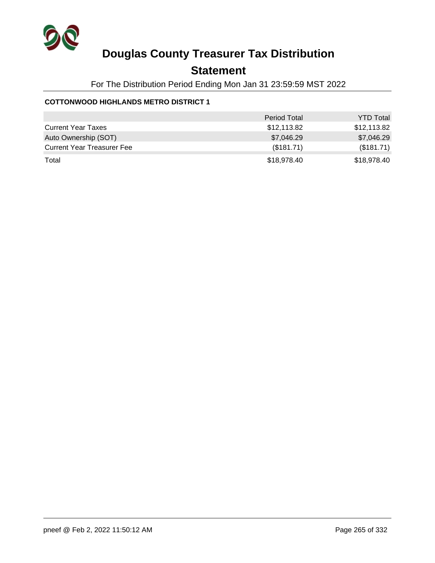

### **Statement**

For The Distribution Period Ending Mon Jan 31 23:59:59 MST 2022

#### **COTTONWOOD HIGHLANDS METRO DISTRICT 1**

|                                   | <b>Period Total</b> | <b>YTD Total</b> |
|-----------------------------------|---------------------|------------------|
| <b>Current Year Taxes</b>         | \$12,113.82         | \$12,113.82      |
| Auto Ownership (SOT)              | \$7,046.29          | \$7,046.29       |
| <b>Current Year Treasurer Fee</b> | (\$181.71)          | (\$181.71)       |
| Total                             | \$18,978.40         | \$18,978.40      |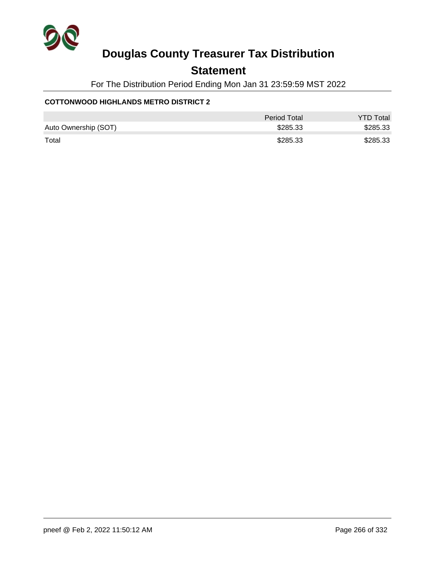

### **Statement**

For The Distribution Period Ending Mon Jan 31 23:59:59 MST 2022

#### **COTTONWOOD HIGHLANDS METRO DISTRICT 2**

|                      | Period Total | <b>YTD Total</b> |
|----------------------|--------------|------------------|
| Auto Ownership (SOT) | \$285.33     | \$285.33         |
| Total                | \$285.33     | \$285.33         |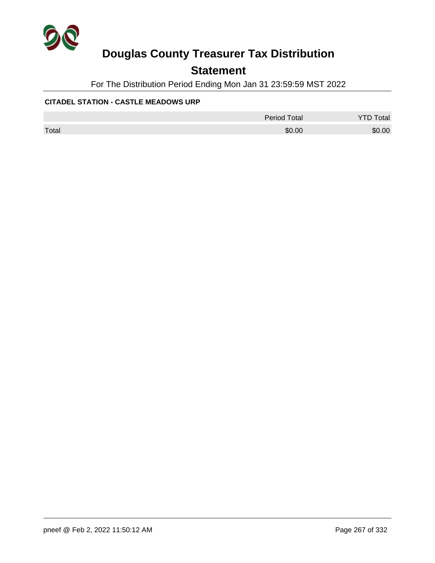

### **Statement**

For The Distribution Period Ending Mon Jan 31 23:59:59 MST 2022

#### **CITADEL STATION - CASTLE MEADOWS URP**

|       | <b>Period Total</b> | <b>YTD Total</b> |
|-------|---------------------|------------------|
| Total | \$0.00              | \$0.00           |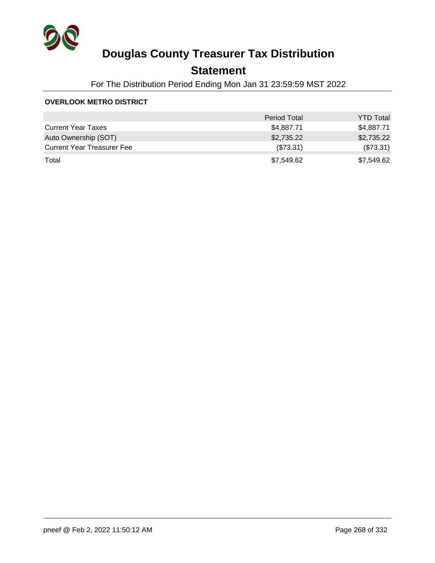

## **Statement**

For The Distribution Period Ending Mon Jan 31 23:59:59 MST 2022

#### **OVERLOOK METRO DISTRICT**

|                                   | <b>Period Total</b> | <b>YTD Total</b> |
|-----------------------------------|---------------------|------------------|
| <b>Current Year Taxes</b>         | \$4,887.71          | \$4,887.71       |
| Auto Ownership (SOT)              | \$2,735.22          | \$2,735.22       |
| <b>Current Year Treasurer Fee</b> | (\$73.31)           | (\$73.31)        |
| Total                             | \$7,549.62          | \$7,549.62       |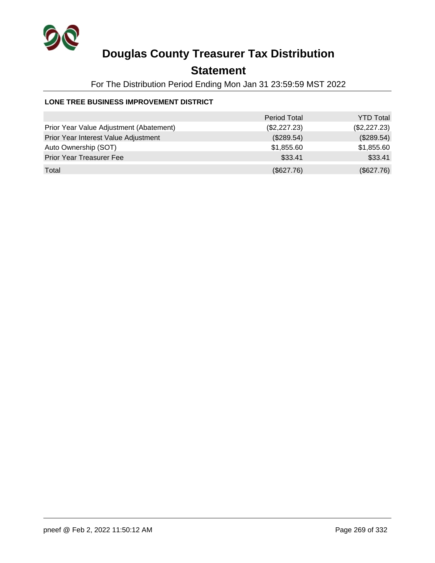

## **Statement**

For The Distribution Period Ending Mon Jan 31 23:59:59 MST 2022

#### **LONE TREE BUSINESS IMPROVEMENT DISTRICT**

|                                         | <b>Period Total</b> | <b>YTD Total</b> |
|-----------------------------------------|---------------------|------------------|
| Prior Year Value Adjustment (Abatement) | (\$2,227.23)        | (\$2,227.23)     |
| Prior Year Interest Value Adjustment    | (\$289.54)          | (\$289.54)       |
| Auto Ownership (SOT)                    | \$1,855.60          | \$1,855.60       |
| <b>Prior Year Treasurer Fee</b>         | \$33.41             | \$33.41          |
| Total                                   | (\$627.76)          | (\$627.76)       |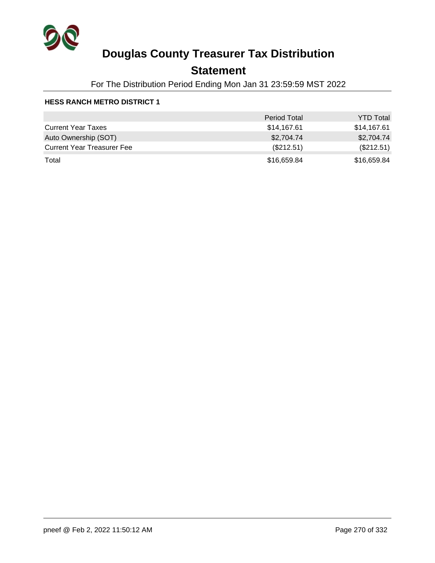

### **Statement**

For The Distribution Period Ending Mon Jan 31 23:59:59 MST 2022

|                                   | <b>Period Total</b> | <b>YTD Total</b> |
|-----------------------------------|---------------------|------------------|
| <b>Current Year Taxes</b>         | \$14,167.61         | \$14,167.61      |
| Auto Ownership (SOT)              | \$2,704.74          | \$2,704.74       |
| <b>Current Year Treasurer Fee</b> | (\$212.51)          | (\$212.51)       |
| Total                             | \$16,659.84         | \$16,659.84      |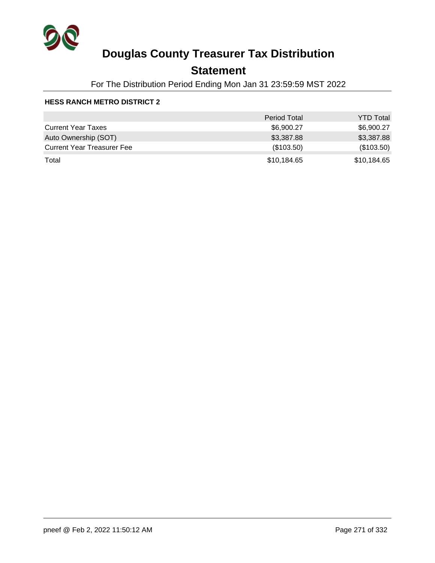

## **Statement**

For The Distribution Period Ending Mon Jan 31 23:59:59 MST 2022

|                                   | <b>Period Total</b> | <b>YTD Total</b> |
|-----------------------------------|---------------------|------------------|
| <b>Current Year Taxes</b>         | \$6,900.27          | \$6,900.27       |
| Auto Ownership (SOT)              | \$3,387.88          | \$3,387.88       |
| <b>Current Year Treasurer Fee</b> | (\$103.50)          | (\$103.50)       |
| Total                             | \$10,184.65         | \$10,184.65      |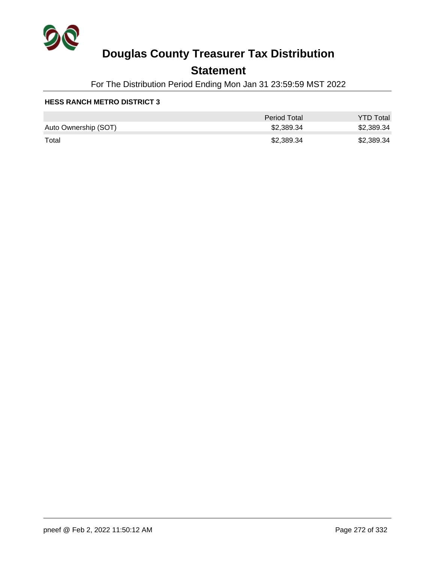

### **Statement**

For The Distribution Period Ending Mon Jan 31 23:59:59 MST 2022

|                      | <b>Period Total</b> | <b>YTD Total</b> |
|----------------------|---------------------|------------------|
| Auto Ownership (SOT) | \$2,389.34          | \$2,389.34       |
| Total                | \$2,389.34          | \$2,389.34       |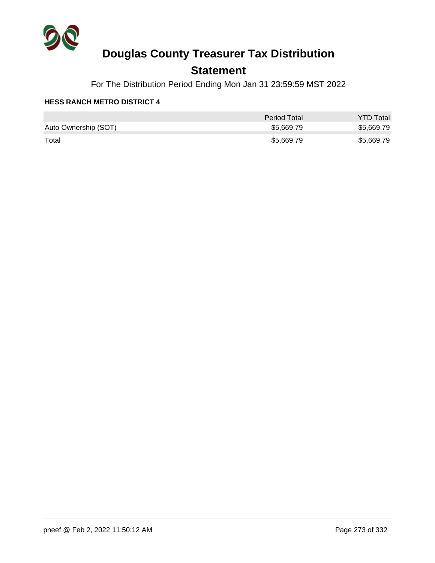

## **Statement**

For The Distribution Period Ending Mon Jan 31 23:59:59 MST 2022

|                      | Period Total | <b>YTD Total</b> |
|----------------------|--------------|------------------|
| Auto Ownership (SOT) | \$5,669.79   | \$5,669.79       |
| Total                | \$5,669.79   | \$5,669.79       |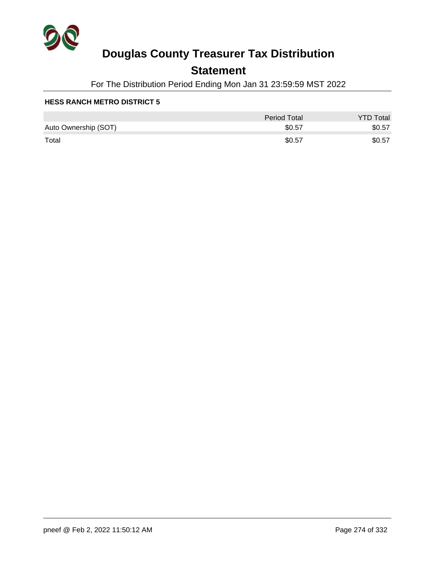

## **Statement**

For The Distribution Period Ending Mon Jan 31 23:59:59 MST 2022

|                      | Period Total | <b>YTD Total</b> |
|----------------------|--------------|------------------|
| Auto Ownership (SOT) | \$0.57       | \$0.57           |
| Total                | \$0.57       | \$0.57           |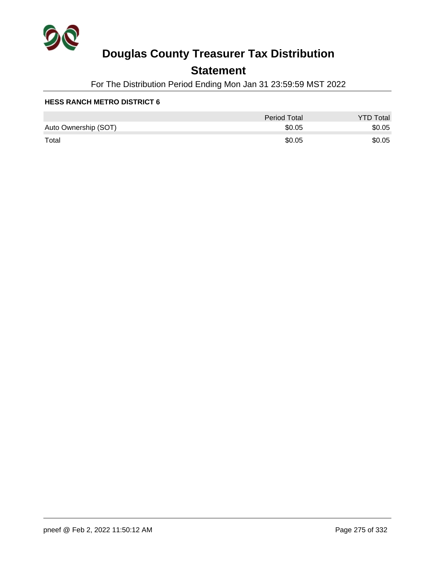

## **Statement**

For The Distribution Period Ending Mon Jan 31 23:59:59 MST 2022

|                      | <b>Period Total</b> | <b>YTD Total</b> |
|----------------------|---------------------|------------------|
| Auto Ownership (SOT) | \$0.05              | \$0.05           |
| Total                | \$0.05              | \$0.05           |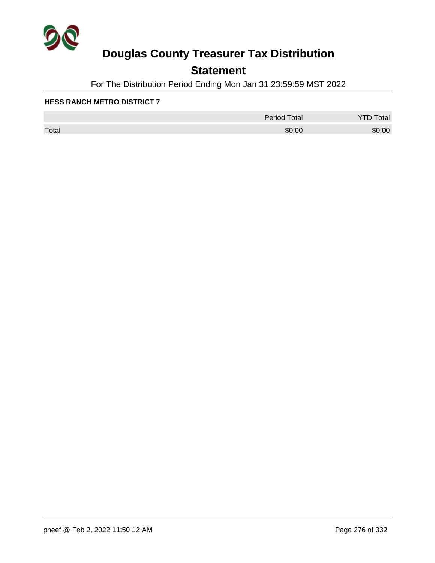

## **Statement**

For The Distribution Period Ending Mon Jan 31 23:59:59 MST 2022

|       | <b>Period Total</b> | otal<br>້ |
|-------|---------------------|-----------|
| Total | \$0.00              | \$0.00    |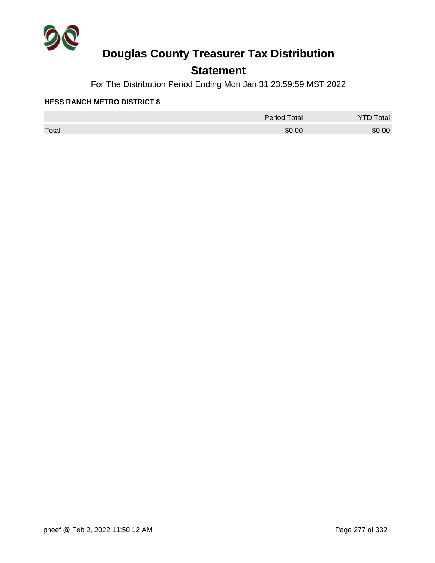

## **Statement**

For The Distribution Period Ending Mon Jan 31 23:59:59 MST 2022

|       | <b>Period Total</b> | otal<br>້ |
|-------|---------------------|-----------|
| Total | \$0.00              | \$0.00    |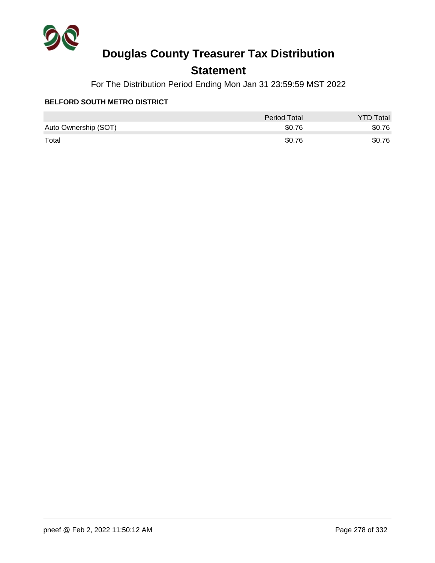

## **Statement**

For The Distribution Period Ending Mon Jan 31 23:59:59 MST 2022

#### **BELFORD SOUTH METRO DISTRICT**

|                      | Period Total | <b>YTD Total</b> |
|----------------------|--------------|------------------|
| Auto Ownership (SOT) | \$0.76       | \$0.76           |
| Total                | \$0.76       | \$0.76           |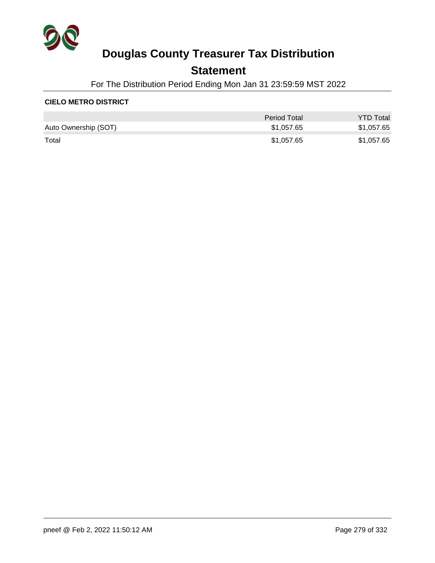

### **Statement**

For The Distribution Period Ending Mon Jan 31 23:59:59 MST 2022

#### **CIELO METRO DISTRICT**

|                      | Period Total | <b>YTD Total</b> |
|----------------------|--------------|------------------|
| Auto Ownership (SOT) | \$1,057.65   | \$1,057.65       |
| Total                | \$1,057.65   | \$1,057.65       |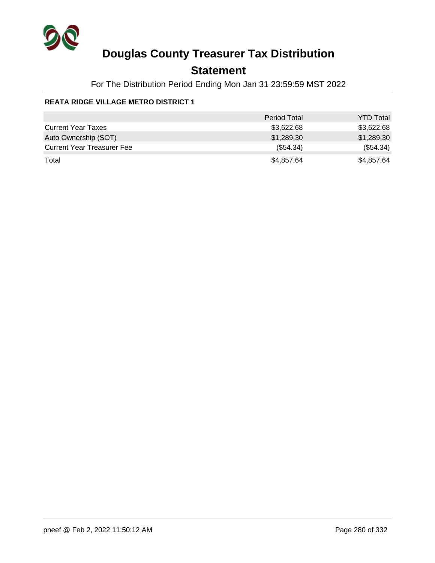

## **Statement**

For The Distribution Period Ending Mon Jan 31 23:59:59 MST 2022

### **REATA RIDGE VILLAGE METRO DISTRICT 1**

|                                   | <b>Period Total</b> | <b>YTD Total</b> |
|-----------------------------------|---------------------|------------------|
| <b>Current Year Taxes</b>         | \$3,622.68          | \$3,622.68       |
| Auto Ownership (SOT)              | \$1,289.30          | \$1,289.30       |
| <b>Current Year Treasurer Fee</b> | (\$54.34)           | (\$54.34)        |
| Total                             | \$4,857.64          | \$4,857.64       |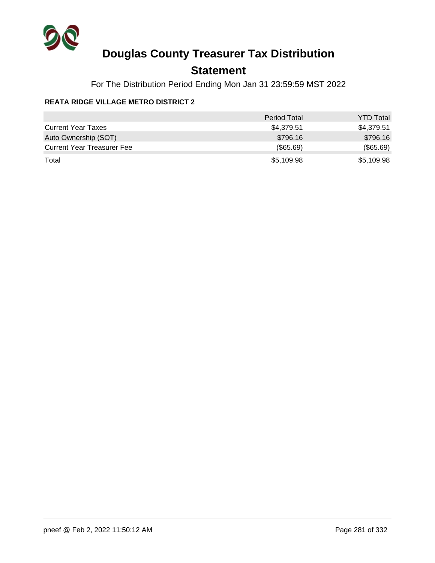

## **Statement**

For The Distribution Period Ending Mon Jan 31 23:59:59 MST 2022

### **REATA RIDGE VILLAGE METRO DISTRICT 2**

|                                   | <b>Period Total</b> | <b>YTD Total</b> |
|-----------------------------------|---------------------|------------------|
| <b>Current Year Taxes</b>         | \$4,379.51          | \$4,379.51       |
| Auto Ownership (SOT)              | \$796.16            | \$796.16         |
| <b>Current Year Treasurer Fee</b> | (\$65.69)           | (\$65.69)        |
| Total                             | \$5,109.98          | \$5,109.98       |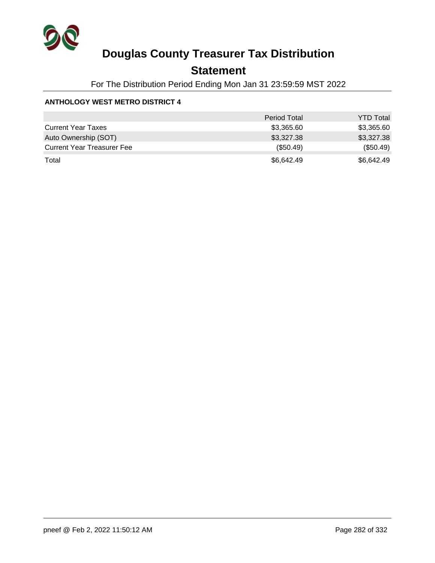

### **Statement**

For The Distribution Period Ending Mon Jan 31 23:59:59 MST 2022

#### **ANTHOLOGY WEST METRO DISTRICT 4**

|                                   | <b>Period Total</b> | <b>YTD Total</b> |
|-----------------------------------|---------------------|------------------|
| <b>Current Year Taxes</b>         | \$3,365.60          | \$3,365.60       |
| Auto Ownership (SOT)              | \$3,327.38          | \$3,327.38       |
| <b>Current Year Treasurer Fee</b> | $(\$50.49)$         | (\$50.49)        |
| Total                             | \$6,642.49          | \$6,642.49       |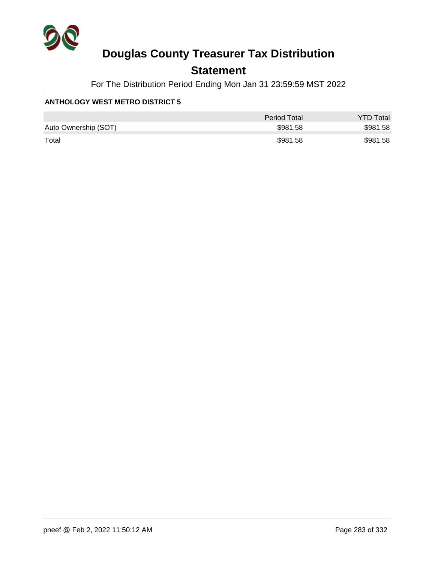

## **Statement**

For The Distribution Period Ending Mon Jan 31 23:59:59 MST 2022

#### **ANTHOLOGY WEST METRO DISTRICT 5**

|                      | Period Total | <b>YTD Total</b> |
|----------------------|--------------|------------------|
| Auto Ownership (SOT) | \$981.58     | \$981.58         |
| Total                | \$981.58     | \$981.58         |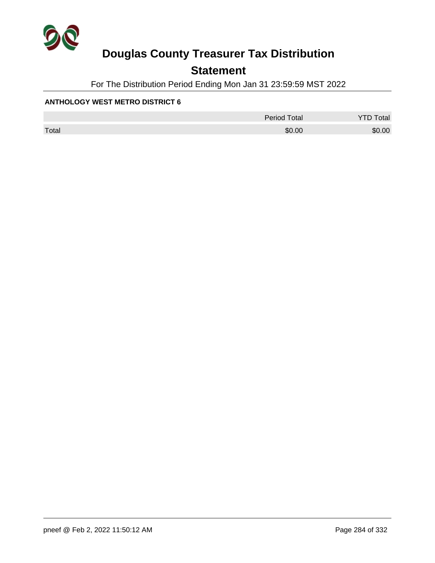

## **Statement**

For The Distribution Period Ending Mon Jan 31 23:59:59 MST 2022

#### **ANTHOLOGY WEST METRO DISTRICT 6**

|       | <b>Period Total</b> | otal   |
|-------|---------------------|--------|
| Total | \$0.00              | \$0.00 |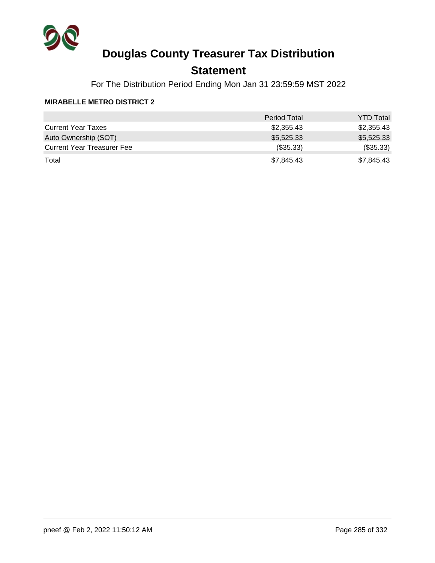

## **Statement**

For The Distribution Period Ending Mon Jan 31 23:59:59 MST 2022

#### **MIRABELLE METRO DISTRICT 2**

|                                   | <b>Period Total</b> | <b>YTD Total</b> |
|-----------------------------------|---------------------|------------------|
| <b>Current Year Taxes</b>         | \$2,355.43          | \$2,355.43       |
| Auto Ownership (SOT)              | \$5,525.33          | \$5,525.33       |
| <b>Current Year Treasurer Fee</b> | (\$35.33)           | (\$35.33)        |
| Total                             | \$7,845.43          | \$7,845.43       |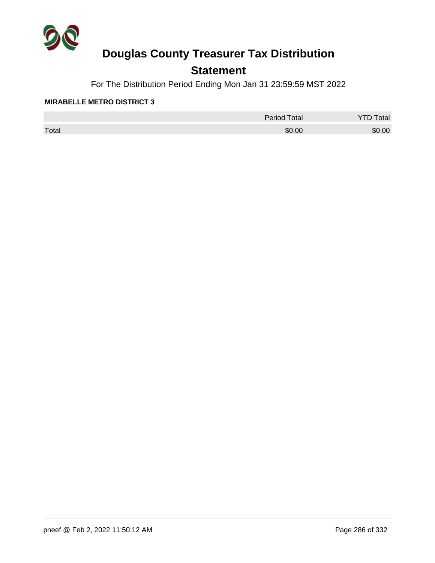

## **Statement**

For The Distribution Period Ending Mon Jan 31 23:59:59 MST 2022

#### **MIRABELLE METRO DISTRICT 3**

|       | <b>Period Total</b> | otal   |
|-------|---------------------|--------|
| Total | \$0.00              | \$0.00 |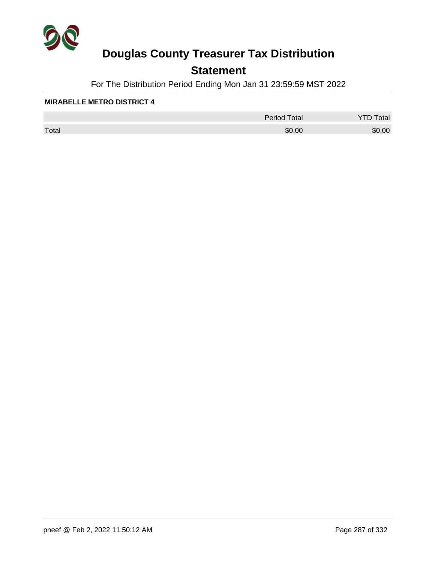

## **Statement**

For The Distribution Period Ending Mon Jan 31 23:59:59 MST 2022

#### **MIRABELLE METRO DISTRICT 4**

|       | <b>Period Total</b> | otal<br>້ |
|-------|---------------------|-----------|
| Total | \$0.00              | \$0.00    |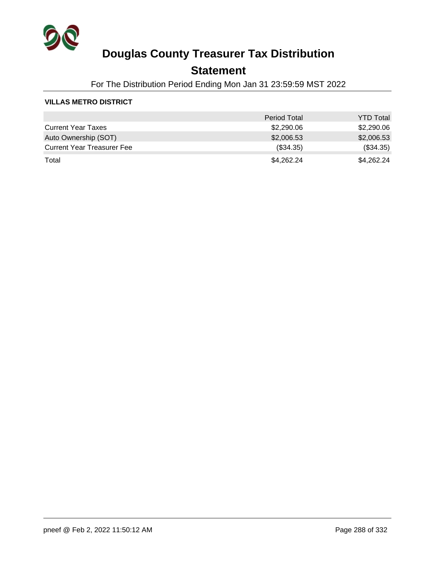

### **Statement**

For The Distribution Period Ending Mon Jan 31 23:59:59 MST 2022

#### **VILLAS METRO DISTRICT**

|                                   | <b>Period Total</b> | <b>YTD Total</b> |
|-----------------------------------|---------------------|------------------|
| <b>Current Year Taxes</b>         | \$2,290.06          | \$2,290.06       |
| Auto Ownership (SOT)              | \$2,006.53          | \$2,006.53       |
| <b>Current Year Treasurer Fee</b> | $(\$34.35)$         | (\$34.35)        |
| Total                             | \$4,262.24          | \$4,262.24       |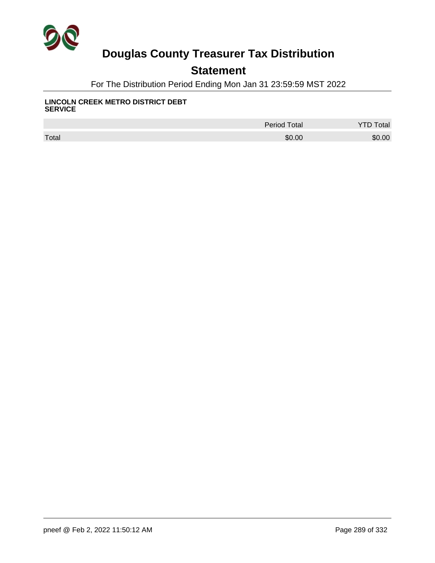

## **Statement**

For The Distribution Period Ending Mon Jan 31 23:59:59 MST 2022

#### **LINCOLN CREEK METRO DISTRICT DEBT SERVICE**

|       | <b>Period Total</b> | otal   |
|-------|---------------------|--------|
| Total | \$0.00              | \$0.00 |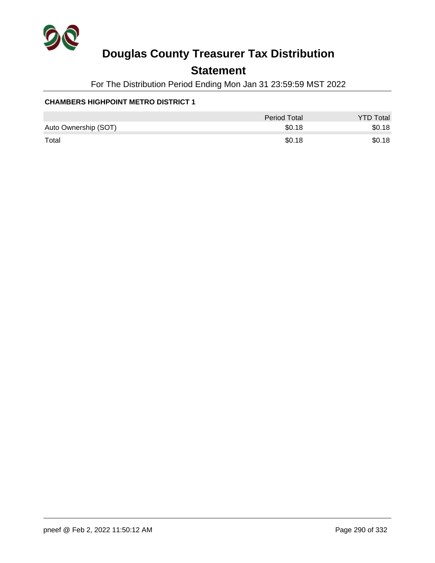

## **Statement**

For The Distribution Period Ending Mon Jan 31 23:59:59 MST 2022

#### **CHAMBERS HIGHPOINT METRO DISTRICT 1**

|                      | Period Total | <b>YTD Total</b> |
|----------------------|--------------|------------------|
| Auto Ownership (SOT) | \$0.18       | \$0.18           |
| Total                | \$0.18       | \$0.18           |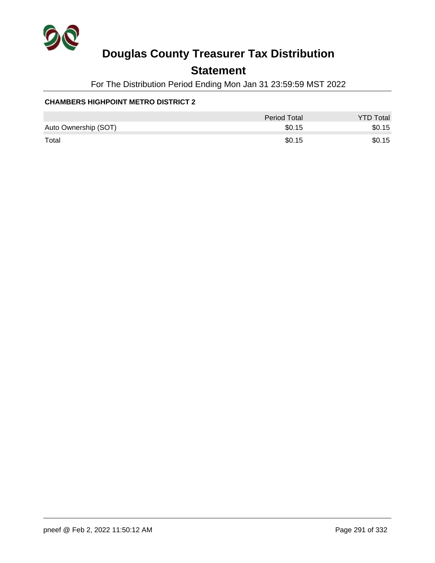

## **Statement**

For The Distribution Period Ending Mon Jan 31 23:59:59 MST 2022

#### **CHAMBERS HIGHPOINT METRO DISTRICT 2**

|                      | Period Total | <b>YTD Total</b> |
|----------------------|--------------|------------------|
| Auto Ownership (SOT) | \$0.15       | \$0.15           |
| Total                | \$0.15       | \$0.15           |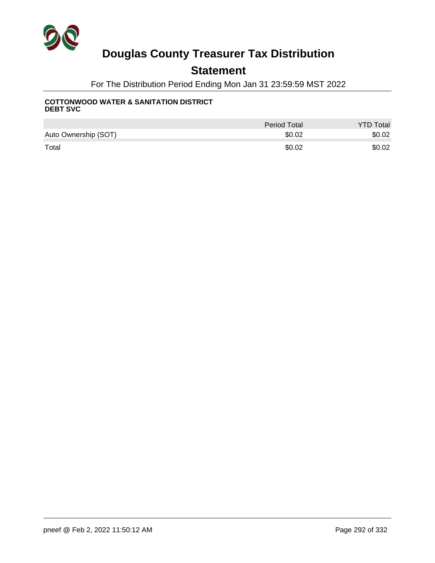

## **Statement**

For The Distribution Period Ending Mon Jan 31 23:59:59 MST 2022

#### **COTTONWOOD WATER & SANITATION DISTRICT DEBT SVC**

|                      | <b>Period Total</b> | <b>YTD Total</b> |
|----------------------|---------------------|------------------|
| Auto Ownership (SOT) | \$0.02              | \$0.02           |
| Total                | \$0.02              | \$0.02           |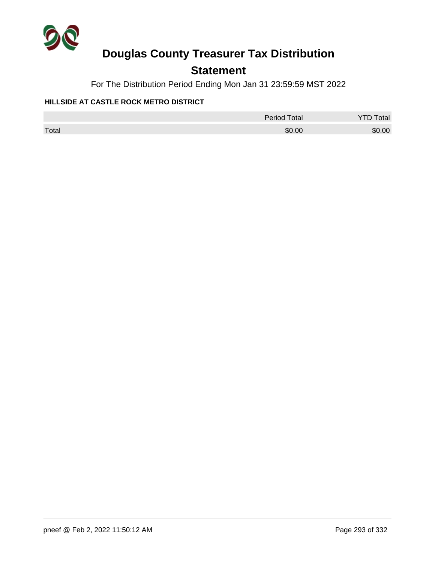

## **Statement**

For The Distribution Period Ending Mon Jan 31 23:59:59 MST 2022

#### **HILLSIDE AT CASTLE ROCK METRO DISTRICT**

|       | <b>Period Total</b> | <b>YTD Total</b> |
|-------|---------------------|------------------|
| Total | \$0.00              | \$0.00           |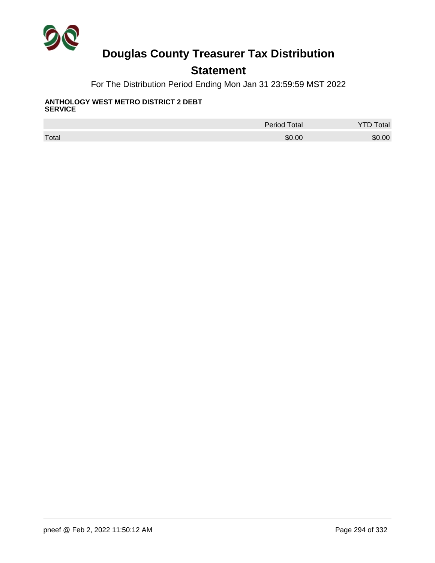

## **Statement**

For The Distribution Period Ending Mon Jan 31 23:59:59 MST 2022

#### **ANTHOLOGY WEST METRO DISTRICT 2 DEBT SERVICE**

|       | <b>Period Total</b> | <b>Total</b> |
|-------|---------------------|--------------|
| Total | \$0.00              | \$0.00       |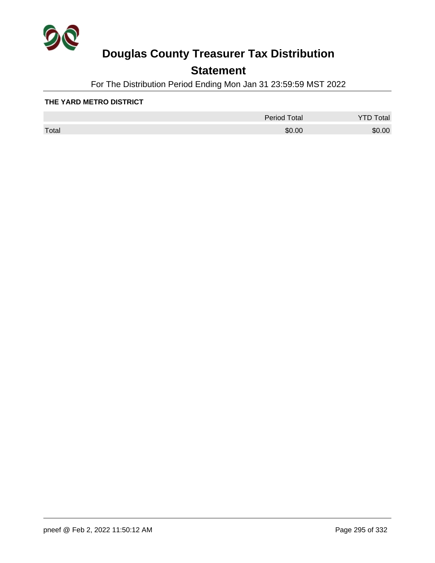

## **Statement**

For The Distribution Period Ending Mon Jan 31 23:59:59 MST 2022

#### **THE YARD METRO DISTRICT**

|       | <b>Period Total</b> | otal<br>້ |
|-------|---------------------|-----------|
| Total | \$0.00              | \$0.00    |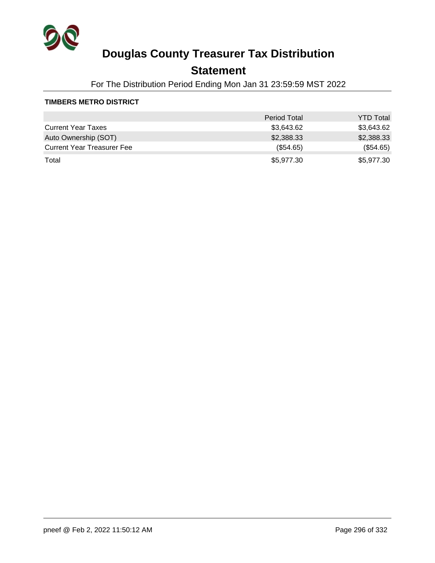

## **Statement**

For The Distribution Period Ending Mon Jan 31 23:59:59 MST 2022

#### **TIMBERS METRO DISTRICT**

|                                   | <b>Period Total</b> | <b>YTD Total</b> |
|-----------------------------------|---------------------|------------------|
| <b>Current Year Taxes</b>         | \$3,643.62          | \$3,643.62       |
| Auto Ownership (SOT)              | \$2,388.33          | \$2,388.33       |
| <b>Current Year Treasurer Fee</b> | $(\$54.65)$         | (\$54.65)        |
| Total                             | \$5,977.30          | \$5,977.30       |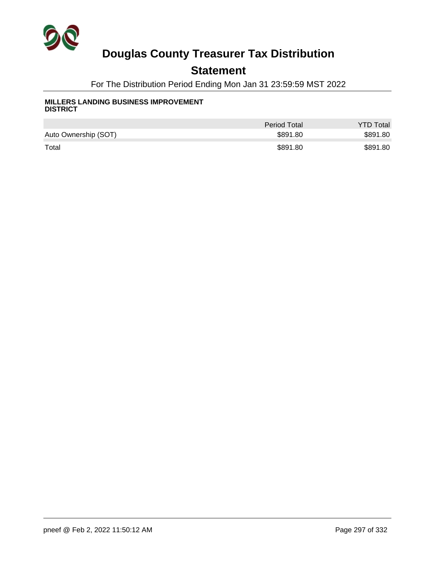

## **Statement**

For The Distribution Period Ending Mon Jan 31 23:59:59 MST 2022

#### **MILLERS LANDING BUSINESS IMPROVEMENT DISTRICT**

|                      | <b>Period Total</b> | <b>YTD Total</b> |
|----------------------|---------------------|------------------|
| Auto Ownership (SOT) | \$891.80            | \$891.80         |
| Total                | \$891.80            | \$891.80         |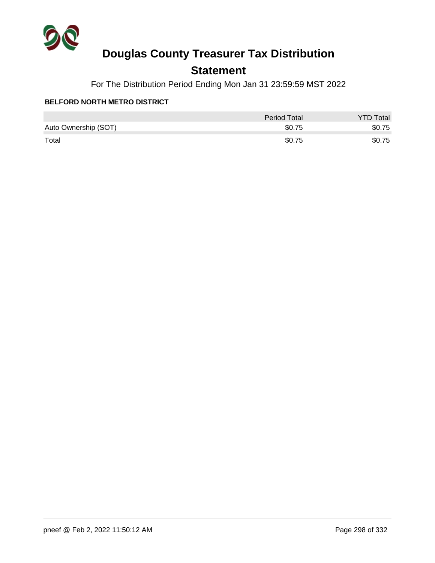

## **Statement**

For The Distribution Period Ending Mon Jan 31 23:59:59 MST 2022

#### **BELFORD NORTH METRO DISTRICT**

|                      | Period Total | <b>YTD Total</b> |
|----------------------|--------------|------------------|
| Auto Ownership (SOT) | \$0.75       | \$0.75           |
| Total                | \$0.75       | \$0.75           |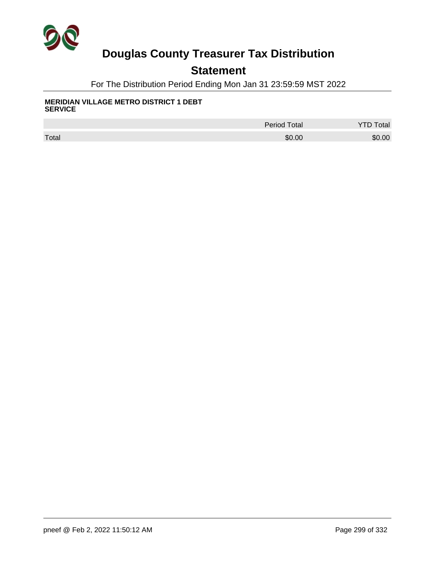

## **Statement**

For The Distribution Period Ending Mon Jan 31 23:59:59 MST 2022

#### **MERIDIAN VILLAGE METRO DISTRICT 1 DEBT SERVICE**

|       | <b>Period Total</b> | <b>Total</b> |
|-------|---------------------|--------------|
| Total | \$0.00              | \$0.00       |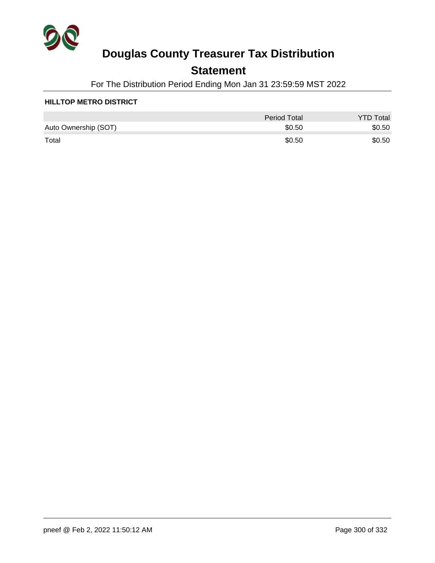

## **Statement**

For The Distribution Period Ending Mon Jan 31 23:59:59 MST 2022

#### **HILLTOP METRO DISTRICT**

|                      | Period Total | <b>YTD Total</b> |
|----------------------|--------------|------------------|
| Auto Ownership (SOT) | \$0.50       | \$0.50           |
| Total                | \$0.50       | \$0.50           |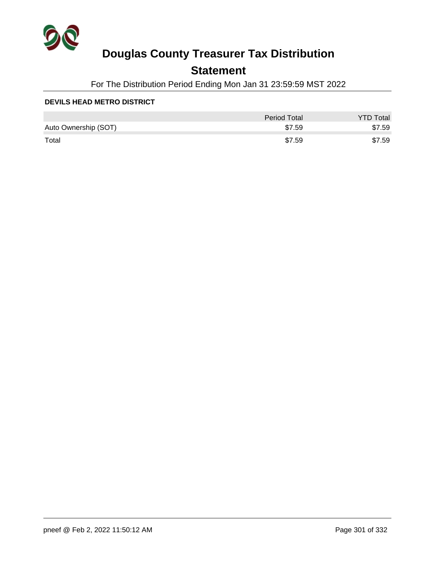

## **Statement**

For The Distribution Period Ending Mon Jan 31 23:59:59 MST 2022

#### **DEVILS HEAD METRO DISTRICT**

|                      | Period Total | <b>YTD Total</b> |
|----------------------|--------------|------------------|
| Auto Ownership (SOT) | \$7.59       | \$7.59           |
| Total                | \$7.59       | \$7.59           |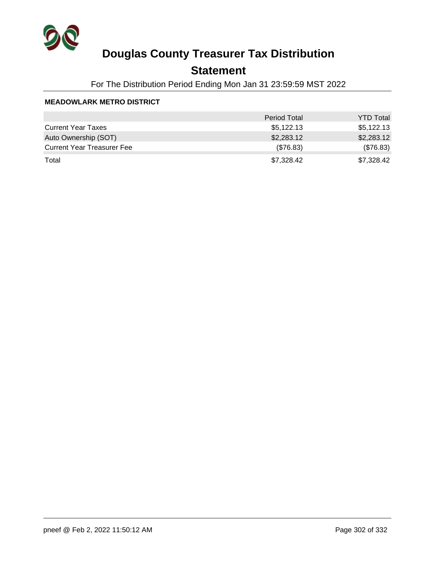

## **Statement**

For The Distribution Period Ending Mon Jan 31 23:59:59 MST 2022

#### **MEADOWLARK METRO DISTRICT**

|                                   | <b>Period Total</b> | <b>YTD Total</b> |
|-----------------------------------|---------------------|------------------|
| <b>Current Year Taxes</b>         | \$5,122.13          | \$5,122.13       |
| Auto Ownership (SOT)              | \$2,283.12          | \$2,283.12       |
| <b>Current Year Treasurer Fee</b> | (\$76.83)           | (\$76.83)        |
| Total                             | \$7,328.42          | \$7,328.42       |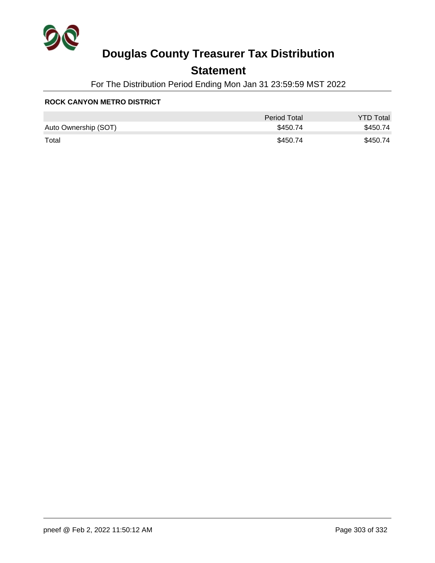

## **Statement**

For The Distribution Period Ending Mon Jan 31 23:59:59 MST 2022

#### **ROCK CANYON METRO DISTRICT**

|                      | Period Total | <b>YTD Total</b> |
|----------------------|--------------|------------------|
| Auto Ownership (SOT) | \$450.74     | \$450.74         |
| Total                | \$450.74     | \$450.74         |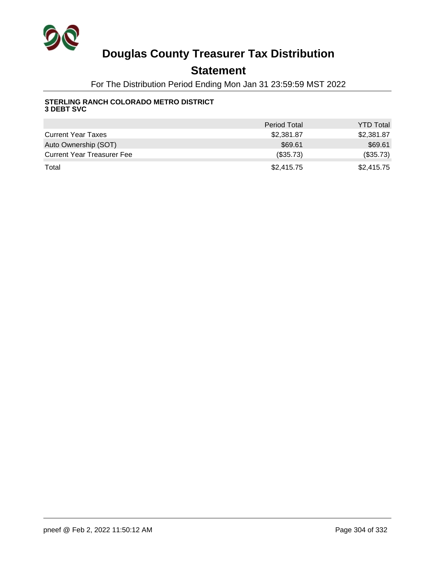

## **Statement**

For The Distribution Period Ending Mon Jan 31 23:59:59 MST 2022

#### **STERLING RANCH COLORADO METRO DISTRICT 3 DEBT SVC**

|                                   | <b>Period Total</b> | <b>YTD Total</b> |
|-----------------------------------|---------------------|------------------|
| <b>Current Year Taxes</b>         | \$2,381.87          | \$2,381.87       |
| Auto Ownership (SOT)              | \$69.61             | \$69.61          |
| <b>Current Year Treasurer Fee</b> | (\$35.73)           | (\$35.73)        |
| Total                             | \$2,415.75          | \$2,415.75       |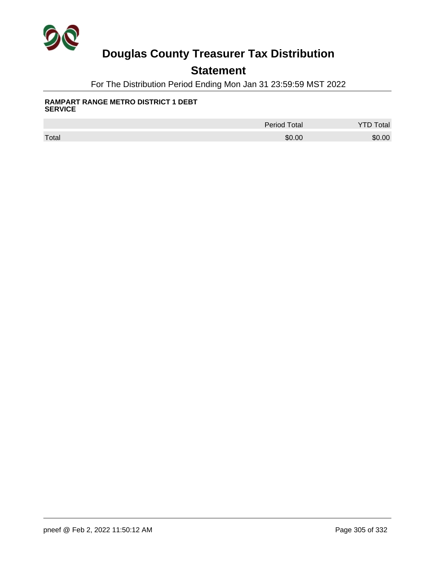

## **Statement**

For The Distribution Period Ending Mon Jan 31 23:59:59 MST 2022

#### **RAMPART RANGE METRO DISTRICT 1 DEBT SERVICE**

|       | <b>Period Total</b> | otal   |
|-------|---------------------|--------|
| Total | \$0.00              | \$0.00 |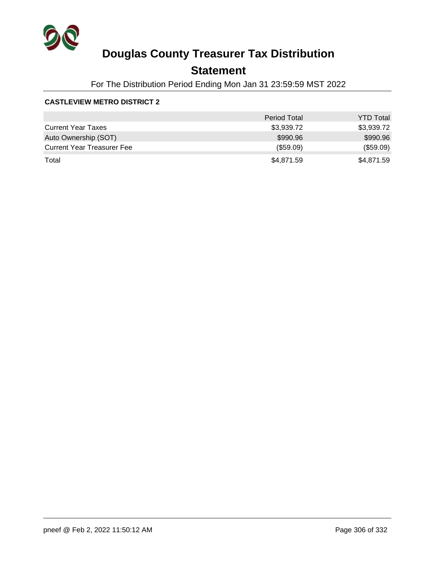

## **Statement**

For The Distribution Period Ending Mon Jan 31 23:59:59 MST 2022

#### **CASTLEVIEW METRO DISTRICT 2**

|                                   | <b>Period Total</b> | <b>YTD Total</b> |
|-----------------------------------|---------------------|------------------|
| <b>Current Year Taxes</b>         | \$3,939.72          | \$3,939.72       |
| Auto Ownership (SOT)              | \$990.96            | \$990.96         |
| <b>Current Year Treasurer Fee</b> | (\$59.09)           | (\$59.09)        |
| Total                             | \$4,871.59          | \$4,871.59       |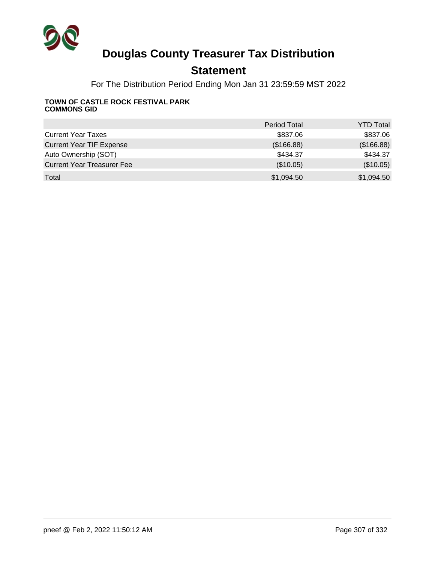

## **Statement**

For The Distribution Period Ending Mon Jan 31 23:59:59 MST 2022

#### **TOWN OF CASTLE ROCK FESTIVAL PARK COMMONS GID**

|                                   | <b>Period Total</b> | <b>YTD Total</b> |
|-----------------------------------|---------------------|------------------|
| <b>Current Year Taxes</b>         | \$837.06            | \$837.06         |
| <b>Current Year TIF Expense</b>   | (\$166.88)          | (\$166.88)       |
| Auto Ownership (SOT)              | \$434.37            | \$434.37         |
| <b>Current Year Treasurer Fee</b> | (\$10.05)           | (\$10.05)        |
| Total                             | \$1,094.50          | \$1,094.50       |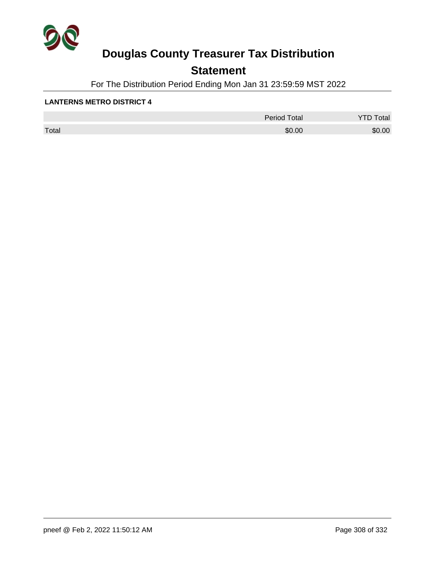

## **Statement**

For The Distribution Period Ending Mon Jan 31 23:59:59 MST 2022

#### **LANTERNS METRO DISTRICT 4**

|       | <b>Period Total</b> | otal<br>້ |
|-------|---------------------|-----------|
| Total | \$0.00              | \$0.00    |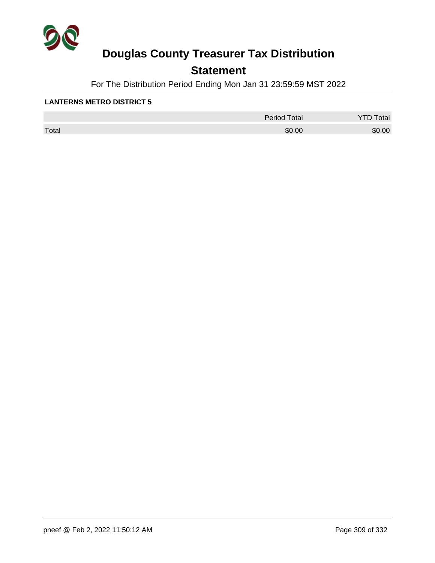

## **Statement**

For The Distribution Period Ending Mon Jan 31 23:59:59 MST 2022

#### **LANTERNS METRO DISTRICT 5**

|       | Period Total | otal<br>້ |
|-------|--------------|-----------|
| Total | \$0.00       | \$0.00    |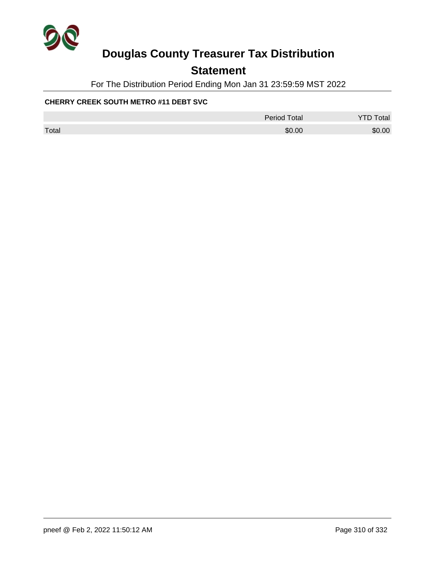

## **Statement**

For The Distribution Period Ending Mon Jan 31 23:59:59 MST 2022

#### **CHERRY CREEK SOUTH METRO #11 DEBT SVC**

|       | <b>Period Total</b> | <b>YTD Total</b> |
|-------|---------------------|------------------|
| Total | \$0.00              | \$0.00           |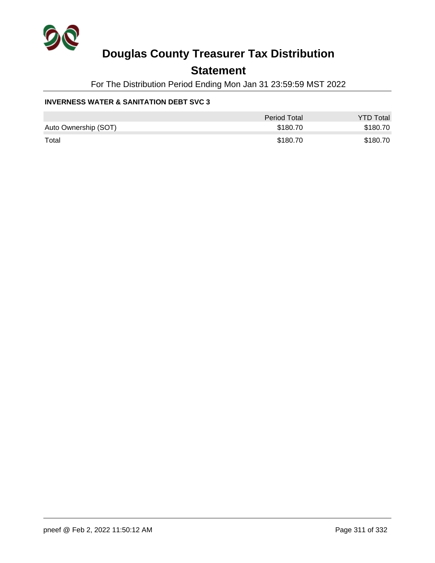

### **Statement**

For The Distribution Period Ending Mon Jan 31 23:59:59 MST 2022

#### **INVERNESS WATER & SANITATION DEBT SVC 3**

|                      | Period Total | <b>YTD Total</b> |
|----------------------|--------------|------------------|
| Auto Ownership (SOT) | \$180.70     | \$180.70         |
| Total                | \$180.70     | \$180.70         |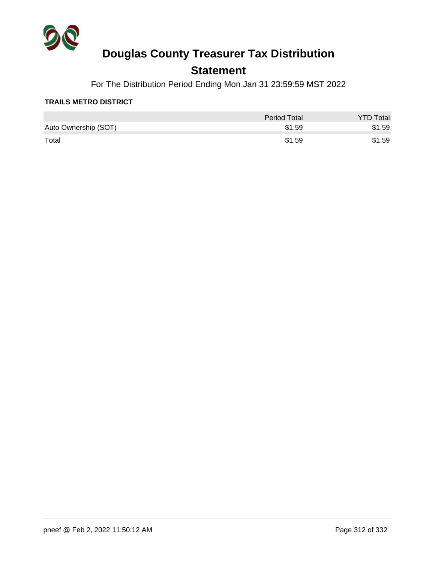

## **Statement**

For The Distribution Period Ending Mon Jan 31 23:59:59 MST 2022

#### **TRAILS METRO DISTRICT**

|                      | Period Total | <b>YTD Total</b> |
|----------------------|--------------|------------------|
| Auto Ownership (SOT) | \$1.59       | \$1.59           |
| Total                | \$1.59       | \$1.59           |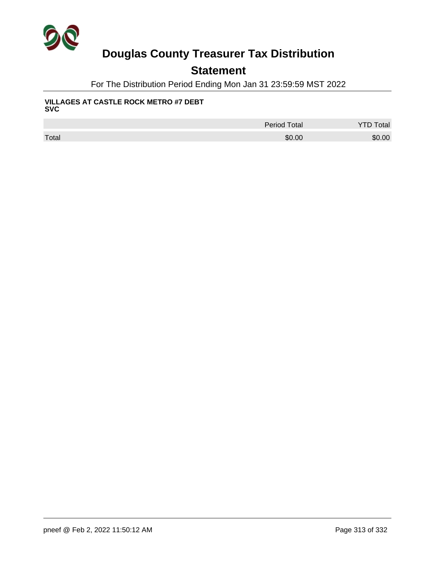

## **Statement**

For The Distribution Period Ending Mon Jan 31 23:59:59 MST 2022

#### **VILLAGES AT CASTLE ROCK METRO #7 DEBT SVC**

|       | <b>Period Total</b> | <b>YTD Total</b> |
|-------|---------------------|------------------|
| Total | \$0.00              | \$0.00           |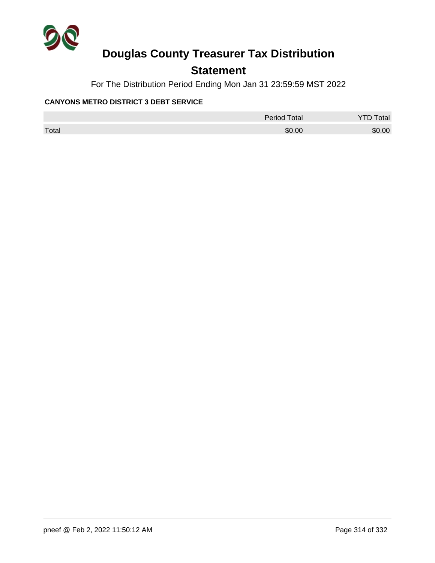

## **Statement**

For The Distribution Period Ending Mon Jan 31 23:59:59 MST 2022

#### **CANYONS METRO DISTRICT 3 DEBT SERVICE**

|       | <b>Period Total</b> | <b>YTD Total</b> |
|-------|---------------------|------------------|
| Total | \$0.00              | \$0.00           |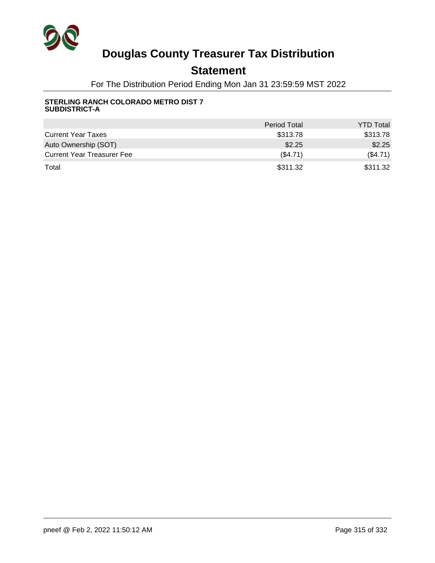

## **Statement**

For The Distribution Period Ending Mon Jan 31 23:59:59 MST 2022

#### **STERLING RANCH COLORADO METRO DIST 7 SUBDISTRICT-A**

|                                   | <b>Period Total</b> | <b>YTD Total</b> |
|-----------------------------------|---------------------|------------------|
| <b>Current Year Taxes</b>         | \$313.78            | \$313.78         |
| Auto Ownership (SOT)              | \$2.25              | \$2.25           |
| <b>Current Year Treasurer Fee</b> | (S4.71)             | (\$4.71)         |
| Total                             | \$311.32            | \$311.32         |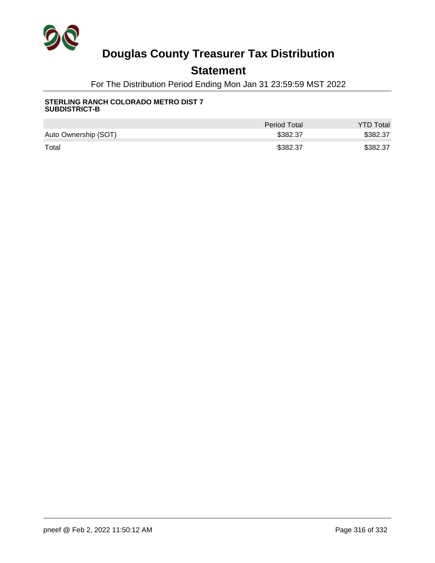

## **Statement**

For The Distribution Period Ending Mon Jan 31 23:59:59 MST 2022

#### **STERLING RANCH COLORADO METRO DIST 7 SUBDISTRICT-B**

|                      | <b>Period Total</b> | <b>YTD Total</b> |
|----------------------|---------------------|------------------|
| Auto Ownership (SOT) | \$382.37            | \$382.37         |
| Total                | \$382.37            | \$382.37         |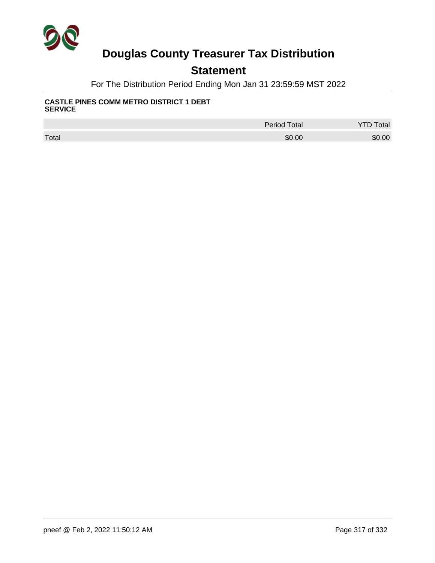

## **Statement**

For The Distribution Period Ending Mon Jan 31 23:59:59 MST 2022

#### **CASTLE PINES COMM METRO DISTRICT 1 DEBT SERVICE**

|       | <b>Period Total</b> | <b>Total</b> |
|-------|---------------------|--------------|
| Total | \$0.00              | \$0.00       |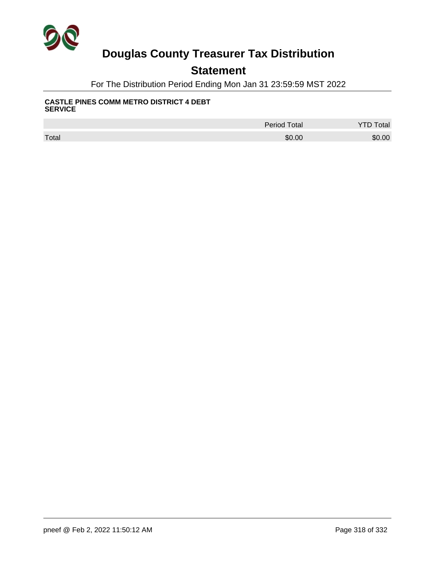

## **Statement**

For The Distribution Period Ending Mon Jan 31 23:59:59 MST 2022

#### **CASTLE PINES COMM METRO DISTRICT 4 DEBT SERVICE**

|       | <b>Period Total</b> | <b>Total</b> |
|-------|---------------------|--------------|
| Total | \$0.00              | \$0.00       |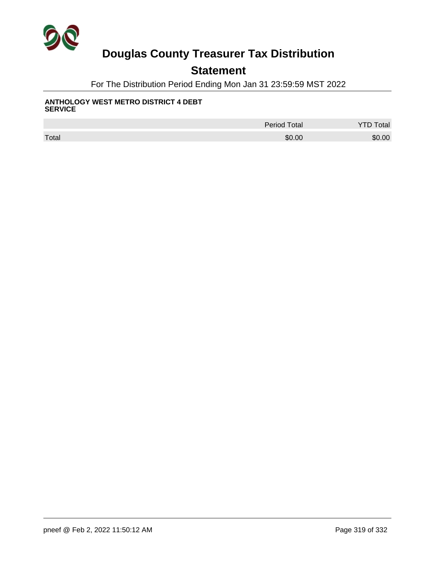

## **Statement**

For The Distribution Period Ending Mon Jan 31 23:59:59 MST 2022

#### **ANTHOLOGY WEST METRO DISTRICT 4 DEBT SERVICE**

|       | <b>Period Total</b> | Total  |
|-------|---------------------|--------|
| Total | \$0.00              | \$0.00 |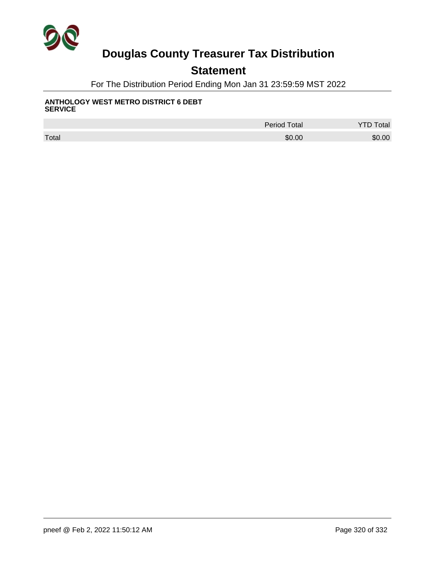

## **Statement**

For The Distribution Period Ending Mon Jan 31 23:59:59 MST 2022

#### **ANTHOLOGY WEST METRO DISTRICT 6 DEBT SERVICE**

|       | <b>Period Total</b> | <b>YTD Total</b> |
|-------|---------------------|------------------|
| Total | \$0.00              | \$0.00           |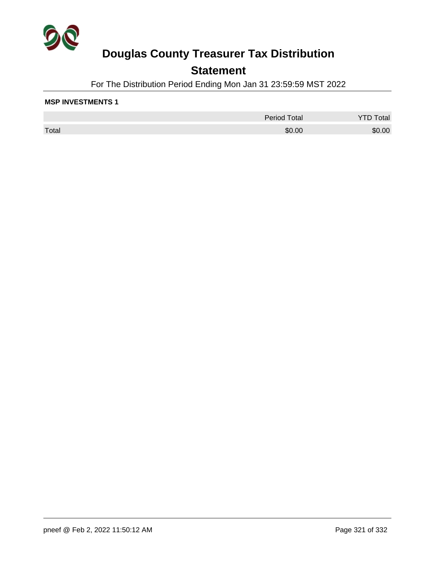

## **Statement**

For The Distribution Period Ending Mon Jan 31 23:59:59 MST 2022

#### **MSP INVESTMENTS 1**

|       | <b>Period Total</b> | otal   |
|-------|---------------------|--------|
| Total | \$0.00              | \$0.00 |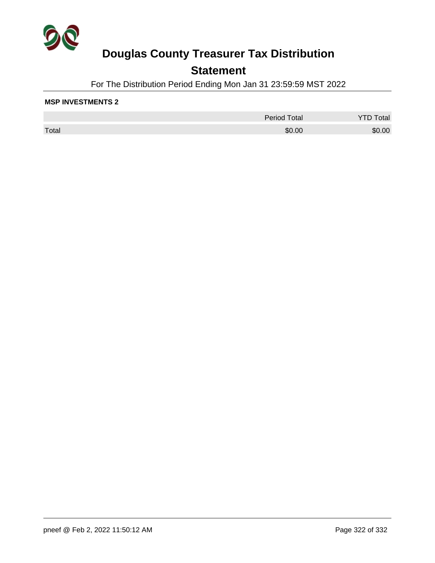

## **Statement**

For The Distribution Period Ending Mon Jan 31 23:59:59 MST 2022

#### **MSP INVESTMENTS 2**

|       | <b>Period Total</b> | Total  |
|-------|---------------------|--------|
| Total | \$0.00              | \$0.00 |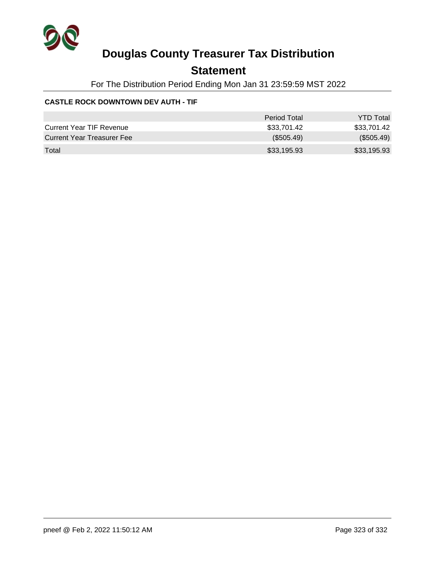

## **Statement**

For The Distribution Period Ending Mon Jan 31 23:59:59 MST 2022

#### **CASTLE ROCK DOWNTOWN DEV AUTH - TIF**

|                                 | Period Total | <b>YTD Total</b> |
|---------------------------------|--------------|------------------|
| <b>Current Year TIF Revenue</b> | \$33.701.42  | \$33,701.42      |
| Current Year Treasurer Fee      | (\$505.49)   | (\$505.49)       |
| Total                           | \$33,195.93  | \$33,195.93      |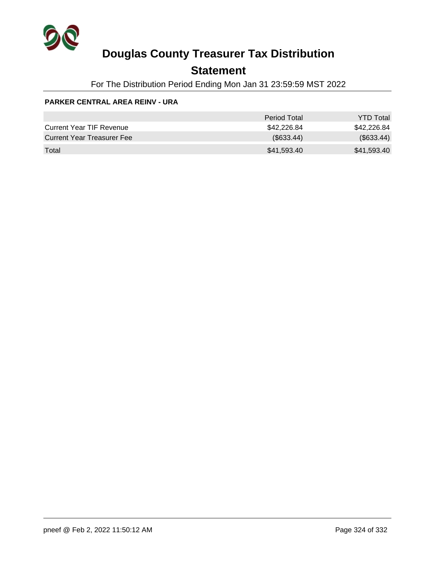

## **Statement**

For The Distribution Period Ending Mon Jan 31 23:59:59 MST 2022

#### **PARKER CENTRAL AREA REINV - URA**

|                                 | Period Total | <b>YTD Total</b> |
|---------------------------------|--------------|------------------|
| <b>Current Year TIF Revenue</b> | \$42.226.84  | \$42,226.84      |
| Current Year Treasurer Fee      | (\$633.44)   | $(\$633.44)$     |
| Total                           | \$41,593.40  | \$41,593.40      |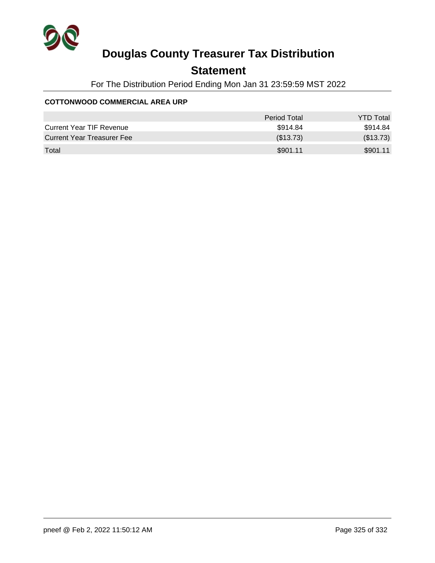

## **Statement**

For The Distribution Period Ending Mon Jan 31 23:59:59 MST 2022

#### **COTTONWOOD COMMERCIAL AREA URP**

|                                   | Period Total | <b>YTD Total</b> |
|-----------------------------------|--------------|------------------|
| <b>Current Year TIF Revenue</b>   | \$914.84     | \$914.84         |
| <b>Current Year Treasurer Fee</b> | (\$13.73)    | (\$13.73)        |
| Total                             | \$901.11     | \$901.11         |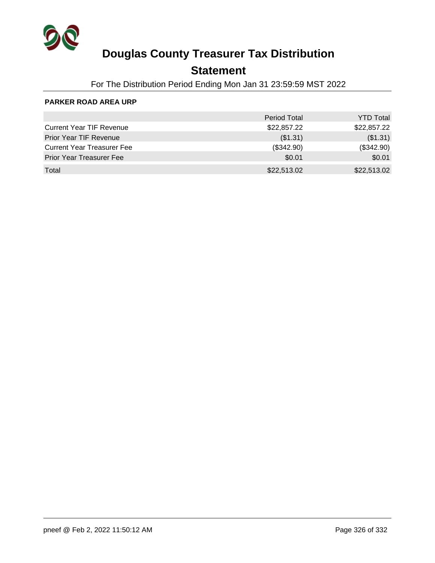

## **Statement**

For The Distribution Period Ending Mon Jan 31 23:59:59 MST 2022

#### **PARKER ROAD AREA URP**

|                                   | <b>Period Total</b> | <b>YTD Total</b> |
|-----------------------------------|---------------------|------------------|
| <b>Current Year TIF Revenue</b>   | \$22,857.22         | \$22,857.22      |
| Prior Year TIF Revenue            | (\$1.31)            | (\$1.31)         |
| <b>Current Year Treasurer Fee</b> | (\$342.90)          | (\$342.90)       |
| <b>Prior Year Treasurer Fee</b>   | \$0.01              | \$0.01           |
| Total                             | \$22,513.02         | \$22,513.02      |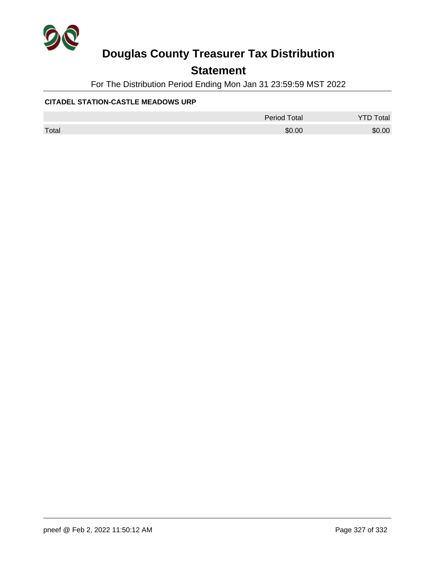

### **Statement**

For The Distribution Period Ending Mon Jan 31 23:59:59 MST 2022

#### **CITADEL STATION-CASTLE MEADOWS URP**

|       | <b>Period Total</b> | <b>YTD Total</b> |
|-------|---------------------|------------------|
| Total | \$0.00              | \$0.00           |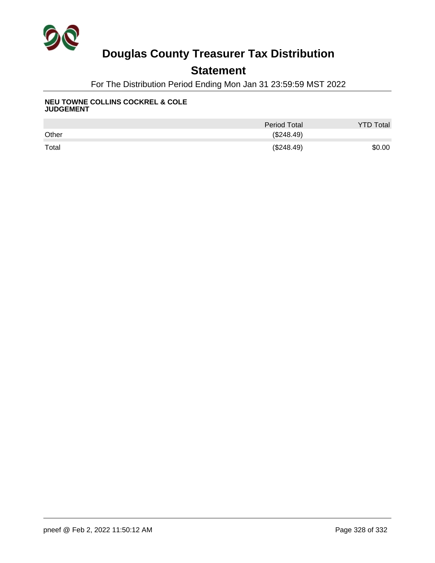

## **Statement**

For The Distribution Period Ending Mon Jan 31 23:59:59 MST 2022

#### **NEU TOWNE COLLINS COCKREL & COLE JUDGEMENT**

|       | Period Total | <b>YTD Total</b> |
|-------|--------------|------------------|
| Other | (\$248.49)   |                  |
| Total | (\$248.49)   | \$0.00           |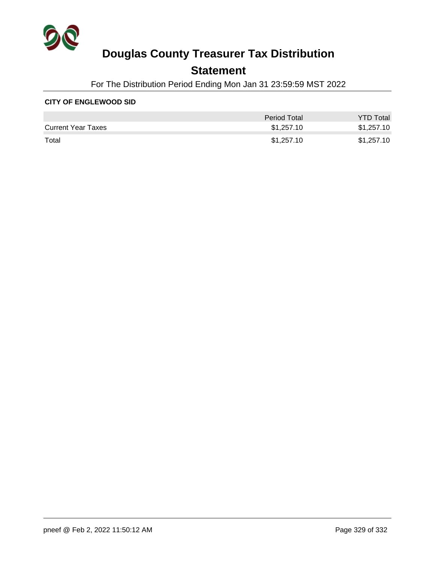

### **Statement**

For The Distribution Period Ending Mon Jan 31 23:59:59 MST 2022

#### **CITY OF ENGLEWOOD SID**

|                           | <b>Period Total</b> | <b>YTD Total</b> |
|---------------------------|---------------------|------------------|
| <b>Current Year Taxes</b> | \$1,257.10          | \$1,257.10       |
| Total                     | \$1,257.10          | \$1,257.10       |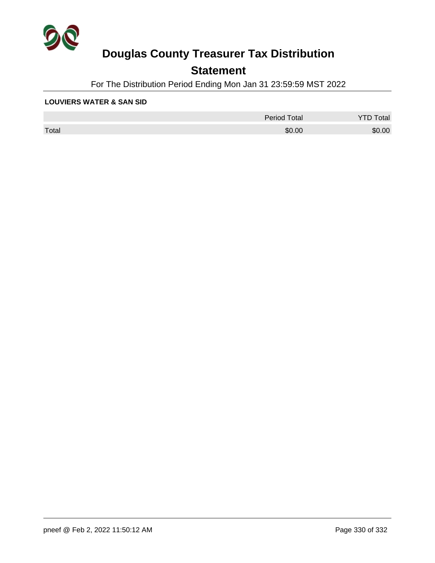

## **Statement**

For The Distribution Period Ending Mon Jan 31 23:59:59 MST 2022

#### **LOUVIERS WATER & SAN SID**

|       | <b>Period Total</b> | otal   |
|-------|---------------------|--------|
| Total | \$0.00              | \$0.00 |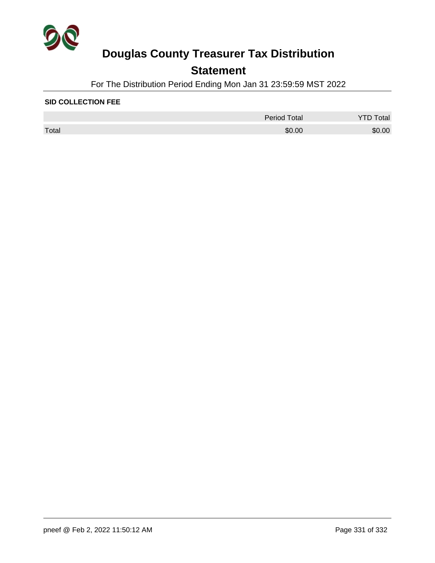

## **Statement**

For The Distribution Period Ending Mon Jan 31 23:59:59 MST 2022

#### **SID COLLECTION FEE**

|       | <b>Period Total</b> | otal   |
|-------|---------------------|--------|
| Total | \$0.00              | \$0.00 |